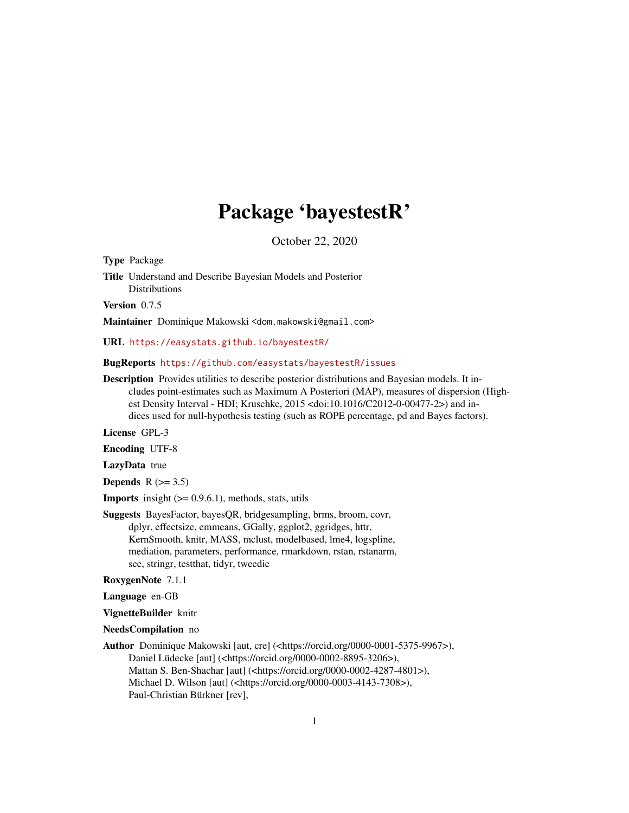# Package 'bayestestR'

October 22, 2020

<span id="page-0-0"></span>Type Package

Title Understand and Describe Bayesian Models and Posterior Distributions

Version 0.7.5

Maintainer Dominique Makowski <dom.makowski@gmail.com>

URL <https://easystats.github.io/bayestestR/>

#### BugReports <https://github.com/easystats/bayestestR/issues>

Description Provides utilities to describe posterior distributions and Bayesian models. It includes point-estimates such as Maximum A Posteriori (MAP), measures of dispersion (Highest Density Interval - HDI; Kruschke, 2015 <doi:10.1016/C2012-0-00477-2>) and indices used for null-hypothesis testing (such as ROPE percentage, pd and Bayes factors).

License GPL-3

Encoding UTF-8

LazyData true

Depends  $R$  ( $> = 3.5$ )

**Imports** insight  $(>= 0.9.6.1)$ , methods, stats, utils

Suggests BayesFactor, bayesQR, bridgesampling, brms, broom, covr, dplyr, effectsize, emmeans, GGally, ggplot2, ggridges, httr, KernSmooth, knitr, MASS, mclust, modelbased, lme4, logspline, mediation, parameters, performance, rmarkdown, rstan, rstanarm, see, stringr, testthat, tidyr, tweedie

RoxygenNote 7.1.1

Language en-GB

VignetteBuilder knitr

NeedsCompilation no

Author Dominique Makowski [aut, cre] (<https://orcid.org/0000-0001-5375-9967>), Daniel Lüdecke [aut] (<https://orcid.org/0000-0002-8895-3206>), Mattan S. Ben-Shachar [aut] (<https://orcid.org/0000-0002-4287-4801>), Michael D. Wilson [aut] (<https://orcid.org/0000-0003-4143-7308>), Paul-Christian Bürkner [rev],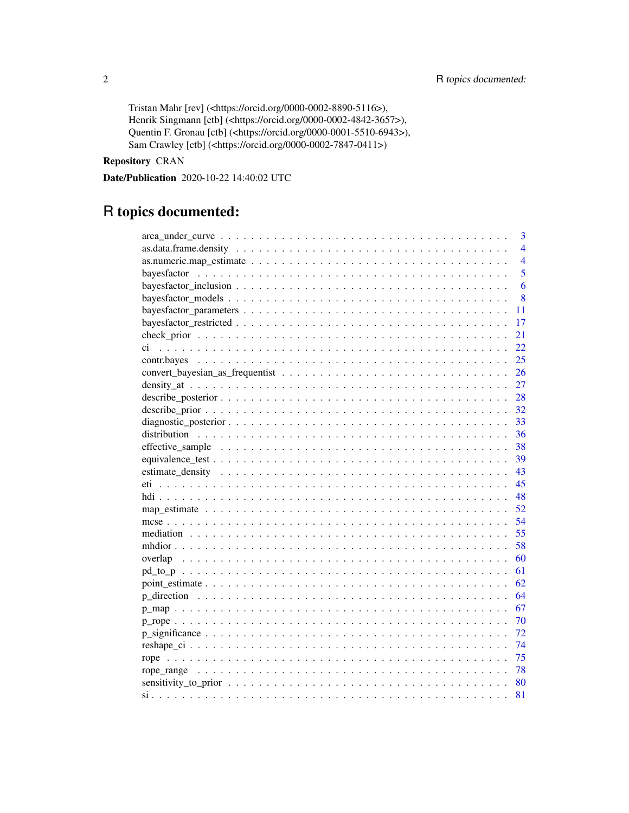Tristan Mahr [rev] (<https://orcid.org/0000-0002-8890-5116>), Henrik Singmann [ctb] (<https://orcid.org/0000-0002-4842-3657>), Quentin F. Gronau [ctb] (<https://orcid.org/0000-0001-5510-6943>), Sam Crawley [ctb] (<https://orcid.org/0000-0002-7847-0411>)

# Repository CRAN

Date/Publication 2020-10-22 14:40:02 UTC

# R topics documented:

| 3              |
|----------------|
| $\overline{4}$ |
| $\overline{4}$ |
| 5              |
| 6              |
| 8              |
| 11             |
| 17             |
| 21             |
| 22             |
| 25             |
| 26             |
| 27             |
| 28             |
| 32             |
| 33             |
| 36             |
| 38             |
| 39             |
| 43             |
| 45             |
| 48             |
|                |
| 54             |
| 55             |
| 58             |
| 60             |
| 61             |
| 62             |
| 64             |
| 67             |
| 70             |
| -72            |
| 74             |
| 75             |
|                |
|                |
| 81             |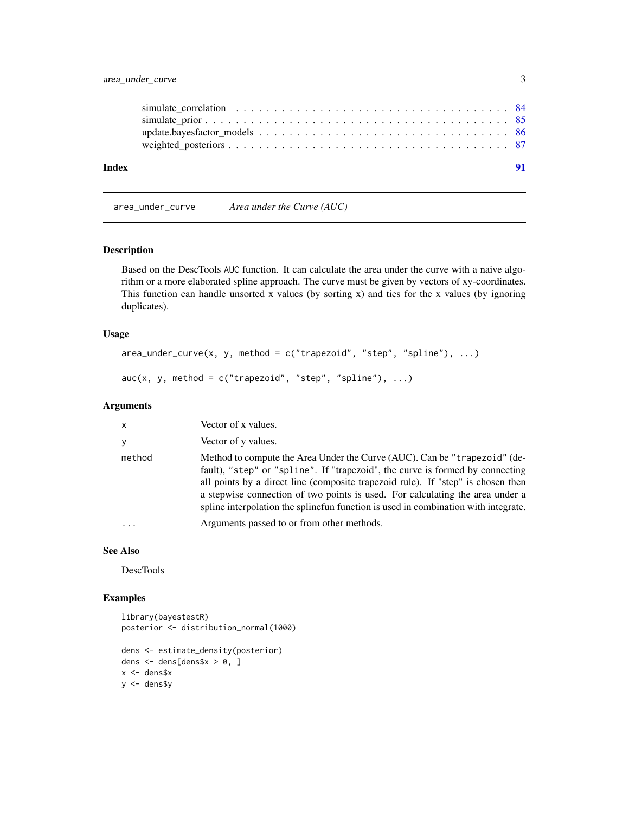<span id="page-2-0"></span>

| Index |  |
|-------|--|
|       |  |
|       |  |
|       |  |
|       |  |
|       |  |

area\_under\_curve *Area under the Curve (AUC)*

# Description

Based on the DescTools AUC function. It can calculate the area under the curve with a naive algorithm or a more elaborated spline approach. The curve must be given by vectors of xy-coordinates. This function can handle unsorted x values (by sorting x) and ties for the x values (by ignoring duplicates).

# Usage

```
area\_under\_curve(x, y, method = c("trapezoid", "step", "split"), ...
```

```
auc(x, y, method = c("trapezoid", "step", "splitne"), ...)
```
# Arguments

| Vector of y values.<br>y<br>method<br>Arguments passed to or from other methods.<br>. | $\mathsf{x}$ | Vector of x values.                                                                                                                                                                                                                                                                                                                                                                                                |
|---------------------------------------------------------------------------------------|--------------|--------------------------------------------------------------------------------------------------------------------------------------------------------------------------------------------------------------------------------------------------------------------------------------------------------------------------------------------------------------------------------------------------------------------|
|                                                                                       |              |                                                                                                                                                                                                                                                                                                                                                                                                                    |
|                                                                                       |              | Method to compute the Area Under the Curve (AUC). Can be "trapezoid" (de-<br>fault), "step" or "spline". If "trapezoid", the curve is formed by connecting<br>all points by a direct line (composite trapezoid rule). If "step" is chosen then<br>a stepwise connection of two points is used. For calculating the area under a<br>spline interpolation the spline function is used in combination with integrate. |
|                                                                                       |              |                                                                                                                                                                                                                                                                                                                                                                                                                    |

# See Also

DescTools

# Examples

```
library(bayestestR)
posterior <- distribution_normal(1000)
dens <- estimate_density(posterior)
dens <- dens[dens$x > 0, ]
x <- dens$x
y <- dens$y
```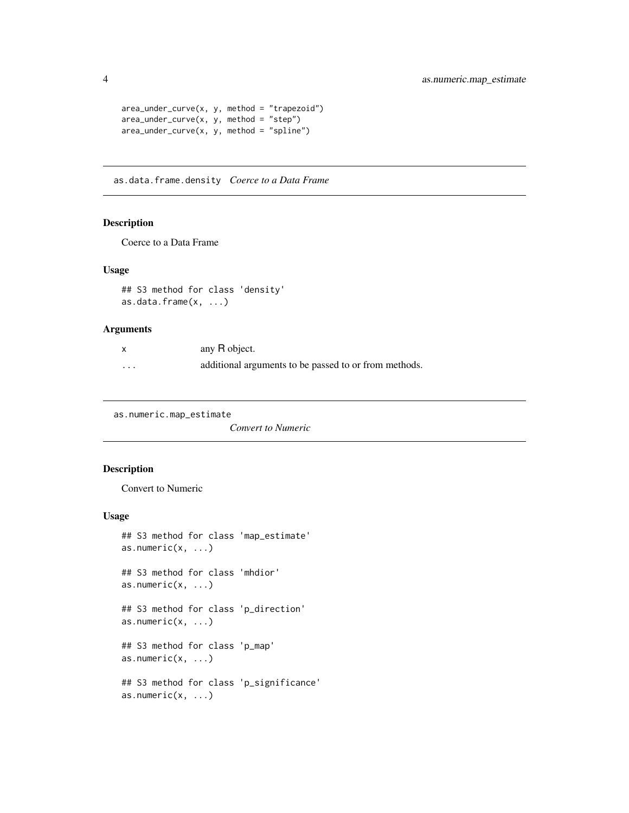```
area\_under\_curve(x, y, method = "trapezoid")area\_under\_curve(x, y, method = "step")area\_under\_curve(x, y, method = "split"
```
as.data.frame.density *Coerce to a Data Frame*

# Description

Coerce to a Data Frame

# Usage

```
## S3 method for class 'density'
as.data.frame(x, ...)
```
# Arguments

|          | any R object.                                         |
|----------|-------------------------------------------------------|
| $\cdots$ | additional arguments to be passed to or from methods. |

as.numeric.map\_estimate

*Convert to Numeric*

# Description

Convert to Numeric

```
## S3 method for class 'map_estimate'
as.numeric(x, \ldots)## S3 method for class 'mhdior'
as.numeric(x, \ldots)## S3 method for class 'p_direction'
as.numeric(x, \ldots)## S3 method for class 'p_map'
as.numeric(x, \ldots)## S3 method for class 'p_significance'
as.numeric(x, \ldots)
```
<span id="page-3-0"></span>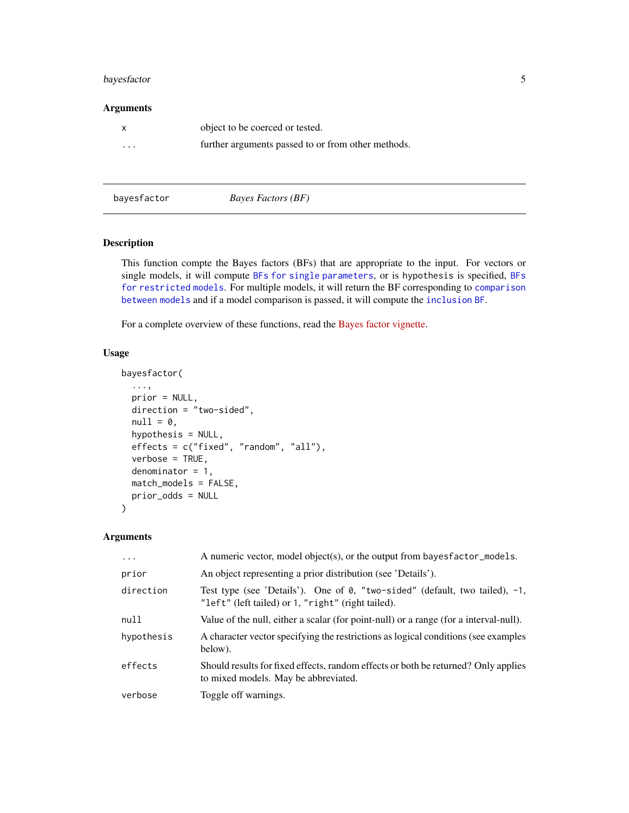# <span id="page-4-0"></span>bayesfactor 5

# Arguments

|          | object to be coerced or tested.                    |
|----------|----------------------------------------------------|
| $\cdots$ | further arguments passed to or from other methods. |

bayesfactor *Bayes Factors (BF)*

# Description

This function compte the Bayes factors (BFs) that are appropriate to the input. For vectors or single models, it will compute [BFs for single parameters](#page-10-1), or is hypothesis is specified, [BFs](#page-16-1) [for restricted models](#page-16-1). For multiple models, it will return the BF corresponding to [comparison](#page-7-1) [between models](#page-7-1) and if a model comparison is passed, it will compute the [inclusion BF](#page-5-1).

For a complete overview of these functions, read the [Bayes factor vignette.](https://easystats.github.io/bayestestR/articles/bayes_factors.html)

# Usage

```
bayesfactor(
  ...,
 prior = NULL,
 direction = "two-sided",
 null = 0,hypothesis = NULL,
 effects = c("fixed", "random", "all"),
 verbose = TRUE,
  denominator = 1,
 match_models = FALSE,
 prior_odds = NULL
\mathcal{L}
```
# Arguments

| $\ddots$ . | A numeric vector, model object(s), or the output from bayesfactor_models.                                                         |
|------------|-----------------------------------------------------------------------------------------------------------------------------------|
| prior      | An object representing a prior distribution (see 'Details').                                                                      |
| direction  | Test type (see 'Details'). One of 0, "two-sided" (default, two tailed), -1,<br>"left" (left tailed) or 1, "right" (right tailed). |
| null       | Value of the null, either a scalar (for point-null) or a range (for a interval-null).                                             |
| hypothesis | A character vector specifying the restrictions as logical conditions (see examples<br>below).                                     |
| effects    | Should results for fixed effects, random effects or both be returned? Only applies<br>to mixed models. May be abbreviated.        |
| verbose    | Toggle off warnings.                                                                                                              |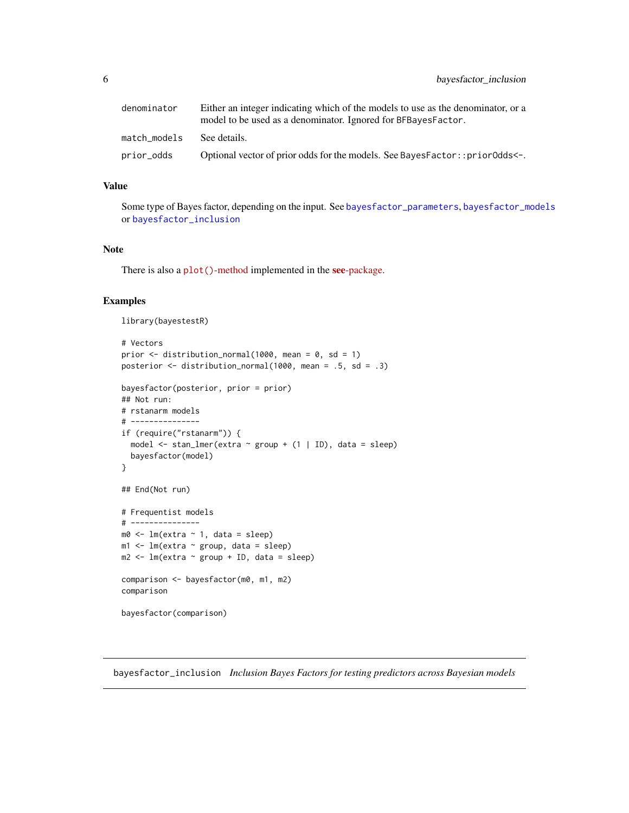<span id="page-5-0"></span>

| denominator  | Either an integer indicating which of the models to use as the denominator, or a<br>model to be used as a denominator. Ignored for BFBayesFactor. |
|--------------|---------------------------------------------------------------------------------------------------------------------------------------------------|
| match models | See details.                                                                                                                                      |
| prior_odds   | Optional vector of prior odds for the models. See BayesFactor::priorOdds<-.                                                                       |

# Value

Some type of Bayes factor, depending on the input. See [bayesfactor\\_parameters](#page-10-1), [bayesfactor\\_models](#page-7-1) or [bayesfactor\\_inclusion](#page-5-1)

# Note

There is also a plot()[-method](https://easystats.github.io/see/articles/bayestestR.html) implemented in the see[-package.](https://easystats.github.io/see/)

## Examples

library(bayestestR)

```
# Vectors
prior \le- distribution_normal(1000, mean = 0, sd = 1)
posterior \le distribution_normal(1000, mean = .5, sd = .3)
bayesfactor(posterior, prior = prior)
## Not run:
# rstanarm models
# ---------------
if (require("rstanarm")) {
  model \le stan_lmer(extra \sim group + (1 | ID), data = sleep)
  bayesfactor(model)
}
## End(Not run)
# Frequentist models
# ---------------
m0 <- lm(extra ~ 1, data = sleep)
m1 <- lm(extra ~ group, data = sleep)
m2 \leq -\ln(\text{extra} \leq \text{group} + \text{ID}, \text{data} = \text{sleep})comparison <- bayesfactor(m0, m1, m2)
comparison
bayesfactor(comparison)
```
<span id="page-5-1"></span>bayesfactor\_inclusion *Inclusion Bayes Factors for testing predictors across Bayesian models*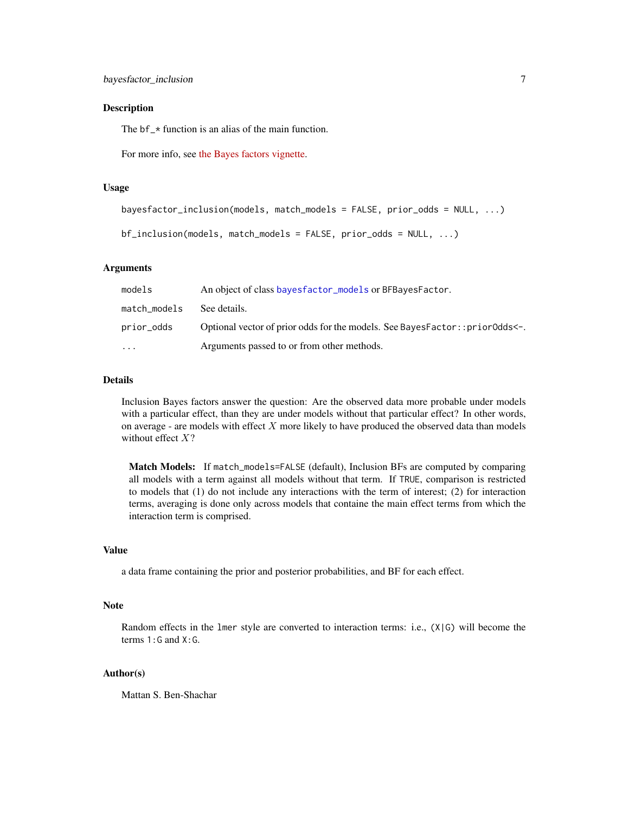# Description

The  $bf_{\perp}$  function is an alias of the main function.

For more info, see [the Bayes factors vignette.](https://easystats.github.io/bayestestR/articles/bayes_factors.html)

# Usage

```
bayesfactor_inclusion(models, match_models = FALSE, prior_odds = NULL, ...)
```

```
bf_inclusion(models, match_models = FALSE, prior_odds = NULL, ...)
```
# Arguments

| models       | An object of class bayes factor_models or BFBayes Factor.                    |
|--------------|------------------------------------------------------------------------------|
| match_models | See details.                                                                 |
| prior_odds   | Optional vector of prior odds for the models. See BayesFactor:: priorOdds<-. |
| $\ddotsc$    | Arguments passed to or from other methods.                                   |

# Details

Inclusion Bayes factors answer the question: Are the observed data more probable under models with a particular effect, than they are under models without that particular effect? In other words, on average - are models with effect  $X$  more likely to have produced the observed data than models without effect  $X$ ?

Match Models: If match\_models=FALSE (default), Inclusion BFs are computed by comparing all models with a term against all models without that term. If TRUE, comparison is restricted to models that (1) do not include any interactions with the term of interest; (2) for interaction terms, averaging is done only across models that containe the main effect terms from which the interaction term is comprised.

#### Value

a data frame containing the prior and posterior probabilities, and BF for each effect.

# Note

Random effects in the lmer style are converted to interaction terms: i.e., (X|G) will become the terms 1:G and X:G.

# Author(s)

Mattan S. Ben-Shachar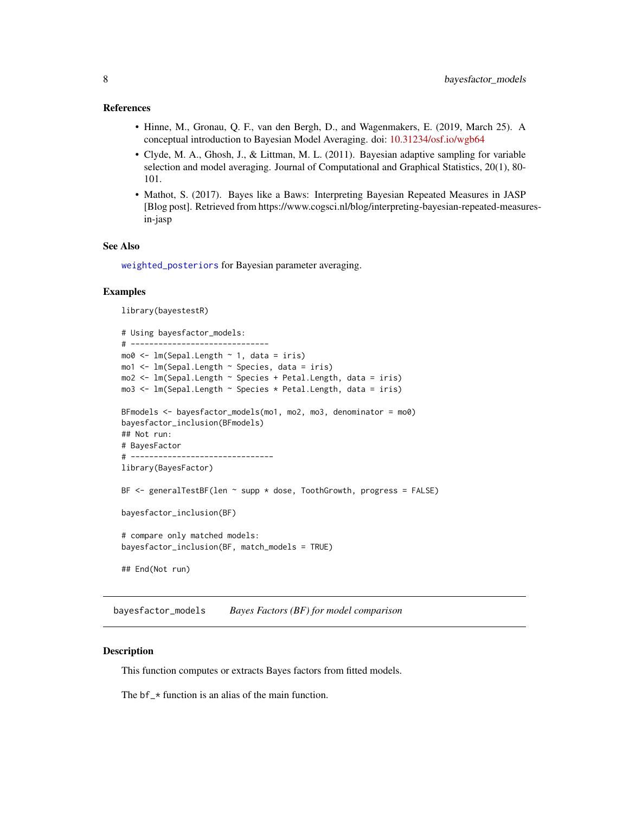# <span id="page-7-0"></span>References

- Hinne, M., Gronau, Q. F., van den Bergh, D., and Wagenmakers, E. (2019, March 25). A conceptual introduction to Bayesian Model Averaging. doi: [10.31234/osf.io/wgb64](https://doi.org/10.31234/osf.io/wgb64)
- Clyde, M. A., Ghosh, J., & Littman, M. L. (2011). Bayesian adaptive sampling for variable selection and model averaging. Journal of Computational and Graphical Statistics, 20(1), 80- 101.
- Mathot, S. (2017). Bayes like a Baws: Interpreting Bayesian Repeated Measures in JASP [Blog post]. Retrieved from https://www.cogsci.nl/blog/interpreting-bayesian-repeated-measuresin-jasp

# See Also

[weighted\\_posteriors](#page-86-1) for Bayesian parameter averaging.

# Examples

library(bayestestR)

```
# Using bayesfactor_models:
# ------------------------------
mo0 <- lm(Sepal.Length ~ 1, data = iris)
mo1 <- lm(Sepal.Length ~ Species, data = iris)
mo2 <- lm(Sepal.Length ~ Species + Petal.Length, data = iris)
mo3 <- lm(Sepal.Length ~ Species * Petal.Length, data = iris)
BFmodels <- bayesfactor_models(mo1, mo2, mo3, denominator = mo0)
bayesfactor_inclusion(BFmodels)
## Not run:
# BayesFactor
# -------------------------------
library(BayesFactor)
BF \le- generalTestBF(len \sim supp \star dose, ToothGrowth, progress = FALSE)
bayesfactor_inclusion(BF)
# compare only matched models:
bayesfactor_inclusion(BF, match_models = TRUE)
## End(Not run)
```
<span id="page-7-1"></span>bayesfactor\_models *Bayes Factors (BF) for model comparison*

# **Description**

This function computes or extracts Bayes factors from fitted models.

The  $bf_{\star}$  function is an alias of the main function.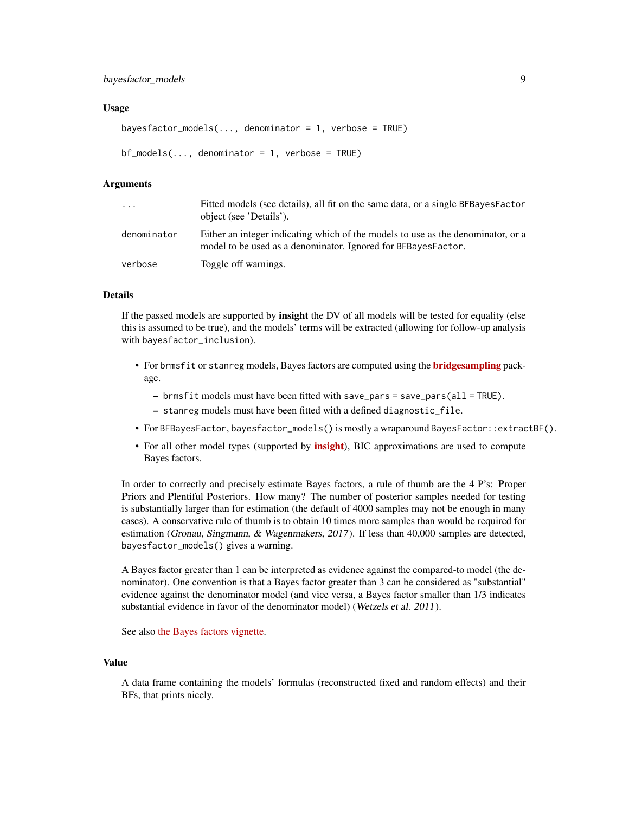# Usage

```
bayesfactor_models(\dots, denominator = 1, verbose = TRUE)
```

```
bf_modes(..., denominator = 1, verbose = TRUE)
```
#### Arguments

| $\ddotsc$   | Fitted models (see details), all fit on the same data, or a single BFBayesFactor<br>object (see 'Details').                                       |
|-------------|---------------------------------------------------------------------------------------------------------------------------------------------------|
| denominator | Either an integer indicating which of the models to use as the denominator, or a<br>model to be used as a denominator. Ignored for BFBayesFactor. |
| verbose     | Toggle off warnings.                                                                                                                              |

# Details

If the passed models are supported by insight the DV of all models will be tested for equality (else this is assumed to be true), and the models' terms will be extracted (allowing for follow-up analysis with bayesfactor\_inclusion).

- For brmsfit or stanreg models, Bayes factors are computed using the **[bridgesampling](https://CRAN.R-project.org/package=bridgesampling)** package.
	- $-$  brmsfit models must have been fitted with save\_pars = save\_pars(all = TRUE).
	- stanreg models must have been fitted with a defined diagnostic\_file.
- For BFBayesFactor, bayesfactor\_models() is mostly a wraparound BayesFactor::extractBF().
- For all other model types (supported by **[insight](https://CRAN.R-project.org/package=insight)**), BIC approximations are used to compute Bayes factors.

In order to correctly and precisely estimate Bayes factors, a rule of thumb are the 4 P's: Proper Priors and Plentiful Posteriors. How many? The number of posterior samples needed for testing is substantially larger than for estimation (the default of 4000 samples may not be enough in many cases). A conservative rule of thumb is to obtain 10 times more samples than would be required for estimation (Gronau, Singmann, & Wagenmakers, 2017). If less than 40,000 samples are detected, bayesfactor\_models() gives a warning.

A Bayes factor greater than 1 can be interpreted as evidence against the compared-to model (the denominator). One convention is that a Bayes factor greater than 3 can be considered as "substantial" evidence against the denominator model (and vice versa, a Bayes factor smaller than 1/3 indicates substantial evidence in favor of the denominator model) (Wetzels et al. 2011).

See also [the Bayes factors vignette.](https://easystats.github.io/bayestestR/articles/bayes_factors.html)

#### Value

A data frame containing the models' formulas (reconstructed fixed and random effects) and their BFs, that prints nicely.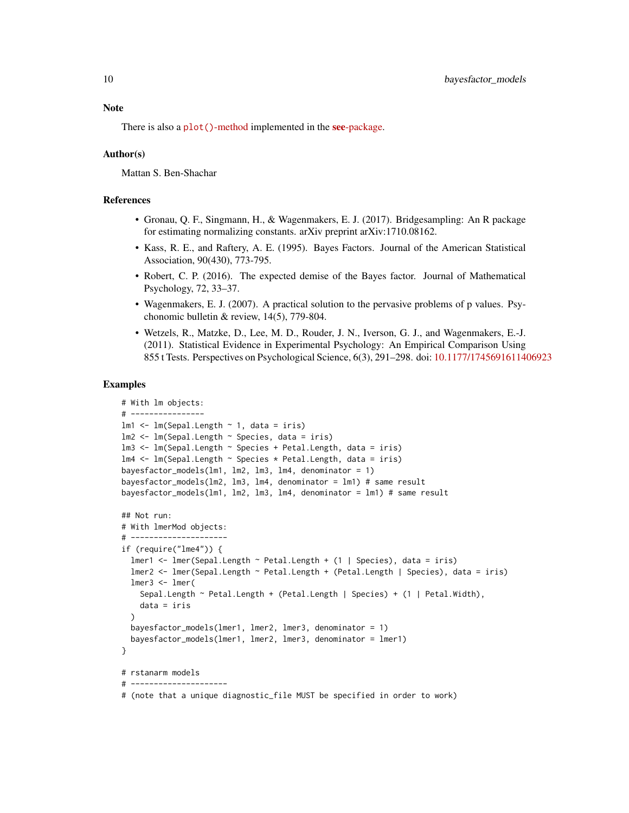# **Note**

There is also a plot()[-method](https://easystats.github.io/see/articles/bayestestR.html) implemented in the **see**[-package.](https://easystats.github.io/see/)

# Author(s)

Mattan S. Ben-Shachar

# References

- Gronau, Q. F., Singmann, H., & Wagenmakers, E. J. (2017). Bridgesampling: An R package for estimating normalizing constants. arXiv preprint arXiv:1710.08162.
- Kass, R. E., and Raftery, A. E. (1995). Bayes Factors. Journal of the American Statistical Association, 90(430), 773-795.
- Robert, C. P. (2016). The expected demise of the Bayes factor. Journal of Mathematical Psychology, 72, 33–37.
- Wagenmakers, E. J. (2007). A practical solution to the pervasive problems of p values. Psychonomic bulletin & review, 14(5), 779-804.
- Wetzels, R., Matzke, D., Lee, M. D., Rouder, J. N., Iverson, G. J., and Wagenmakers, E.-J. (2011). Statistical Evidence in Experimental Psychology: An Empirical Comparison Using 855 t Tests. Perspectives on Psychological Science, 6(3), 291–298. doi: [10.1177/1745691611406923](https://doi.org/10.1177/1745691611406923)

#### Examples

```
# With lm objects:
# ----------------
lm1 \leftarrow lm(Sepal.Length \sim 1, data = iris)lm2 <- lm(Sepal.Length ~ Species, data = iris)
lm3 <- lm(Sepal.Length ~ Species + Petal.Length, data = iris)
lm4 <- lm(Sepal.Length ~ Species * Petal.Length, data = iris)
bayesfactor_models(lm1, lm2, lm3, lm4, denominator = 1)
bayesfactor_models(lm2, lm3, lm4, denominator = lm1) # same result
bayesfactor_models(lm1, lm2, lm3, lm4, denominator = lm1) # same result
## Not run:
# With lmerMod objects:
# ---------------------
if (require("lme4")) {
  lmer1 <- lmer(Sepal.Length ~ Petal.Length + (1 | Species), data = iris)
  lmer2 <- lmer(Sepal.Length ~ Petal.Length + (Petal.Length | Species), data = iris)
  lmer3 < - lmer(Sepal.Length ~ Petal.Length + (Petal.Length | Species) + (1 | Petal.Width),
    data = iris
  )
  bayesfactor_models(lmer1, lmer2, lmer3, denominator = 1)
  bayesfactor_models(lmer1, lmer2, lmer3, denominator = lmer1)
}
# rstanarm models
# ---------------------
# (note that a unique diagnostic_file MUST be specified in order to work)
```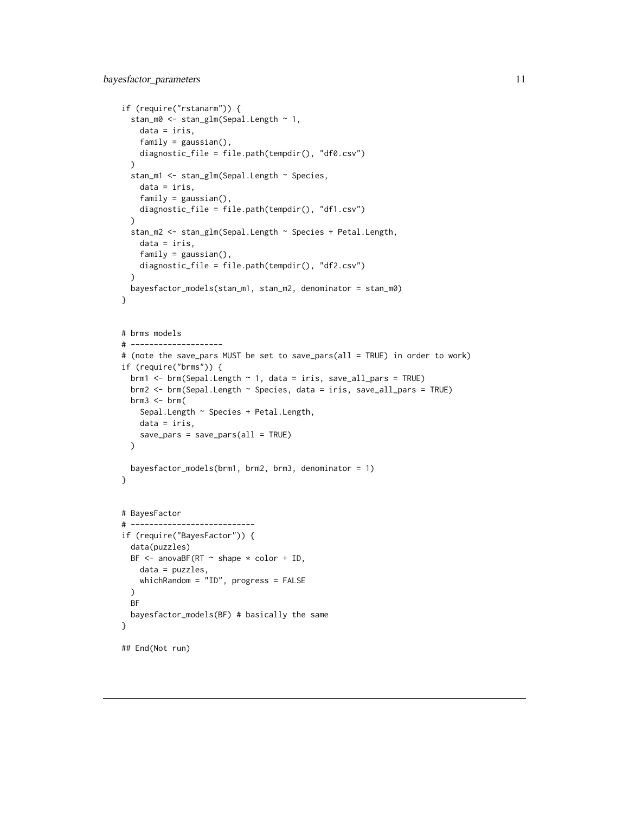```
if (require("rstanarm")) {
 stan_m0 <- stan_glm(Sepal.Length ~ 1,
    data = iris,
   family = gaussian(),
   diagnostic_file = file.path(tempdir(), "df0.csv")
 \lambdastan_m1 <- stan_glm(Sepal.Length ~ Species,
   data = iris,
   family = gaussian(),
   diagnostic_file = file.path(tempdir(), "df1.csv")
 \lambdastan_m2 <- stan_glm(Sepal.Length ~ Species + Petal.Length,
    data = iris,
    family = gaussian(),
   diagnostic_file = file.path(tempdir(), "df2.csv")
 )
 bayesfactor_models(stan_m1, stan_m2, denominator = stan_m0)
}
# brms models
# --------------------
# (note the save_pars MUST be set to save_pars(all = TRUE) in order to work)
if (require("brms")) {
 brm1 <- brm(Sepal.Length \sim 1, data = iris, save_all_pars = TRUE)
 brm2 <- brm(Sepal.Length ~ Species, data = iris, save_all_pars = TRUE)
 brm3 < - brm(Sepal.Length ~ Species + Petal.Length,
   data = iris,
   save_pars = save_pars(all = TRUE)
 \lambdabayesfactor_models(brm1, brm2, brm3, denominator = 1)
}
# BayesFactor
# ---------------------------
if (require("BayesFactor")) {
 data(puzzles)
 BF \le - anovaBF(RT \sim shape \star color + ID,
   data = puzzles,
   whichRandom = "ID", progress = FALSE
 )
 BF
 bayesfactor_models(BF) # basically the same
}
## End(Not run)
```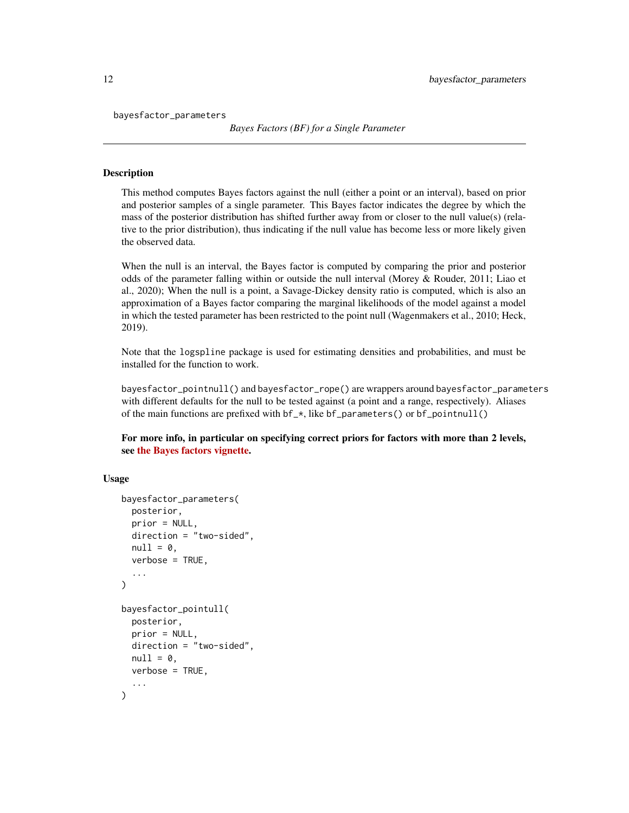bayesfactor\_parameters

*Bayes Factors (BF) for a Single Parameter*

# **Description**

This method computes Bayes factors against the null (either a point or an interval), based on prior and posterior samples of a single parameter. This Bayes factor indicates the degree by which the mass of the posterior distribution has shifted further away from or closer to the null value(s) (relative to the prior distribution), thus indicating if the null value has become less or more likely given the observed data.

When the null is an interval, the Bayes factor is computed by comparing the prior and posterior odds of the parameter falling within or outside the null interval (Morey & Rouder, 2011; Liao et al., 2020); When the null is a point, a Savage-Dickey density ratio is computed, which is also an approximation of a Bayes factor comparing the marginal likelihoods of the model against a model in which the tested parameter has been restricted to the point null (Wagenmakers et al., 2010; Heck, 2019).

Note that the logspline package is used for estimating densities and probabilities, and must be installed for the function to work.

bayesfactor\_pointnull() and bayesfactor\_rope() are wrappers around bayesfactor\_parameters with different defaults for the null to be tested against (a point and a range, respectively). Aliases of the main functions are prefixed with  $bf_{*}$ , like  $bf_{parameters}()$  or  $bf_{pointnull()}$ 

For more info, in particular on specifying correct priors for factors with more than 2 levels, see [the Bayes factors vignette.](https://easystats.github.io/bayestestR/articles/bayes_factors.html)

```
bayesfactor_parameters(
 posterior,
 prior = NULL,
  direction = "two-sided",
  null = 0,verbose = TRUE,
  ...
)
bayesfactor_pointull(
 posterior,
 prior = NULL,
 direction = "two-sided",
  null = 0,
  verbose = TRUE,
  ...
)
```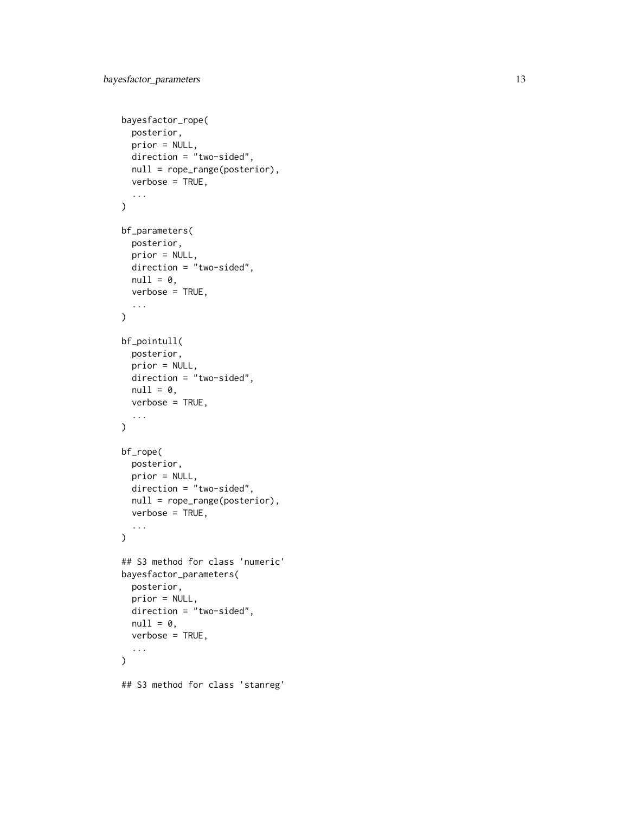```
bayesfactor_rope(
 posterior,
 prior = NULL,
 direction = "two-sided",
 null = rope_range(posterior),
 verbose = TRUE,
  ...
\mathcal{L}bf_parameters(
 posterior,
 prior = NULL,
 direction = "two-sided",
 null = 0,verbose = TRUE,
  ...
\mathcal{L}bf_pointull(
 posterior,
 prior = NULL,
 direction = "two-sided",
 null = 0,verbose = TRUE,
  ...
\mathcal{L}bf_rope(
 posterior,
 prior = NULL,
 direction = "two-sided",
 null = rope_range(posterior),
 verbose = TRUE,
  ...
\mathcal{L}## S3 method for class 'numeric'
bayesfactor_parameters(
 posterior,
 prior = NULL,
 direction = "two-sided",
 null = 0,verbose = TRUE,
  ...
)
## S3 method for class 'stanreg'
```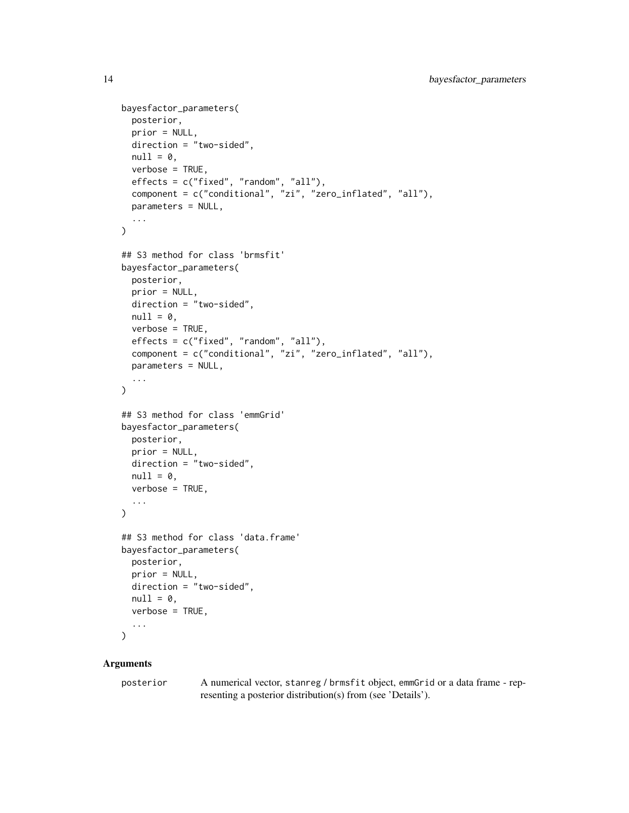```
bayesfactor_parameters(
  posterior,
 prior = NULL,
  direction = "two-sided",
  null = 0,verbose = TRUE,
  effects = c("fixed", "random", "all"),
  component = c("conditional", "zi", "zero_inflated", "all"),
  parameters = NULL,
  ...
\mathcal{L}## S3 method for class 'brmsfit'
bayesfactor_parameters(
 posterior,
  prior = NULL,
  direction = "two-sided",
  null = 0,verbose = TRUE,
  effects = c("fixed", "random", "all"),
  component = c("conditional", "zi", "zero_inflated", "all"),
 parameters = NULL,
  ...
\mathcal{L}## S3 method for class 'emmGrid'
bayesfactor_parameters(
 posterior,
 prior = NULL,
 direction = "two-sided",
  null = 0,verbose = TRUE,
  ...
\lambda## S3 method for class 'data.frame'
bayesfactor_parameters(
 posterior,
 prior = NULL,
 direction = "two-sided",
 null = 0,verbose = TRUE,
  ...
\mathcal{L}
```
# Arguments

posterior A numerical vector, stanreg / brmsfit object, emmGrid or a data frame - representing a posterior distribution(s) from (see 'Details').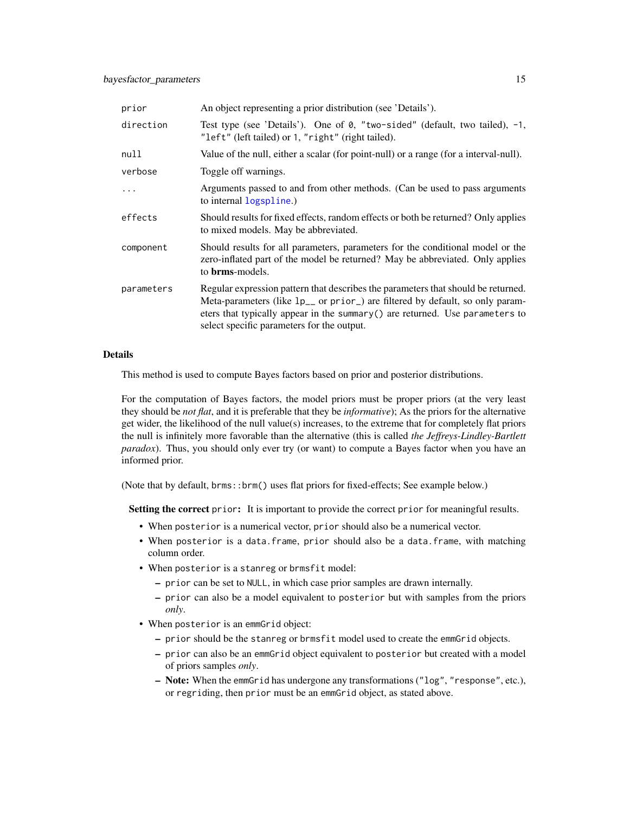| prior      | An object representing a prior distribution (see 'Details').                                                                                                                                                                                                                                               |
|------------|------------------------------------------------------------------------------------------------------------------------------------------------------------------------------------------------------------------------------------------------------------------------------------------------------------|
| direction  | Test type (see 'Details'). One of 0, "two-sided" (default, two tailed), $-1$ ,<br>"left" (left tailed) or 1, "right" (right tailed).                                                                                                                                                                       |
| null       | Value of the null, either a scalar (for point-null) or a range (for a interval-null).                                                                                                                                                                                                                      |
| verbose    | Toggle off warnings.                                                                                                                                                                                                                                                                                       |
| $\ddotsc$  | Arguments passed to and from other methods. (Can be used to pass arguments<br>to internal logspline.)                                                                                                                                                                                                      |
| effects    | Should results for fixed effects, random effects or both be returned? Only applies<br>to mixed models. May be abbreviated.                                                                                                                                                                                 |
| component  | Should results for all parameters, parameters for the conditional model or the<br>zero-inflated part of the model be returned? May be abbreviated. Only applies<br>to <b>brms</b> -models.                                                                                                                 |
| parameters | Regular expression pattern that describes the parameters that should be returned.<br>Meta-parameters (like 1p <sub>-</sub> or prior) are filtered by default, so only param-<br>eters that typically appear in the summary() are returned. Use parameters to<br>select specific parameters for the output. |

# Details

This method is used to compute Bayes factors based on prior and posterior distributions.

For the computation of Bayes factors, the model priors must be proper priors (at the very least they should be *not flat*, and it is preferable that they be *informative*); As the priors for the alternative get wider, the likelihood of the null value(s) increases, to the extreme that for completely flat priors the null is infinitely more favorable than the alternative (this is called *the Jeffreys-Lindley-Bartlett paradox*). Thus, you should only ever try (or want) to compute a Bayes factor when you have an informed prior.

(Note that by default, brms::brm() uses flat priors for fixed-effects; See example below.)

Setting the correct prior: It is important to provide the correct prior for meaningful results.

- When posterior is a numerical vector, prior should also be a numerical vector.
- When posterior is a data.frame, prior should also be a data.frame, with matching column order.
- When posterior is a stanreg or brmsfit model:
	- prior can be set to NULL, in which case prior samples are drawn internally.
	- prior can also be a model equivalent to posterior but with samples from the priors *only*.
- When posterior is an emmGrid object:
	- prior should be the stanreg or brmsfit model used to create the emmGrid objects.
	- prior can also be an emmGrid object equivalent to posterior but created with a model of priors samples *only*.
	- Note: When the emmGrid has undergone any transformations ("log", "response", etc.), or regriding, then prior must be an emmGrid object, as stated above.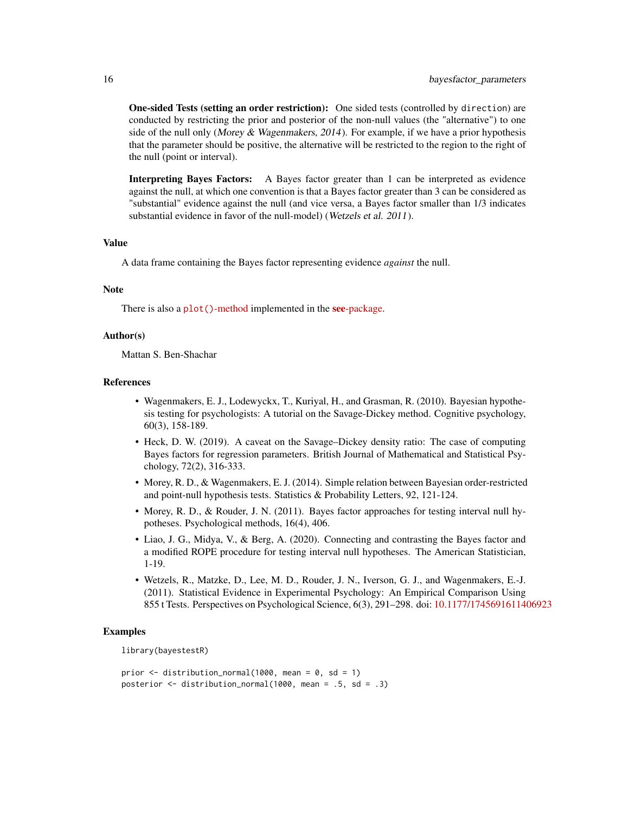One-sided Tests (setting an order restriction): One sided tests (controlled by direction) are conducted by restricting the prior and posterior of the non-null values (the "alternative") to one side of the null only (Morey & Wagenmakers, 2014). For example, if we have a prior hypothesis that the parameter should be positive, the alternative will be restricted to the region to the right of the null (point or interval).

Interpreting Bayes Factors: A Bayes factor greater than 1 can be interpreted as evidence against the null, at which one convention is that a Bayes factor greater than 3 can be considered as "substantial" evidence against the null (and vice versa, a Bayes factor smaller than 1/3 indicates substantial evidence in favor of the null-model) (Wetzels et al. 2011).

# Value

A data frame containing the Bayes factor representing evidence *against* the null.

#### Note

There is also a plot()[-method](https://easystats.github.io/see/articles/bayestestR.html) implemented in the **see**[-package.](https://easystats.github.io/see/)

#### Author(s)

Mattan S. Ben-Shachar

#### References

- Wagenmakers, E. J., Lodewyckx, T., Kuriyal, H., and Grasman, R. (2010). Bayesian hypothesis testing for psychologists: A tutorial on the Savage-Dickey method. Cognitive psychology, 60(3), 158-189.
- Heck, D. W. (2019). A caveat on the Savage–Dickey density ratio: The case of computing Bayes factors for regression parameters. British Journal of Mathematical and Statistical Psychology, 72(2), 316-333.
- Morey, R. D., & Wagenmakers, E. J. (2014). Simple relation between Bayesian order-restricted and point-null hypothesis tests. Statistics & Probability Letters, 92, 121-124.
- Morey, R. D., & Rouder, J. N. (2011). Bayes factor approaches for testing interval null hypotheses. Psychological methods, 16(4), 406.
- Liao, J. G., Midya, V., & Berg, A. (2020). Connecting and contrasting the Bayes factor and a modified ROPE procedure for testing interval null hypotheses. The American Statistician, 1-19.
- Wetzels, R., Matzke, D., Lee, M. D., Rouder, J. N., Iverson, G. J., and Wagenmakers, E.-J. (2011). Statistical Evidence in Experimental Psychology: An Empirical Comparison Using 855 t Tests. Perspectives on Psychological Science, 6(3), 291–298. doi: [10.1177/1745691611406923](https://doi.org/10.1177/1745691611406923)

## Examples

library(bayestestR)

```
prior \le distribution_normal(1000, mean = 0, sd = 1)
posterior <- distribution_normal(1000, mean = .5, sd = .3)
```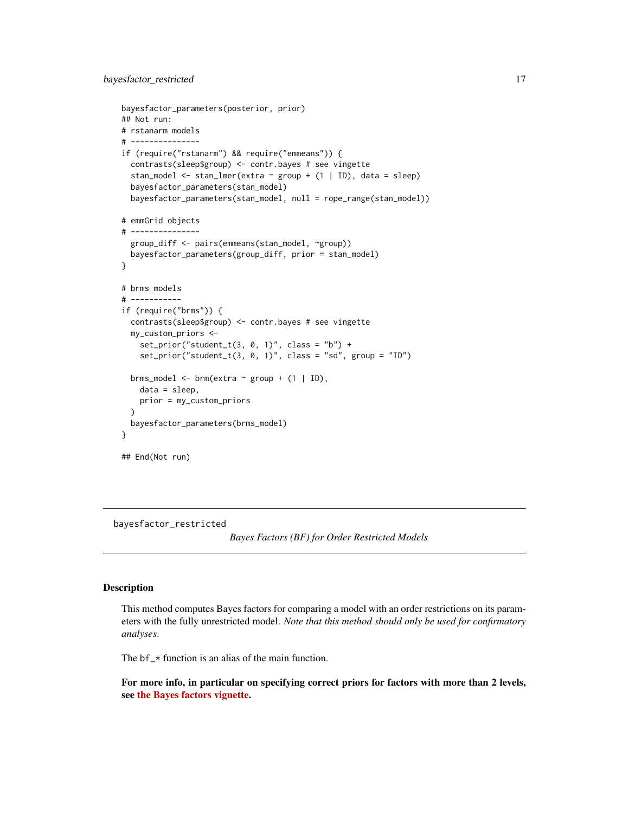```
bayesfactor_parameters(posterior, prior)
## Not run:
# rstanarm models
# ---------------
if (require("rstanarm") && require("emmeans")) {
 contrasts(sleep$group) <- contr.bayes # see vingette
 stan_model <- stan_lmer(extra \sim group + (1 | ID), data = sleep)
 bayesfactor_parameters(stan_model)
 bayesfactor_parameters(stan_model, null = rope_range(stan_model))
# emmGrid objects
# ---------------
 group_diff <- pairs(emmeans(stan_model, ~group))
 bayesfactor_parameters(group_diff, prior = stan_model)
}
# brms models
# -----------
if (require("brms")) {
 contrasts(sleep$group) <- contr.bayes # see vingette
 my_custom_priors <-
   set\_prior("student_t(3, 0, 1)", \text{ class} = "b") +set_prior("student_t(3, 0, 1)", class = "sd", group = "ID")
 brms_model <- brm(extra ~ group + (1 | ID),
   data = sleep,
   prior = my_custom_priors
 )
 bayesfactor_parameters(brms_model)
}
## End(Not run)
```
<span id="page-16-1"></span>bayesfactor\_restricted

```
Bayes Factors (BF) for Order Restricted Models
```
#### Description

This method computes Bayes factors for comparing a model with an order restrictions on its parameters with the fully unrestricted model. *Note that this method should only be used for confirmatory analyses*.

The  $bf_{\perp}$  function is an alias of the main function.

For more info, in particular on specifying correct priors for factors with more than 2 levels, see [the Bayes factors vignette.](https://easystats.github.io/bayestestR/articles/bayes_factors.html)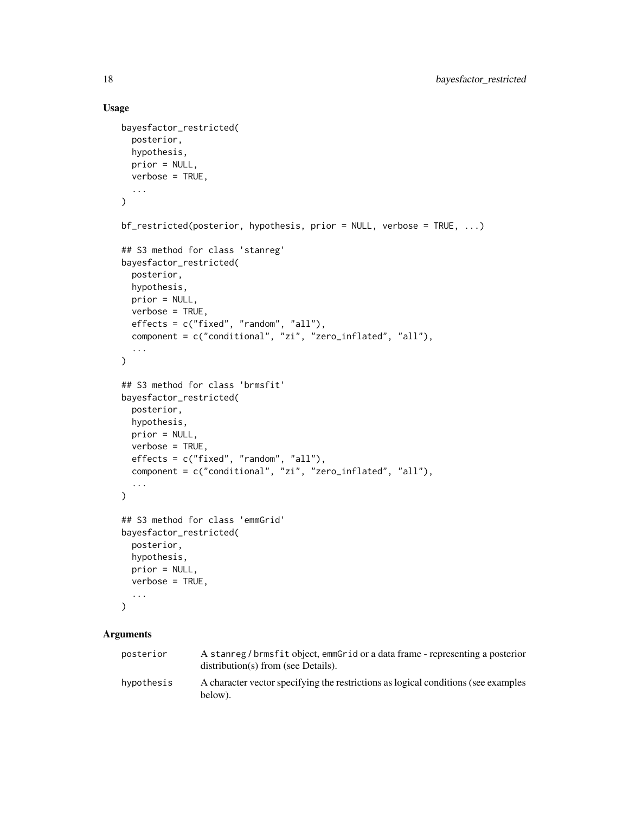# Usage

```
bayesfactor_restricted(
 posterior,
 hypothesis,
 prior = NULL,
 verbose = TRUE,
  ...
\lambdabf_restricted(posterior, hypothesis, prior = NULL, verbose = TRUE, ...)
## S3 method for class 'stanreg'
bayesfactor_restricted(
 posterior,
 hypothesis,
 prior = NULL,
 verbose = TRUE,
 effects = c("fixed", "random", "all"),
  component = c("conditional", "zi", "zero_inflated", "all"),
  ...
\mathcal{L}## S3 method for class 'brmsfit'
bayesfactor_restricted(
 posterior,
 hypothesis,
 prior = NULL,
 verbose = TRUE,
 effects = c("fixed", "random", "all"),
  component = c("conditional", "zi", "zero_inflated", "all"),
  ...
\mathcal{L}## S3 method for class 'emmGrid'
bayesfactor_restricted(
 posterior,
 hypothesis,
 prior = NULL,
 verbose = TRUE,
  ...
\mathcal{L}
```
# Arguments

| posterior  | A stanreg/brmsfit object, emmGrid or a data frame - representing a posterior<br>$distribution(s)$ from (see Details). |
|------------|-----------------------------------------------------------------------------------------------------------------------|
| hypothesis | A character vector specifying the restrictions as logical conditions (see examples)<br>below).                        |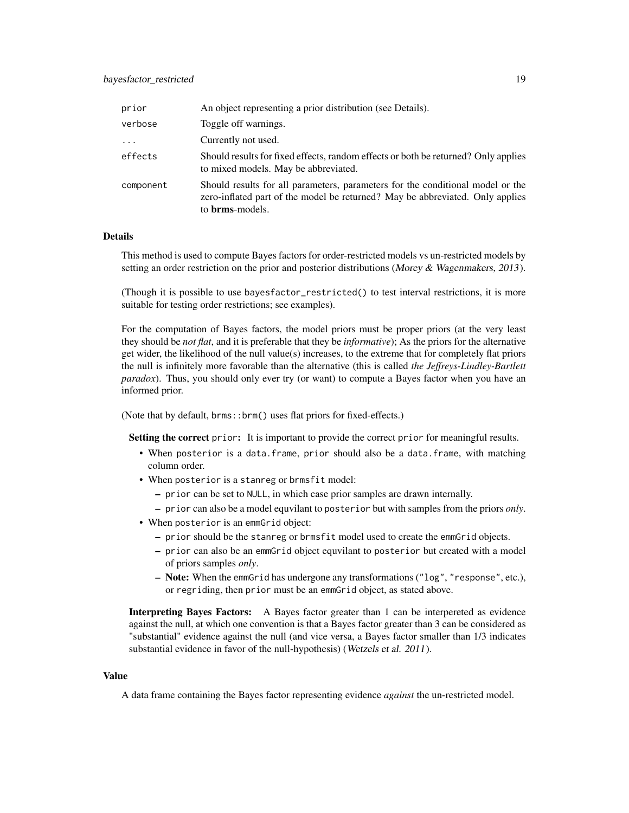| prior     | An object representing a prior distribution (see Details).                                                                                                                         |
|-----------|------------------------------------------------------------------------------------------------------------------------------------------------------------------------------------|
| verbose   | Toggle off warnings.                                                                                                                                                               |
| $\cdots$  | Currently not used.                                                                                                                                                                |
| effects   | Should results for fixed effects, random effects or both be returned? Only applies<br>to mixed models. May be abbreviated.                                                         |
| component | Should results for all parameters, parameters for the conditional model or the<br>zero-inflated part of the model be returned? May be abbreviated. Only applies<br>to brms-models. |

# Details

This method is used to compute Bayes factors for order-restricted models vs un-restricted models by setting an order restriction on the prior and posterior distributions (Morey & Wagenmakers, 2013).

(Though it is possible to use bayesfactor\_restricted() to test interval restrictions, it is more suitable for testing order restrictions; see examples).

For the computation of Bayes factors, the model priors must be proper priors (at the very least they should be *not flat*, and it is preferable that they be *informative*); As the priors for the alternative get wider, the likelihood of the null value(s) increases, to the extreme that for completely flat priors the null is infinitely more favorable than the alternative (this is called *the Jeffreys-Lindley-Bartlett paradox*). Thus, you should only ever try (or want) to compute a Bayes factor when you have an informed prior.

(Note that by default, brms::brm() uses flat priors for fixed-effects.)

Setting the correct prior: It is important to provide the correct prior for meaningful results.

- When posterior is a data.frame, prior should also be a data.frame, with matching column order.
- When posterior is a stanreg or brmsfit model:
	- prior can be set to NULL, in which case prior samples are drawn internally.
	- prior can also be a model equvilant to posterior but with samples from the priors *only*.
- When posterior is an emmGrid object:
	- prior should be the stanreg or brmsfit model used to create the emmGrid objects.
	- prior can also be an emmGrid object equvilant to posterior but created with a model of priors samples *only*.
	- Note: When the emmGrid has undergone any transformations ("log", "response", etc.), or regriding, then prior must be an emmGrid object, as stated above.

Interpreting Bayes Factors: A Bayes factor greater than 1 can be interpereted as evidence against the null, at which one convention is that a Bayes factor greater than 3 can be considered as "substantial" evidence against the null (and vice versa, a Bayes factor smaller than 1/3 indicates substantial evidence in favor of the null-hypothesis) (Wetzels et al. 2011).

# Value

A data frame containing the Bayes factor representing evidence *against* the un-restricted model.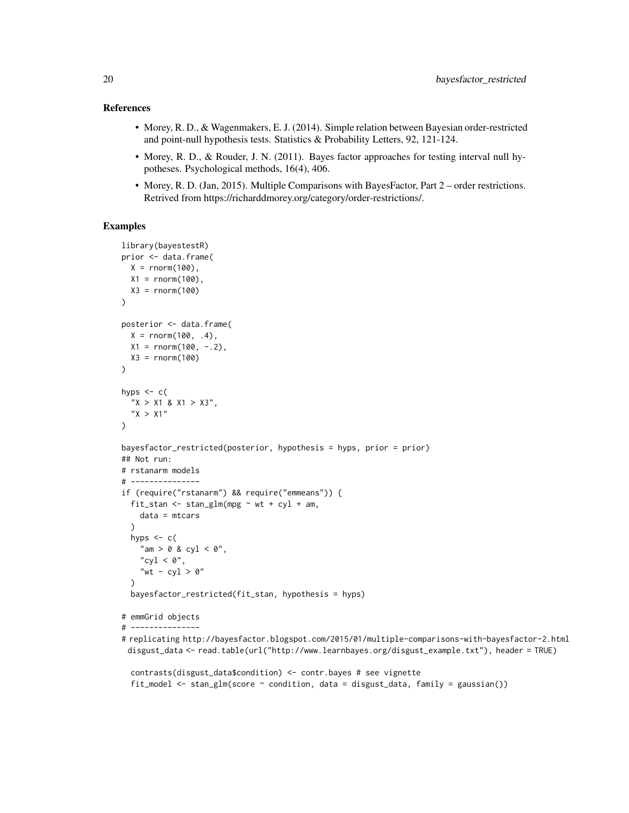## References

- Morey, R. D., & Wagenmakers, E. J. (2014). Simple relation between Bayesian order-restricted and point-null hypothesis tests. Statistics & Probability Letters, 92, 121-124.
- Morey, R. D., & Rouder, J. N. (2011). Bayes factor approaches for testing interval null hypotheses. Psychological methods, 16(4), 406.
- Morey, R. D. (Jan, 2015). Multiple Comparisons with BayesFactor, Part 2 order restrictions. Retrived from https://richarddmorey.org/category/order-restrictions/.

# Examples

```
library(bayestestR)
prior <- data.frame(
  X = rnorm(100),
  X1 = rnorm(100),
 X3 = rnorm(100))
posterior <- data.frame(
  X = rnorm(100, .4),
 X1 = rnorm(100, -2),
 X3 = rnorm(100)\lambdahyps \leq c(
  "X > X1 \& X1 > X3",
  "X > X1"\lambdabayesfactor_restricted(posterior, hypothesis = hyps, prior = prior)
## Not run:
# rstanarm models
# ---------------
if (require("rstanarm") && require("emmeans")) {
  fit_stan <- stan_glm(mpg \sim wt + cyl + am,
    data = mtcars
  )
  hyps \leq c(
    "am > 0 & cyl < 0",
    "cy1 < 0",
    "wt - cyl > 0"
  )
  bayesfactor_restricted(fit_stan, hypothesis = hyps)
# emmGrid objects
# ---------------
# replicating http://bayesfactor.blogspot.com/2015/01/multiple-comparisons-with-bayesfactor-2.html
 disgust_data <- read.table(url("http://www.learnbayes.org/disgust_example.txt"), header = TRUE)
```
fit\_model  $\le$  stan\_glm(score  $\sim$  condition, data = disgust\_data, family = gaussian())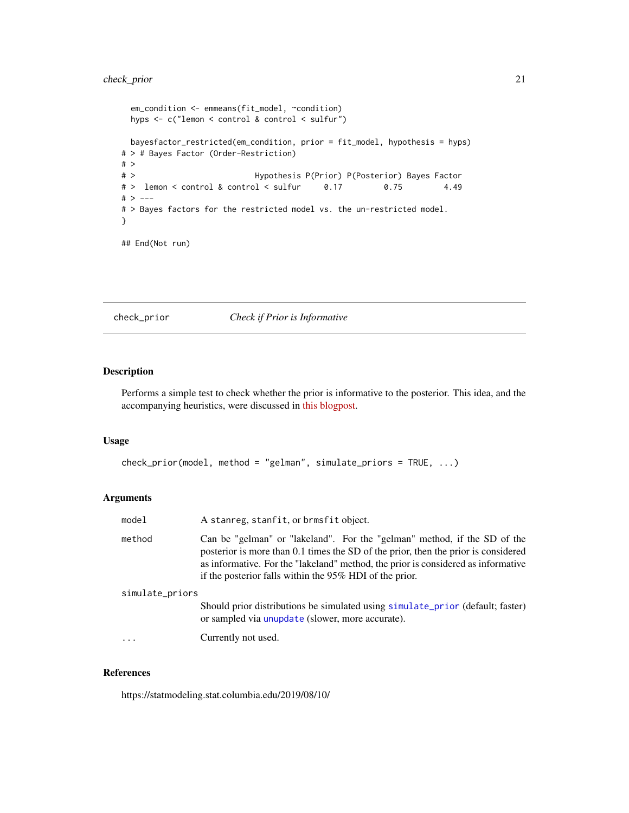# <span id="page-20-0"></span>check\_prior 21

```
em_condition <- emmeans(fit_model, ~condition)
 hyps <- c("lemon < control & control < sulfur")
 bayesfactor_restricted(em_condition, prior = fit_model, hypothesis = hyps)
# > # Bayes Factor (Order-Restriction)
# >
# > Hypothesis P(Prior) P(Posterior) Bayes Factor
# > lemon < control & control < sulfur 0.17 0.75 4.49
# > ---
# > Bayes factors for the restricted model vs. the un-restricted model.
}
## End(Not run)
```
# check\_prior *Check if Prior is Informative*

# Description

Performs a simple test to check whether the prior is informative to the posterior. This idea, and the accompanying heuristics, were discussed in [this blogpost.](https://statmodeling.stat.columbia.edu/2019/08/10/)

# Usage

```
check_prior(model, method = "gelman", simulate_priors = TRUE, ...)
```
# Arguments

| model           | A stanreg, stanfit, or brmsfit object.                                                                                                                                                                                                                                                                         |
|-----------------|----------------------------------------------------------------------------------------------------------------------------------------------------------------------------------------------------------------------------------------------------------------------------------------------------------------|
| method          | Can be "gelman" or "lakeland". For the "gelman" method, if the SD of the<br>posterior is more than 0.1 times the SD of the prior, then the prior is considered<br>as informative. For the "lakeland" method, the prior is considered as informative<br>if the posterior falls within the 95% HDI of the prior. |
| simulate_priors |                                                                                                                                                                                                                                                                                                                |
|                 | Should prior distributions be simulated using simulate_prior (default; faster)<br>or sampled via unupdate (slower, more accurate).                                                                                                                                                                             |
| .               | Currently not used.                                                                                                                                                                                                                                                                                            |

# References

https://statmodeling.stat.columbia.edu/2019/08/10/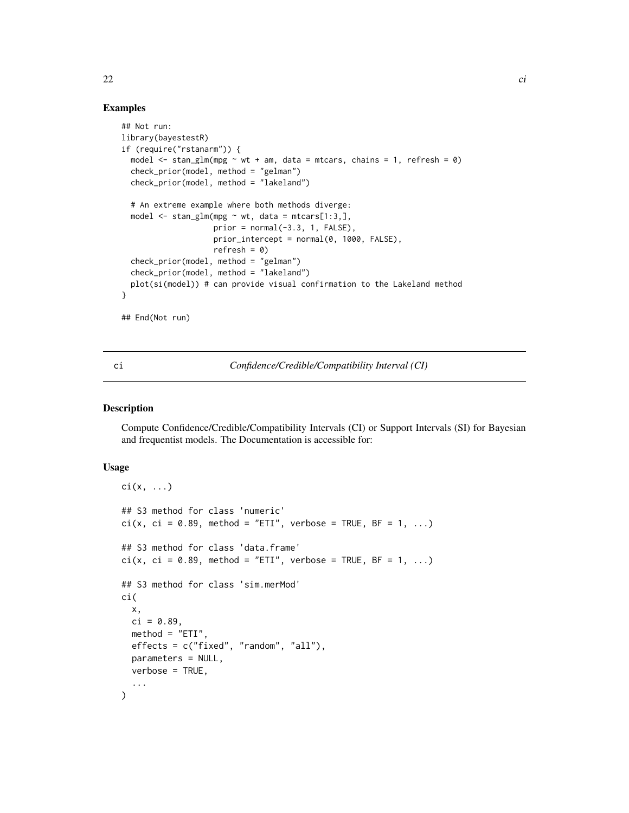# Examples

```
## Not run:
library(bayestestR)
if (require("rstanarm")) {
  model \le stan_glm(mpg \sim wt + am, data = mtcars, chains = 1, refresh = 0)
  check_prior(model, method = "gelman")
  check_prior(model, method = "lakeland")
  # An extreme example where both methods diverge:
  model \le stan_glm(mpg \sim wt, data = mtcars[1:3,],
                    prior = normal(-3.3, 1, FALSE),
                    prior_intercept = normal(0, 1000, FALSE),
                    refresh = 0)
  check_prior(model, method = "gelman")
  check_prior(model, method = "lakeland")
  plot(si(model)) # can provide visual confirmation to the Lakeland method
}
```
## End(Not run)

ci *Confidence/Credible/Compatibility Interval (CI)*

#### Description

Compute Confidence/Credible/Compatibility Intervals (CI) or Support Intervals (SI) for Bayesian and frequentist models. The Documentation is accessible for:

# Usage

```
\text{ci}(x, \ldots)## S3 method for class 'numeric'
ci(x, ci = 0.89, method = "ETI", verbose = TRUE, BF = 1, ...)## S3 method for class 'data.frame'
ci(x, ci = 0.89, method = "ETI", verbose = TRUE, BF = 1, ...)## S3 method for class 'sim.merMod'
ci(
  x,
  ci = 0.89,method = "ETI".effects = c("fixed", "random", "all"),
 parameters = NULL,
  verbose = TRUE,
  ...
)
```
<span id="page-21-0"></span>22 circle  $\overline{\phantom{a}}$  circle  $\overline{\phantom{a}}$  circle  $\overline{\phantom{a}}$  circle  $\overline{\phantom{a}}$  circle  $\overline{\phantom{a}}$  circle  $\overline{\phantom{a}}$  circle  $\overline{\phantom{a}}$  circle  $\overline{\phantom{a}}$  circle  $\overline{\phantom{a}}$  circle  $\overline{\phantom{a}}$  circle  $\overline{\phantom{a}}$  circle  $\$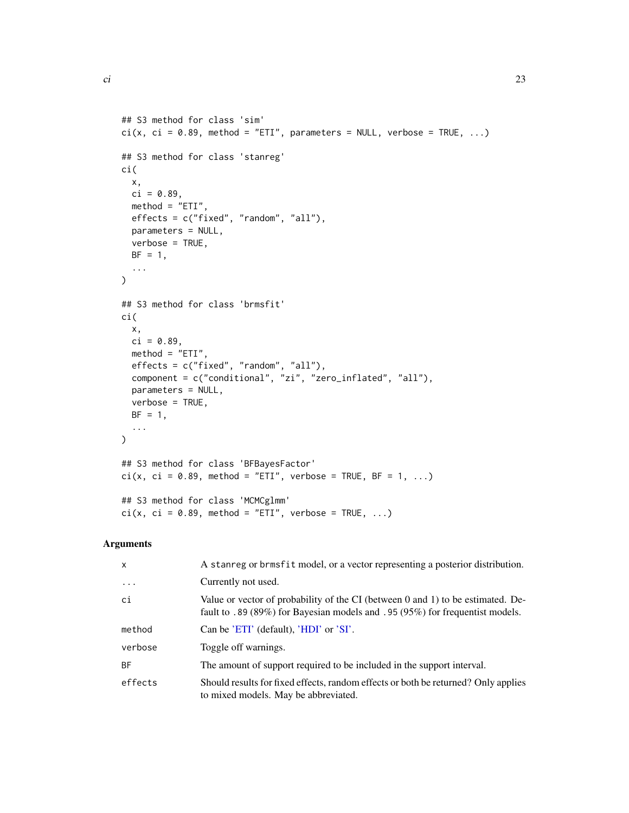ci( x,

## S3 method for class 'sim'

## S3 method for class 'stanreg'

```
ci(x, ci = 0.89, method = "ETI", parameters = NULL, verbose = TRUE, ...)
```

```
ci = 0.89,method = "ETI",effects = c("fixed", "random", "all"),
 parameters = NULL,
 verbose = TRUE,
 BF = 1,...
)
## S3 method for class 'brmsfit'
ci(
 x,
 ci = 0.89,
 method = "ETI",effects = c("fixed", "random", "all"),
 component = c("conditional", "zi", "zero_inflated", "all"),
 parameters = NULL,
 verbose = TRUE,
 BF = 1,...
\mathcal{L}## S3 method for class 'BFBayesFactor'
ci(x, ci = 0.89, method = "ETI", verbose = TRUE, BF = 1, ...)## S3 method for class 'MCMCglmm'
ci(x, ci = 0.89, method = "ETI", verbose = TRUE, ...)
```
# Arguments

| X       | A stanreg or brmsfit model, or a vector representing a posterior distribution.                                                                                  |
|---------|-----------------------------------------------------------------------------------------------------------------------------------------------------------------|
| .       | Currently not used.                                                                                                                                             |
| ci      | Value or vector of probability of the CI (between 0 and 1) to be estimated. De-<br>fault to .89 (89%) for Bayesian models and .95 (95%) for frequentist models. |
| method  | Can be 'ETI' (default), 'HDI' or 'SI'.                                                                                                                          |
| verbose | Toggle off warnings.                                                                                                                                            |
| ВF      | The amount of support required to be included in the support interval.                                                                                          |
| effects | Should results for fixed effects, random effects or both be returned? Only applies<br>to mixed models. May be abbreviated.                                      |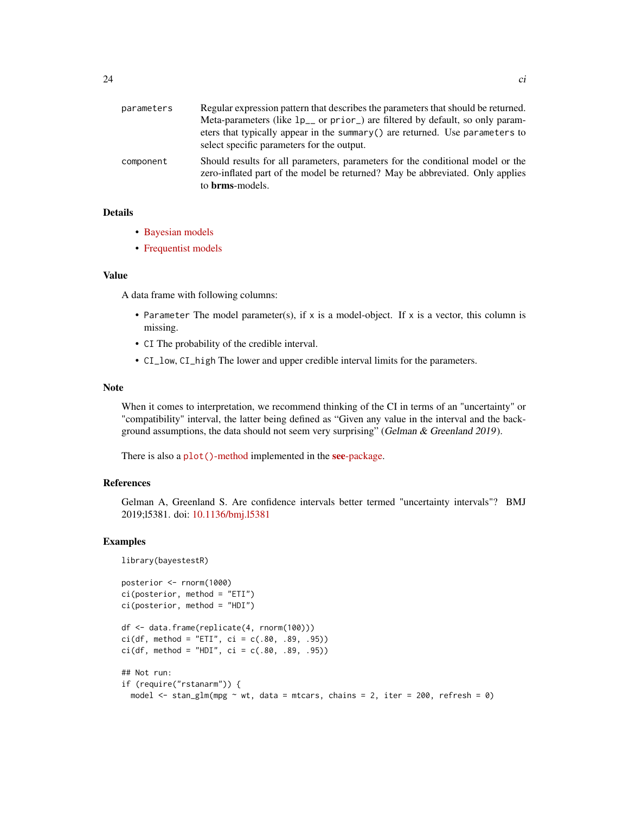| parameters | Regular expression pattern that describes the parameters that should be returned.                                                                                                          |
|------------|--------------------------------------------------------------------------------------------------------------------------------------------------------------------------------------------|
|            | Meta-parameters (like 1p <sub>-</sub> or prior) are filtered by default, so only param-                                                                                                    |
|            | eters that typically appear in the summary $()$ are returned. Use parameters to<br>select specific parameters for the output.                                                              |
|            |                                                                                                                                                                                            |
| component  | Should results for all parameters, parameters for the conditional model or the<br>zero-inflated part of the model be returned? May be abbreviated. Only applies<br>to <b>brms</b> -models. |
|            |                                                                                                                                                                                            |

# Details

- [Bayesian models](https://easystats.github.io/bayestestR/articles/credible_interval.html)
- [Frequentist models](https://easystats.github.io/parameters/reference/ci.merMod.html)

# Value

A data frame with following columns:

- Parameter The model parameter(s), if  $x$  is a model-object. If  $x$  is a vector, this column is missing.
- CI The probability of the credible interval.
- CI\_low, CI\_high The lower and upper credible interval limits for the parameters.

#### Note

When it comes to interpretation, we recommend thinking of the CI in terms of an "uncertainty" or "compatibility" interval, the latter being defined as "Given any value in the interval and the background assumptions, the data should not seem very surprising" (Gelman & Greenland 2019).

There is also a plot()[-method](https://easystats.github.io/see/articles/bayestestR.html) implemented in the see[-package.](https://easystats.github.io/see/)

# References

Gelman A, Greenland S. Are confidence intervals better termed "uncertainty intervals"? BMJ 2019;l5381. doi: [10.1136/bmj.l5381](https://doi.org/10.1136/bmj.l5381)

#### Examples

```
library(bayestestR)
posterior <- rnorm(1000)
ci(posterior, method = "ETI")
ci(posterior, method = "HDI")
df <- data.frame(replicate(4, rnorm(100)))
ci(df, method = "ETI", ci = c(.80, .89, .95))ci(df, method = "HDI", ci = c(.80, .89, .95))## Not run:
if (require("rstanarm")) {
  model \le stan_glm(mpg \sim wt, data = mtcars, chains = 2, iter = 200, refresh = 0)
```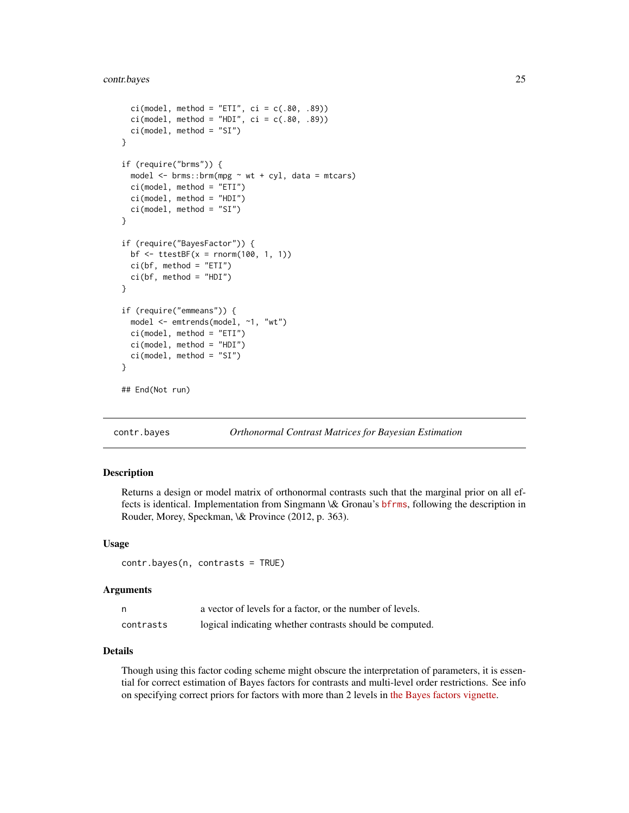# <span id="page-24-0"></span>contr.bayes 25

```
ci(model, method = "ETI", ci = c(.80, .89))ci(model, method = "HDI", ci = c(.80, .89))ci(model, method = "SI")
}
if (require("brms")) {
 model \leq brms::brm(mpg \sim wt + cyl, data = mtcars)
 ci(model, method = "ETI")
 ci(model, method = "HDI")
 ci(model, method = "SI")
}
if (require("BayesFactor")) {
 bf \le ttestBF(x = rnorm(100, 1, 1))
 ci(bf, method = "ETI")
 ci(bf, method = "HDI")
}
if (require("emmeans")) {
 model <- emtrends(model, ~1, "wt")
 ci(model, method = "ETI")
 ci(model, method = "HDI")
 ci(model, method = "SI")
}
## End(Not run)
```
contr.bayes *Orthonormal Contrast Matrices for Bayesian Estimation*

# Description

Returns a design or model matrix of orthonormal contrasts such that the marginal prior on all effects is identical. Implementation from Singmann \& Gronau's [bfrms](https://github.com/bayesstuff/bfrms/), following the description in Rouder, Morey, Speckman, \& Province (2012, p. 363).

# Usage

contr.bayes(n, contrasts = TRUE)

#### Arguments

|           | a vector of levels for a factor, or the number of levels. |
|-----------|-----------------------------------------------------------|
| contrasts | logical indicating whether contrasts should be computed.  |

# Details

Though using this factor coding scheme might obscure the interpretation of parameters, it is essential for correct estimation of Bayes factors for contrasts and multi-level order restrictions. See info on specifying correct priors for factors with more than 2 levels in [the Bayes factors vignette.](https://easystats.github.io/bayestestR/articles/bayes_factors.html)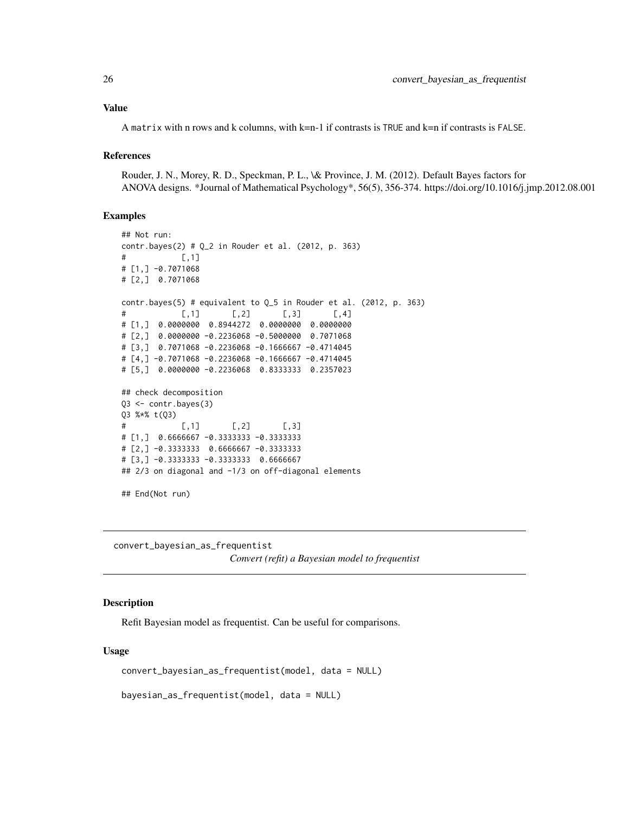# <span id="page-25-0"></span>Value

A matrix with n rows and k columns, with k=n-1 if contrasts is TRUE and k=n if contrasts is FALSE.

# References

Rouder, J. N., Morey, R. D., Speckman, P. L., \& Province, J. M. (2012). Default Bayes factors for ANOVA designs. \*Journal of Mathematical Psychology\*, 56(5), 356-374. https://doi.org/10.1016/j.jmp.2012.08.001

# Examples

```
## Not run:
contr.bayes(2) # Q_2 in Rouder et al. (2012, p. 363)
\sharp [, 1]
# [1,] -0.7071068
# [2,] 0.7071068
contr.bayes(5) # equivalent to Q_5 in Rouder et al. (2012, p. 363)
# [,1] [,2] [,3] [,4]
# [1,] 0.0000000 0.8944272 0.0000000 0.0000000
# [2,] 0.0000000 -0.2236068 -0.5000000 0.7071068
# [3,] 0.7071068 -0.2236068 -0.1666667 -0.4714045
# [4,] -0.7071068 -0.2236068 -0.1666667 -0.4714045
# [5,] 0.0000000 -0.2236068 0.8333333 0.2357023
## check decomposition
Q3 <- contr.bayes(3)
Q3 %*% t(Q3)
\sharp [,1] [,2] [,3]
# [1,] 0.6666667 -0.3333333 -0.3333333
# [2,] -0.3333333 0.6666667 -0.3333333
# [3,] -0.3333333 -0.3333333 0.6666667
## 2/3 on diagonal and -1/3 on off-diagonal elements
## End(Not run)
```
convert\_bayesian\_as\_frequentist *Convert (refit) a Bayesian model to frequentist*

# Description

Refit Bayesian model as frequentist. Can be useful for comparisons.

```
convert_bayesian_as_frequentist(model, data = NULL)
```

```
bayesian_as_frequentist(model, data = NULL)
```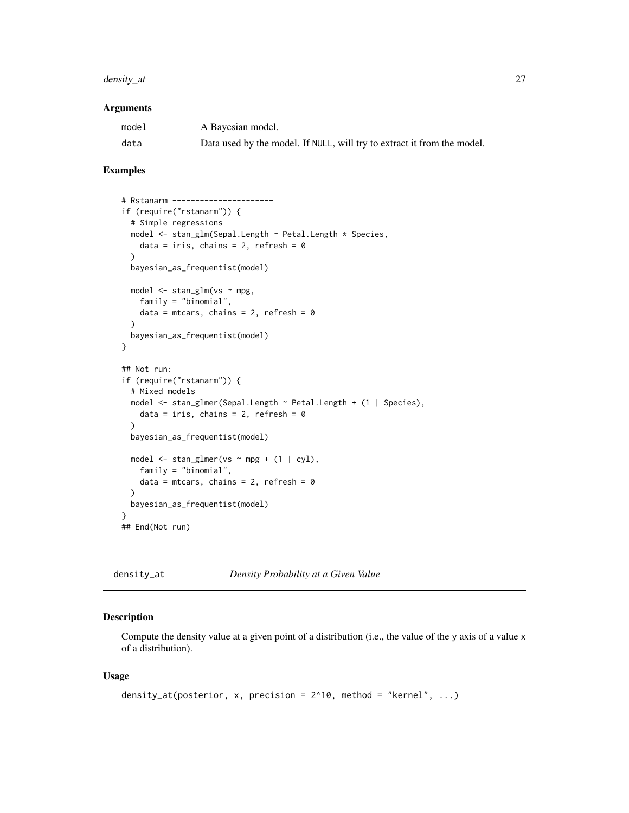# <span id="page-26-0"></span>density\_at 27

#### **Arguments**

| model | A Bayesian model.                                                       |
|-------|-------------------------------------------------------------------------|
| data  | Data used by the model. If NULL, will try to extract it from the model. |

# Examples

```
# Rstanarm ----------------------
if (require("rstanarm")) {
  # Simple regressions
  model <- stan_glm(Sepal.Length ~ Petal.Length * Species,
   data = iris, chains = 2, refresh = 0\lambdabayesian_as_frequentist(model)
  model <- stan_glm(vs ~ mpg,
   family = "binomial",
   data = mtcars, chains = 2, refresh = 0\lambdabayesian_as_frequentist(model)
}
## Not run:
if (require("rstanarm")) {
  # Mixed models
 model <- stan_glmer(Sepal.Length ~ Petal.Length + (1 | Species),
   data = iris, chains = 2, refresh = 0\lambdabayesian_as_frequentist(model)
  model \le stan_glmer(vs \sim mpg + (1 | cyl),
   family = "binomial",
   data = mtcars, chains = 2, refresh = 0)
  bayesian_as_frequentist(model)
}
## End(Not run)
```
density\_at *Density Probability at a Given Value*

#### Description

Compute the density value at a given point of a distribution (i.e., the value of the y axis of a value x of a distribution).

```
density_at(posterior, x, precision = 2^{\wedge}10, method = "kernel", ...)
```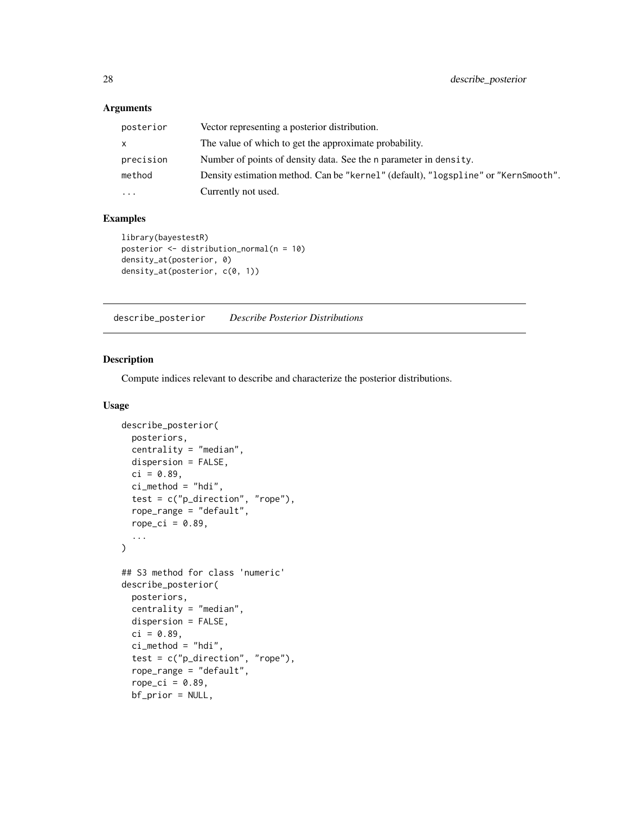# <span id="page-27-0"></span>Arguments

| posterior | Vector representing a posterior distribution.                                      |
|-----------|------------------------------------------------------------------------------------|
| x         | The value of which to get the approximate probability.                             |
| precision | Number of points of density data. See the n parameter in density.                  |
| method    | Density estimation method. Can be "kernel" (default), "logspline" or "KernSmooth". |
| $\ddots$  | Currently not used.                                                                |

# Examples

```
library(bayestestR)
posterior <- distribution_normal(n = 10)
density_at(posterior, 0)
density_at(posterior, c(0, 1))
```
describe\_posterior *Describe Posterior Distributions*

# Description

Compute indices relevant to describe and characterize the posterior distributions.

```
describe_posterior(
 posteriors,
  centrality = "median",
 dispersion = FALSE,
  ci = 0.89,ci_method = "hdi",
  test = c("p_direction", "rope"),
  rope_range = "default",
  rope_ci = 0.89,
  ...
\mathcal{L}## S3 method for class 'numeric'
describe_posterior(
 posteriors,
  centrality = "median",
 dispersion = FALSE,
  ci = 0.89,
  ci method = "hdi",
  test = c("p_direction", "rope"),rope_range = "default",
  rope\_ci = 0.89,bf_prior = NULL,
```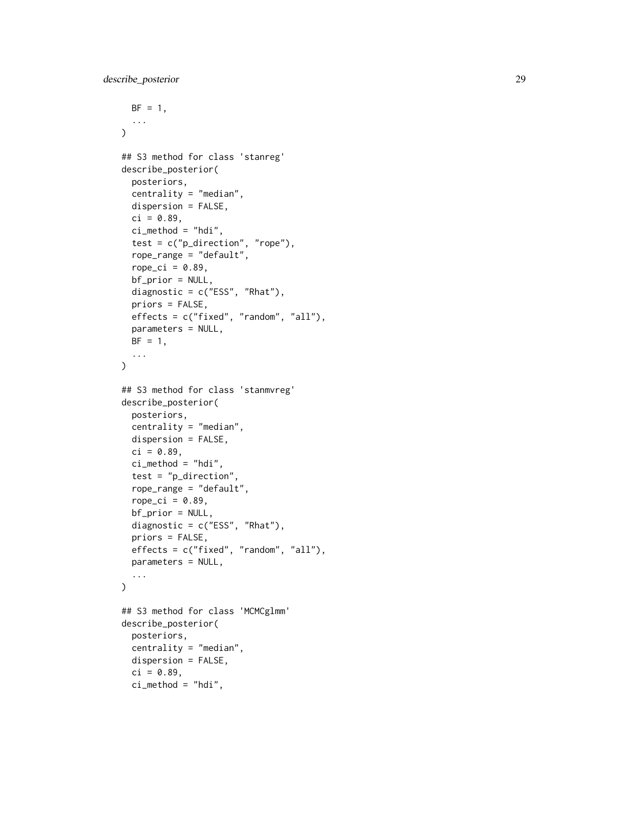```
BF = 1,...
\sum_{i=1}^{n}## S3 method for class 'stanreg'
describe_posterior(
 posteriors,
  centrality = "median",
 dispersion = FALSE,
  ci = 0.89,ci method = "hdi",
  test = c("p_direction", "rope"),rope_range = "default",
  rope_ci = 0.89,
 bf_prior = NULL,
  diagnostic = c("ESS", "Rhat"),
  priors = FALSE,
  effects = c("fixed", "random", "all"),
 parameters = NULL,
 BF = 1,
  ...
\mathcal{L}## S3 method for class 'stanmvreg'
describe_posterior(
 posteriors,
  centrality = "median",
 dispersion = FALSE,
  ci = 0.89,ci_method = "hdi",
  test = "p_direction",
  rope_range = "default",
  rope_ci = 0.89,
 bf_prior = NULL,
  diagnostic = c("ESS", "Rhat"),
 priors = FALSE,
  effects = c("fixed", "random", "all"),
 parameters = NULL,
  ...
\mathcal{L}## S3 method for class 'MCMCglmm'
describe_posterior(
 posteriors,
  centrality = "median",
  dispersion = FALSE,
  ci = 0.89,ci method = "hdi",
```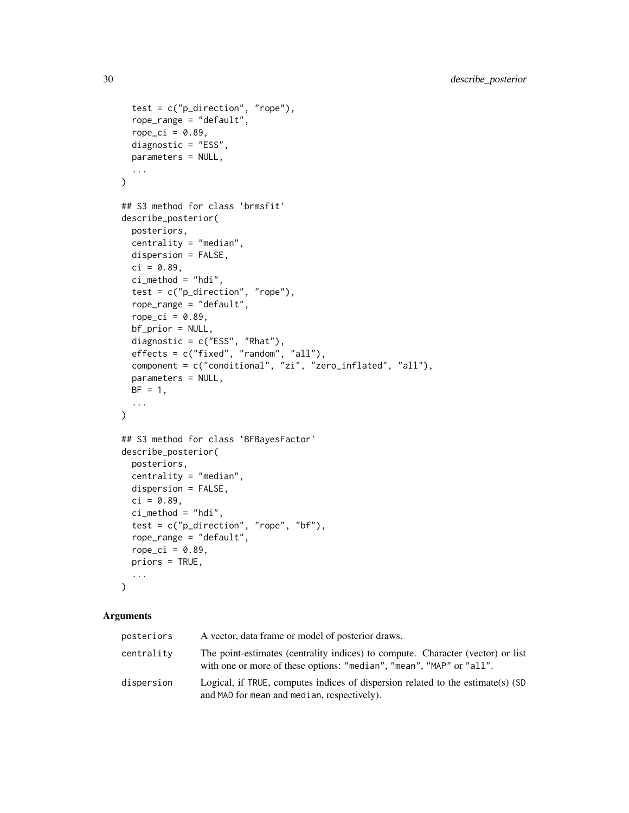```
test = c("p_direction", "rope"),
  rope_range = "default",
  rope_ci = 0.89,
 diagnostic = "ESS",
 parameters = NULL,
  ...
\lambda## S3 method for class 'brmsfit'
describe_posterior(
 posteriors,
 centrality = "median",
 dispersion = FALSE,
 ci = 0.89,ci method = "hdi",
  test = c("p_direction", "rope"),
  rope_range = "default",
  rope_ci = 0.89,
 bf_prior = NULL,
  diagnostic = c("ESS", "Rhat"),
  effects = c("fixed", "random", "all"),
  component = c("conditional", "zi", "zero_inflated", "all"),
 parameters = NULL,
 BF = 1,...
\lambda## S3 method for class 'BFBayesFactor'
describe_posterior(
 posteriors,
 centrality = "median",
 dispersion = FALSE,
 ci = 0.89,ci method = "hdi",
  test = c("p_direction", "rope", "bf"),
  rope_range = "default",
  rope_ci = 0.89,
 priors = TRUE,
  ...
\mathcal{L}
```
# Arguments

| posteriors | A vector, data frame or model of posterior draws.                                                                                                       |
|------------|---------------------------------------------------------------------------------------------------------------------------------------------------------|
| centrality | The point-estimates (centrality indices) to compute. Character (vector) or list<br>with one or more of these options: "median", "mean", "MAP" or "all". |
| dispersion | Logical, if TRUE, computes indices of dispersion related to the estimate(s) (SD<br>and MAD for mean and median, respectively).                          |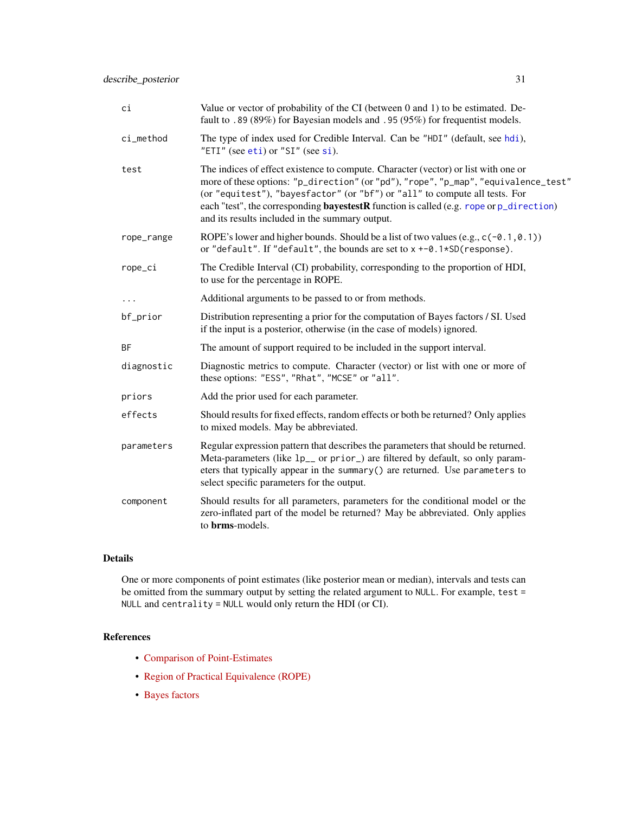| ci         | Value or vector of probability of the CI (between 0 and 1) to be estimated. De-<br>fault to .89 (89%) for Bayesian models and .95 (95%) for frequentist models.                                                                                                                                                                                                                                               |
|------------|---------------------------------------------------------------------------------------------------------------------------------------------------------------------------------------------------------------------------------------------------------------------------------------------------------------------------------------------------------------------------------------------------------------|
| ci_method  | The type of index used for Credible Interval. Can be "HDI" (default, see hdi),<br>"ETI" (see eti) or "SI" (see si).                                                                                                                                                                                                                                                                                           |
| test       | The indices of effect existence to compute. Character (vector) or list with one or<br>more of these options: "p_direction" (or "pd"), "rope", "p_map", "equivalence_test"<br>(or "equitest"), "bayesfactor" (or "bf") or "all" to compute all tests. For<br>each "test", the corresponding <b>bayestestR</b> function is called (e.g. rope or p_direction)<br>and its results included in the summary output. |
| rope_range | ROPE's lower and higher bounds. Should be a list of two values (e.g., $c(-0.1, 0.1)$ )<br>or "default". If "default", the bounds are set to $x + -0.1*SD$ (response).                                                                                                                                                                                                                                         |
| rope_ci    | The Credible Interval (CI) probability, corresponding to the proportion of HDI,<br>to use for the percentage in ROPE.                                                                                                                                                                                                                                                                                         |
| $\cdots$   | Additional arguments to be passed to or from methods.                                                                                                                                                                                                                                                                                                                                                         |
| bf_prior   | Distribution representing a prior for the computation of Bayes factors / SI. Used<br>if the input is a posterior, otherwise (in the case of models) ignored.                                                                                                                                                                                                                                                  |
| <b>BF</b>  | The amount of support required to be included in the support interval.                                                                                                                                                                                                                                                                                                                                        |
| diagnostic | Diagnostic metrics to compute. Character (vector) or list with one or more of<br>these options: "ESS", "Rhat", "MCSE" or "all".                                                                                                                                                                                                                                                                               |
| priors     | Add the prior used for each parameter.                                                                                                                                                                                                                                                                                                                                                                        |
| effects    | Should results for fixed effects, random effects or both be returned? Only applies<br>to mixed models. May be abbreviated.                                                                                                                                                                                                                                                                                    |
| parameters | Regular expression pattern that describes the parameters that should be returned.<br>Meta-parameters (like 1p <sub>-</sub> or prior) are filtered by default, so only param-<br>eters that typically appear in the summary() are returned. Use parameters to<br>select specific parameters for the output.                                                                                                    |
| component  | Should results for all parameters, parameters for the conditional model or the<br>zero-inflated part of the model be returned? May be abbreviated. Only applies<br>to brms-models.                                                                                                                                                                                                                            |

# Details

One or more components of point estimates (like posterior mean or median), intervals and tests can be omitted from the summary output by setting the related argument to NULL. For example, test = NULL and centrality = NULL would only return the HDI (or CI).

# References

- [Comparison of Point-Estimates](https://easystats.github.io/bayestestR/articles/indicesEstimationComparison.html)
- [Region of Practical Equivalence \(ROPE\)](https://easystats.github.io/bayestestR/articles/region_of_practical_equivalence.html)
- [Bayes factors](https://easystats.github.io/bayestestR/articles/bayes_factors.html)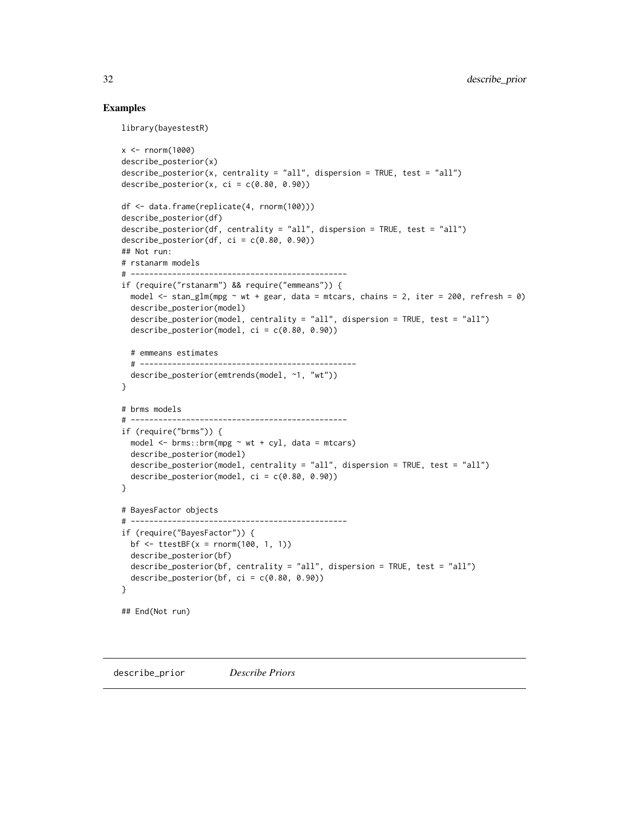# Examples

```
library(bayestestR)
x < - rnorm(1000)
describe_posterior(x)
describe_posterior(x, centrality = "all", dispersion = TRUE, test = "all")describe_posterior(x, ci = c(0.80, 0.90))
df <- data.frame(replicate(4, rnorm(100)))
describe_posterior(df)
describe_posterior(df, centrality = "all", dispersion = TRUE, test = "all")
describe_posterior(df, ci = c(0.80, 0.90))
## Not run:
# rstanarm models
# -----------------------------------------------
if (require("rstanarm") && require("emmeans")) {
  model \le stan_glm(mpg \sim wt + gear, data = mtcars, chains = 2, iter = 200, refresh = 0)
  describe_posterior(model)
  describe_posterior(model, centrality = "all", dispersion = TRUE, test = "all")
  describe_posterior(model, ci = c(0.80, 0.90))
  # emmeans estimates
  # -----------------------------------------------
  describe_posterior(emtrends(model, ~1, "wt"))
}
# brms models
# -----------------------------------------------
if (require("brms")) {
  model \leq brms::brm(mpg \sim wt + cyl, data = mtcars)
  describe_posterior(model)
  describe_posterior(model, centrality = "all", dispersion = TRUE, test = "all")
  describe_posterior(model, ci = c(0.80, 0.90))
}
# BayesFactor objects
# -----------------------------------------------
if (require("BayesFactor")) {
 bf \le ttestBF(x = rnorm(100, 1, 1))
  describe_posterior(bf)
  describe_posterior(bf, centrality = "all", dispersion = TRUE, test = "all")
  describe_posterior(bf, ci = c(0.80, 0.90))
}
## End(Not run)
```
describe\_prior *Describe Priors*

<span id="page-31-0"></span>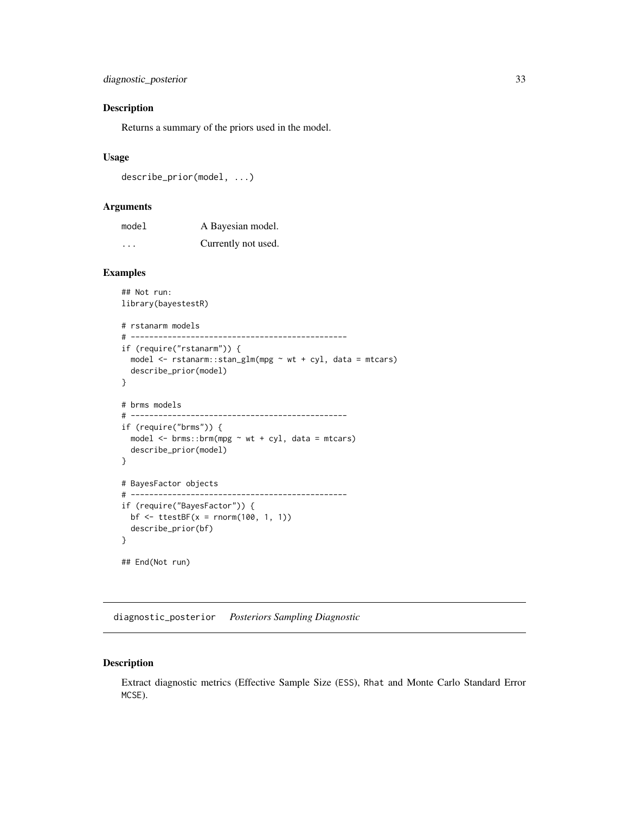# <span id="page-32-0"></span>Description

Returns a summary of the priors used in the model.

# Usage

```
describe_prior(model, ...)
```
#### Arguments

| model    | A Bayesian model.   |
|----------|---------------------|
| $\cdots$ | Currently not used. |

# Examples

```
## Not run:
library(bayestestR)
# rstanarm models
# -----------------------------------------------
if (require("rstanarm")) {
  model \le rstanarm::stan_glm(mpg \sim wt + cyl, data = mtcars)
  describe_prior(model)
}
# brms models
# -----------------------------------------------
if (require("brms")) {
  model \leq brms::brm(mpg \sim wt + cyl, data = mtcars)
  describe_prior(model)
}
# BayesFactor objects
# -----------------------------------------------
if (require("BayesFactor")) {
  bf \le ttestBF(x = rnorm(100, 1, 1))
  describe_prior(bf)
}
## End(Not run)
```
diagnostic\_posterior *Posteriors Sampling Diagnostic*

# Description

Extract diagnostic metrics (Effective Sample Size (ESS), Rhat and Monte Carlo Standard Error MCSE).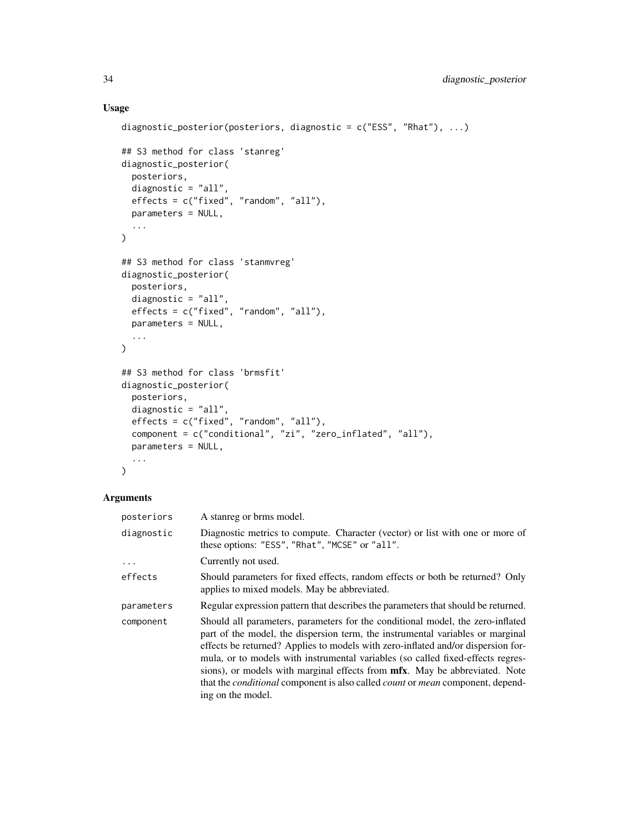# Usage

```
diagnostic_posterior(posteriors, diagnostic = c("ESS", "Rhat"), ...)
## S3 method for class 'stanreg'
diagnostic_posterior(
 posteriors,
 diagnostic = "all",
 effects = c("fixed", "random", "all"),
 parameters = NULL,
  ...
\mathcal{L}## S3 method for class 'stanmvreg'
diagnostic_posterior(
 posteriors,
 diagnostic = "all",
 effects = c("fixed", "random", "all"),
 parameters = NULL,
  ...
)
## S3 method for class 'brmsfit'
diagnostic_posterior(
 posteriors,
 diagnostic = "all",
 effects = c("fixed", "random", "all"),
 component = c("conditional", "zi", "zero_inflated", "all"),
 parameters = NULL,
  ...
\mathcal{L}
```
# Arguments

| posteriors | A stanreg or brms model.                                                                                                                                                                                                                                                                                                                                                                                                                                                                                                                                  |
|------------|-----------------------------------------------------------------------------------------------------------------------------------------------------------------------------------------------------------------------------------------------------------------------------------------------------------------------------------------------------------------------------------------------------------------------------------------------------------------------------------------------------------------------------------------------------------|
| diagnostic | Diagnostic metrics to compute. Character (vector) or list with one or more of<br>these options: "ESS", "Rhat", "MCSE" or "all".                                                                                                                                                                                                                                                                                                                                                                                                                           |
| $\ddots$ . | Currently not used.                                                                                                                                                                                                                                                                                                                                                                                                                                                                                                                                       |
| effects    | Should parameters for fixed effects, random effects or both be returned? Only<br>applies to mixed models. May be abbreviated.                                                                                                                                                                                                                                                                                                                                                                                                                             |
| parameters | Regular expression pattern that describes the parameters that should be returned.                                                                                                                                                                                                                                                                                                                                                                                                                                                                         |
| component  | Should all parameters, parameters for the conditional model, the zero-inflated<br>part of the model, the dispersion term, the instrumental variables or marginal<br>effects be returned? Applies to models with zero-inflated and/or dispersion for-<br>mula, or to models with instrumental variables (so called fixed-effects regres-<br>sions), or models with marginal effects from <b>mfx</b> . May be abbreviated. Note<br>that the <i>conditional</i> component is also called <i>count</i> or <i>mean</i> component, depend-<br>ing on the model. |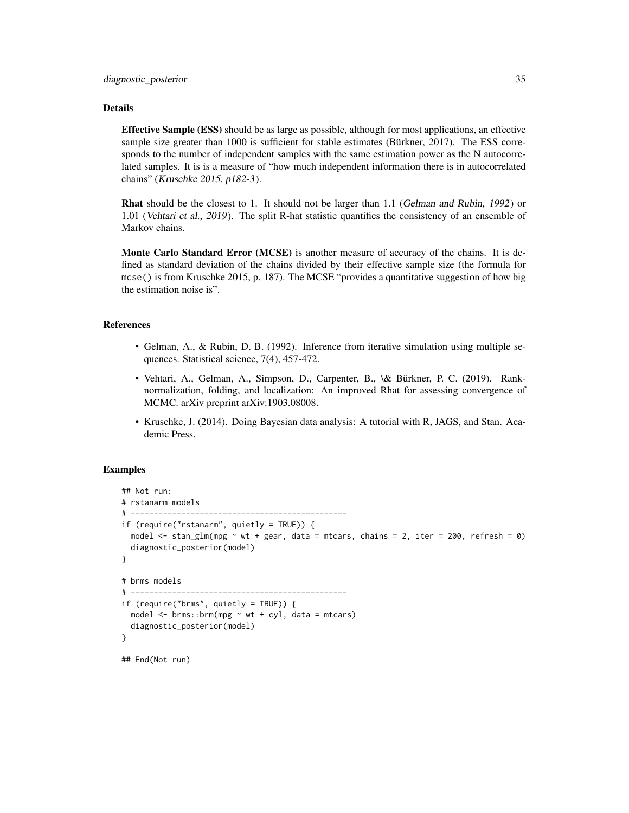#### Details

Effective Sample (ESS) should be as large as possible, although for most applications, an effective sample size greater than 1000 is sufficient for stable estimates (Bürkner, 2017). The ESS corresponds to the number of independent samples with the same estimation power as the N autocorrelated samples. It is is a measure of "how much independent information there is in autocorrelated chains" (Kruschke 2015, p182-3).

Rhat should be the closest to 1. It should not be larger than 1.1 (Gelman and Rubin, 1992) or 1.01 (Vehtari et al., 2019). The split R-hat statistic quantifies the consistency of an ensemble of Markov chains.

Monte Carlo Standard Error (MCSE) is another measure of accuracy of the chains. It is defined as standard deviation of the chains divided by their effective sample size (the formula for mcse() is from Kruschke 2015, p. 187). The MCSE "provides a quantitative suggestion of how big the estimation noise is".

#### References

- Gelman, A., & Rubin, D. B. (1992). Inference from iterative simulation using multiple sequences. Statistical science, 7(4), 457-472.
- Vehtari, A., Gelman, A., Simpson, D., Carpenter, B., \& Bürkner, P. C. (2019). Ranknormalization, folding, and localization: An improved Rhat for assessing convergence of MCMC. arXiv preprint arXiv:1903.08008.
- Kruschke, J. (2014). Doing Bayesian data analysis: A tutorial with R, JAGS, and Stan. Academic Press.

# Examples

```
## Not run:
# rstanarm models
# -----------------------------------------------
if (require("rstanarm", quietly = TRUE)) {
 model \le stan_glm(mpg \sim wt + gear, data = mtcars, chains = 2, iter = 200, refresh = 0)
 diagnostic_posterior(model)
}
# brms models
# -----------------------------------------------
if (require("brms", quietly = TRUE)) {
 model \leq brms::brm(mpg \sim wt + cyl, data = mtcars)
 diagnostic_posterior(model)
}
## End(Not run)
```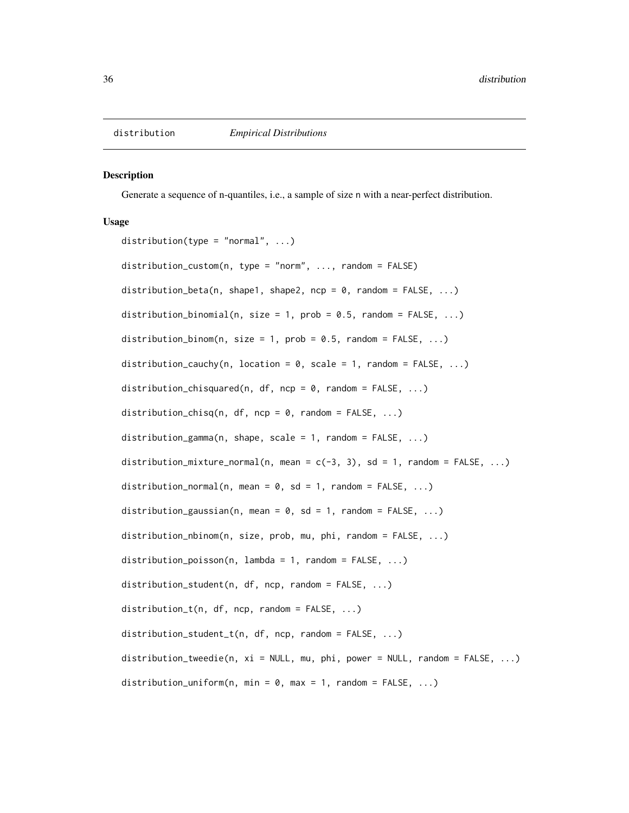<span id="page-35-0"></span>

#### Description

Generate a sequence of n-quantiles, i.e., a sample of size n with a near-perfect distribution.

# Usage

distribution(type = "normal",  $\dots$ ) distribution\_custom(n, type = "norm", ..., random = FALSE) distribution\_beta(n, shape1, shape2, ncp = 0, random =  $FALSE$ , ...) distribution\_binomial(n, size = 1, prob = 0.5, random =  $FALSE, ...)$ distribution\_binom(n, size = 1, prob =  $0.5$ , random =  $FALSE, ...$ ) distribution\_cauchy(n, location =  $0$ , scale = 1, random = FALSE, ...) distribution\_chisquared(n, df, ncp =  $0$ , random = FALSE, ...) distribution\_chisq(n, df, ncp =  $0$ , random = FALSE, ...) distribution\_gamma(n, shape, scale = 1, random =  $FALSE, ...$ ) distribution\_mixture\_normal(n, mean =  $c(-3, 3)$ , sd = 1, random = FALSE, ...) distribution\_normal(n, mean =  $0$ , sd = 1, random = FALSE, ...) distribution\_gaussian(n, mean =  $0$ , sd = 1, random = FALSE, ...) distribution\_nbinom(n, size, prob, mu, phi, random = FALSE, ...) distribution\_poisson(n, lambda = 1, random =  $FALKF, ...)$ distribution\_student(n, df, ncp, random = FALSE, ...) distribution\_t(n, df, ncp, random = FALSE, ...) distribution\_student\_t(n, df, ncp, random = FALSE, ...) distribution\_tweedie(n, xi = NULL, mu, phi, power = NULL, random = FALSE, ...) distribution\_uniform(n, min =  $0$ , max = 1, random = FALSE, ...)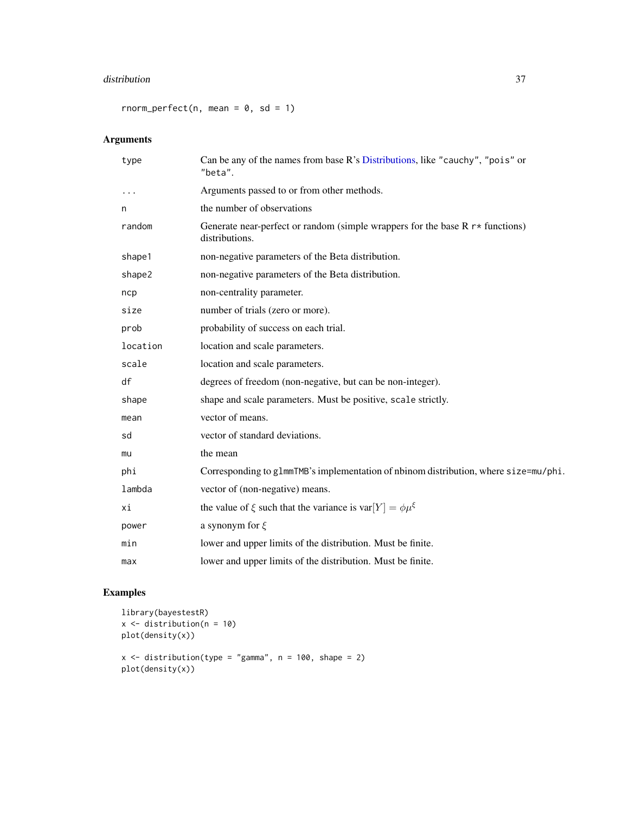#### distribution 37

rnorm\_perfect(n, mean =  $0$ , sd = 1)

# Arguments

| type     | Can be any of the names from base R's Distributions, like "cauchy", "pois" or<br>"beta".                       |
|----------|----------------------------------------------------------------------------------------------------------------|
| $\cdots$ | Arguments passed to or from other methods.                                                                     |
| n        | the number of observations                                                                                     |
| random   | Generate near-perfect or random (simple wrappers for the base $R \rightharpoonup$ functions)<br>distributions. |
| shape1   | non-negative parameters of the Beta distribution.                                                              |
| shape2   | non-negative parameters of the Beta distribution.                                                              |
| ncp      | non-centrality parameter.                                                                                      |
| size     | number of trials (zero or more).                                                                               |
| prob     | probability of success on each trial.                                                                          |
| location | location and scale parameters.                                                                                 |
| scale    | location and scale parameters.                                                                                 |
| df       | degrees of freedom (non-negative, but can be non-integer).                                                     |
| shape    | shape and scale parameters. Must be positive, scale strictly.                                                  |
| mean     | vector of means.                                                                                               |
| sd       | vector of standard deviations.                                                                                 |
| mu       | the mean                                                                                                       |
| phi      | Corresponding to g1mmTMB's implementation of nbinom distribution, where size=mu/phi.                           |
| lambda   | vector of (non-negative) means.                                                                                |
| хi       | the value of $\xi$ such that the variance is var $[Y] = \phi \mu^{\xi}$                                        |
| power    | a synonym for $\xi$                                                                                            |
| min      | lower and upper limits of the distribution. Must be finite.                                                    |
| max      | lower and upper limits of the distribution. Must be finite.                                                    |

```
library(bayestestR)
x \leftarrow distribution(n = 10)
plot(density(x))
x \le - distribution(type = "gamma", n = 100, shape = 2)
plot(density(x))
```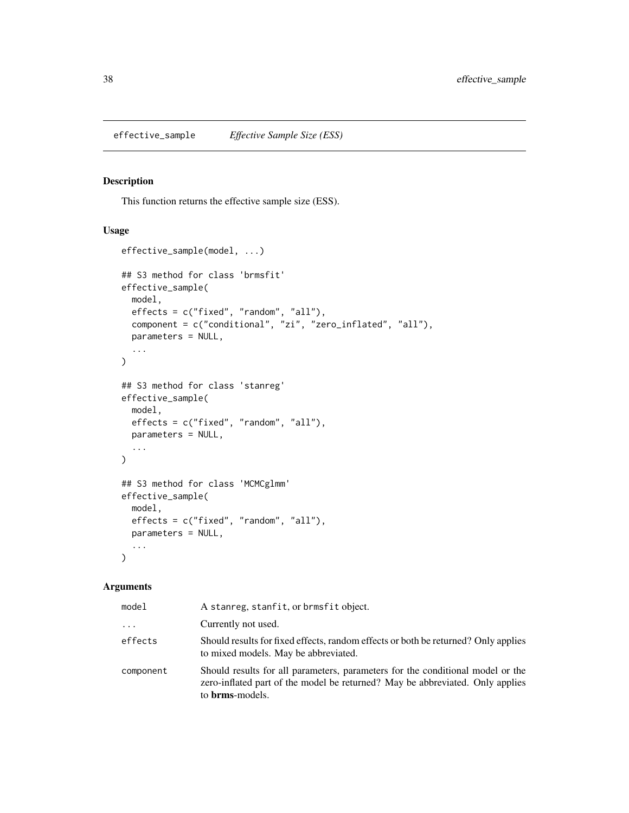## Description

This function returns the effective sample size (ESS).

# Usage

```
effective_sample(model, ...)
## S3 method for class 'brmsfit'
effective_sample(
 model,
 effects = c("fixed", "random", "all"),
 component = c("conditional", "zi", "zero_inflated", "all"),
 parameters = NULL,
  ...
\mathcal{L}## S3 method for class 'stanreg'
effective_sample(
 model,
 effects = c("fixed", "random", "all"),
 parameters = NULL,
  ...
\mathcal{L}## S3 method for class 'MCMCglmm'
effective_sample(
 model,
 effects = c("fixed", "random", "all"),
 parameters = NULL,
  ...
\mathcal{L}
```

| model     | A stanreg, stanfit, or brmsfit object.                                                                                                                                                     |
|-----------|--------------------------------------------------------------------------------------------------------------------------------------------------------------------------------------------|
| $\cdots$  | Currently not used.                                                                                                                                                                        |
| effects   | Should results for fixed effects, random effects or both be returned? Only applies<br>to mixed models. May be abbreviated.                                                                 |
| component | Should results for all parameters, parameters for the conditional model or the<br>zero-inflated part of the model be returned? May be abbreviated. Only applies<br>to <b>brms</b> -models. |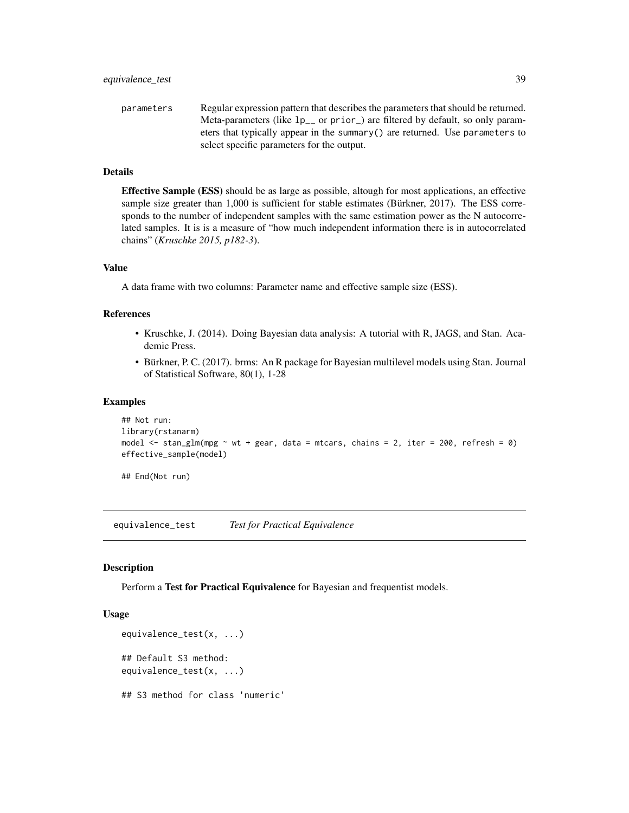parameters Regular expression pattern that describes the parameters that should be returned. Meta-parameters (like lp\_\_ or prior\_) are filtered by default, so only parameters that typically appear in the summary() are returned. Use parameters to select specific parameters for the output.

# Details

Effective Sample (ESS) should be as large as possible, altough for most applications, an effective sample size greater than 1,000 is sufficient for stable estimates (Bürkner, 2017). The ESS corresponds to the number of independent samples with the same estimation power as the N autocorrelated samples. It is is a measure of "how much independent information there is in autocorrelated chains" (*Kruschke 2015, p182-3*).

### Value

A data frame with two columns: Parameter name and effective sample size (ESS).

## References

- Kruschke, J. (2014). Doing Bayesian data analysis: A tutorial with R, JAGS, and Stan. Academic Press.
- Bürkner, P. C. (2017). brms: An R package for Bayesian multilevel models using Stan. Journal of Statistical Software, 80(1), 1-28

#### Examples

```
## Not run:
library(rstanarm)
model \le stan_glm(mpg \sim wt + gear, data = mtcars, chains = 2, iter = 200, refresh = 0)
effective_sample(model)
```
## End(Not run)

equivalence\_test *Test for Practical Equivalence*

#### **Description**

Perform a Test for Practical Equivalence for Bayesian and frequentist models.

```
equivalence_test(x, ...)
## Default S3 method:
equivalence_test(x, ...)
## S3 method for class 'numeric'
```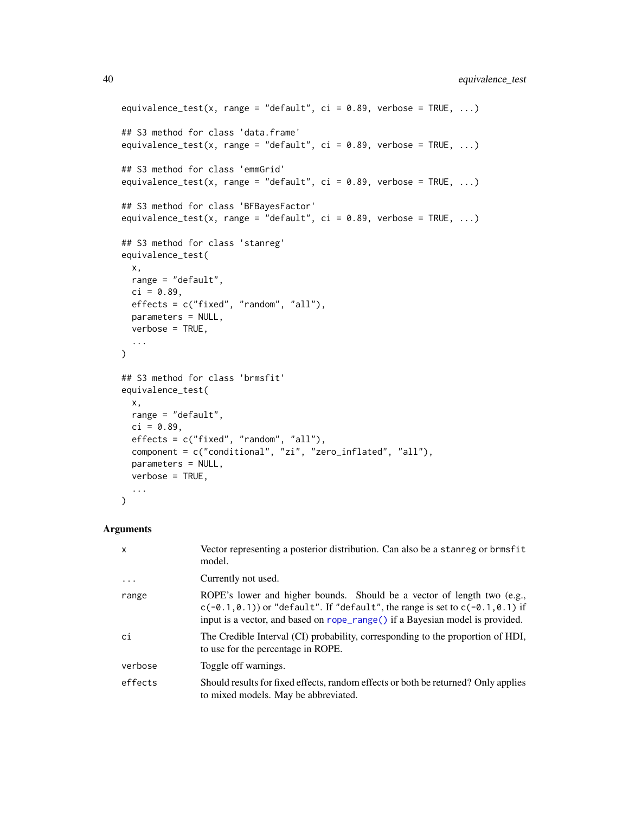```
equivalence_test(x, range = "default", ci = 0.89, verbose = TRUE, ...)
## S3 method for class 'data.frame'
equivalence_test(x, range = "default", ci = 0.89, verbose = TRUE, ...)
## S3 method for class 'emmGrid'
equivalence_test(x, range = "default", ci = 0.89, verbose = TRUE, ...)
## S3 method for class 'BFBayesFactor'
equivalence_test(x, range = "default", ci = 0.89, verbose = TRUE, ...)
## S3 method for class 'stanreg'
equivalence_test(
 x,
 range = "default",
 ci = 0.89,effects = c("fixed", "random", "all"),
 parameters = NULL,
 verbose = TRUE,
  ...
\mathcal{L}## S3 method for class 'brmsfit'
equivalence_test(
 x,
 range = "default",
 ci = 0.89,effects = c("fixed", "random", "all"),
  component = c("conditional", "zi", "zero_inflated", "all"),
 parameters = NULL,
 verbose = TRUE,
  ...
\mathcal{L}
```

| $\mathsf{x}$ | Vector representing a posterior distribution. Can also be a stanreg or brmsfit<br>model.                                                                                                                                                     |
|--------------|----------------------------------------------------------------------------------------------------------------------------------------------------------------------------------------------------------------------------------------------|
| $\ddotsc$    | Currently not used.                                                                                                                                                                                                                          |
| range        | ROPE's lower and higher bounds. Should be a vector of length two (e.g.,<br>$c(-0.1, 0.1)$ or "default". If "default", the range is set to $c(-0.1, 0.1)$ if<br>input is a vector, and based on rope_range() if a Bayesian model is provided. |
| ci           | The Credible Interval (CI) probability, corresponding to the proportion of HDI,<br>to use for the percentage in ROPE.                                                                                                                        |
| verbose      | Toggle off warnings.                                                                                                                                                                                                                         |
| effects      | Should results for fixed effects, random effects or both be returned? Only applies<br>to mixed models. May be abbreviated.                                                                                                                   |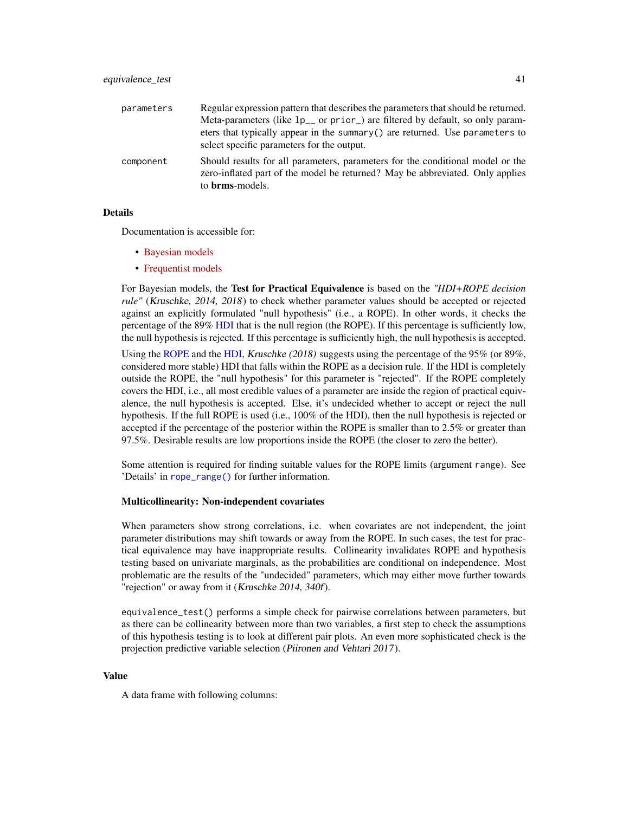| parameters | Regular expression pattern that describes the parameters that should be returned.<br>Meta-parameters (like $lp_{--}$ or prior <sub>-</sub> ) are filtered by default, so only param-<br>eters that typically appear in the summary $()$ are returned. Use parameters to<br>select specific parameters for the output. |
|------------|-----------------------------------------------------------------------------------------------------------------------------------------------------------------------------------------------------------------------------------------------------------------------------------------------------------------------|
| component  | Should results for all parameters, parameters for the conditional model or the<br>zero-inflated part of the model be returned? May be abbreviated. Only applies<br>to <b>brms</b> -models.                                                                                                                            |

## Details

Documentation is accessible for:

- [Bayesian models](https://easystats.github.io/bayestestR/reference/equivalence_test.html)
- [Frequentist models](https://easystats.github.io/parameters/reference/equivalence_test.lm.html)

For Bayesian models, the Test for Practical Equivalence is based on the *"HDI+ROPE decision rule"* (Kruschke, 2014, 2018) to check whether parameter values should be accepted or rejected against an explicitly formulated "null hypothesis" (i.e., a ROPE). In other words, it checks the percentage of the 89% [HDI](#page-47-0) that is the null region (the ROPE). If this percentage is sufficiently low, the null hypothesis is rejected. If this percentage is sufficiently high, the null hypothesis is accepted.

Using the [ROPE](#page-74-0) and the [HDI,](#page-47-0) Kruschke (2018) suggests using the percentage of the 95% (or 89%, considered more stable) HDI that falls within the ROPE as a decision rule. If the HDI is completely outside the ROPE, the "null hypothesis" for this parameter is "rejected". If the ROPE completely covers the HDI, i.e., all most credible values of a parameter are inside the region of practical equivalence, the null hypothesis is accepted. Else, it's undecided whether to accept or reject the null hypothesis. If the full ROPE is used (i.e., 100% of the HDI), then the null hypothesis is rejected or accepted if the percentage of the posterior within the ROPE is smaller than to 2.5% or greater than 97.5%. Desirable results are low proportions inside the ROPE (the closer to zero the better).

Some attention is required for finding suitable values for the ROPE limits (argument range). See 'Details' in [rope\\_range\(\)](#page-77-0) for further information.

# Multicollinearity: Non-independent covariates

When parameters show strong correlations, i.e. when covariates are not independent, the joint parameter distributions may shift towards or away from the ROPE. In such cases, the test for practical equivalence may have inappropriate results. Collinearity invalidates ROPE and hypothesis testing based on univariate marginals, as the probabilities are conditional on independence. Most problematic are the results of the "undecided" parameters, which may either move further towards "rejection" or away from it (Kruschke 2014, 340f).

equivalence\_test() performs a simple check for pairwise correlations between parameters, but as there can be collinearity between more than two variables, a first step to check the assumptions of this hypothesis testing is to look at different pair plots. An even more sophisticated check is the projection predictive variable selection (Piironen and Vehtari 2017).

#### Value

A data frame with following columns: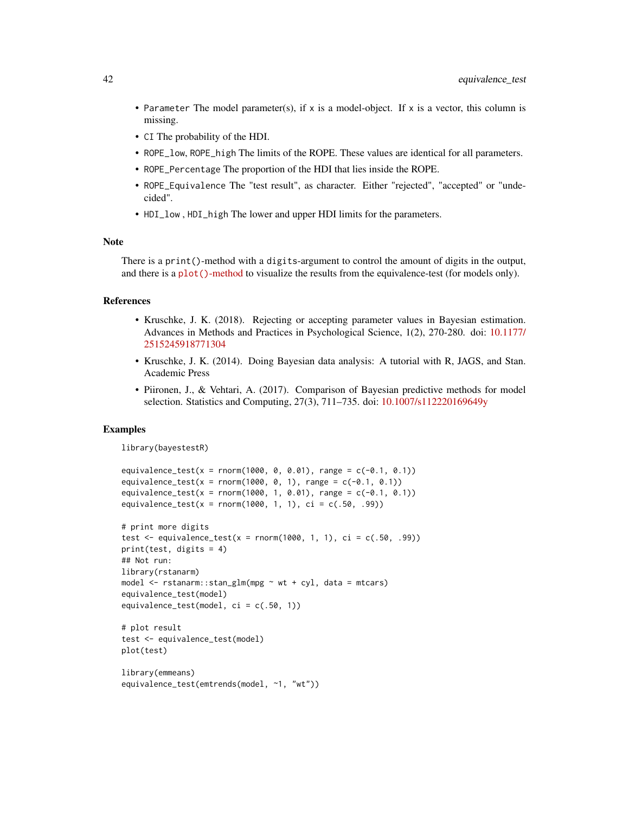- Parameter The model parameter(s), if x is a model-object. If x is a vector, this column is missing.
- CI The probability of the HDI.
- ROPE\_low, ROPE\_high The limits of the ROPE. These values are identical for all parameters.
- ROPE\_Percentage The proportion of the HDI that lies inside the ROPE.
- ROPE\_Equivalence The "test result", as character. Either "rejected", "accepted" or "undecided".
- HDI\_low , HDI\_high The lower and upper HDI limits for the parameters.

# Note

There is a print()-method with a digits-argument to control the amount of digits in the output, and there is a plot()[-method](https://easystats.github.io/see/articles/bayestestR.html) to visualize the results from the equivalence-test (for models only).

#### References

- Kruschke, J. K. (2018). Rejecting or accepting parameter values in Bayesian estimation. Advances in Methods and Practices in Psychological Science, 1(2), 270-280. doi: [10.1177/](https://doi.org/10.1177/2515245918771304) [2515245918771304](https://doi.org/10.1177/2515245918771304)
- Kruschke, J. K. (2014). Doing Bayesian data analysis: A tutorial with R, JAGS, and Stan. Academic Press
- Piironen, J., & Vehtari, A. (2017). Comparison of Bayesian predictive methods for model selection. Statistics and Computing, 27(3), 711–735. doi: [10.1007/s112220169649y](https://doi.org/10.1007/s11222-016-9649-y)

```
library(bayestestR)
```

```
equivalence_test(x = rnorm(1000, 0, 0.01), range = c(-0.1, 0.1))
equivalence_test(x = rnorm(1000, 0, 1), range = c(-0.1, 0.1))
equivalence_test(x = rnorm(1000, 1, 0.01), range = c(-0.1, 0.1))
equivalence_test(x = rnorm(1000, 1, 1), ci = c(.50, .99))
```

```
# print more digits
test \leq equivalence_test(x = rnorm(1000, 1, 1), ci = c(.50, .99))
print(test, digits = 4)
## Not run:
library(rstanarm)
model <- rstanarm::stan_glm(mpg ~ wt + cyl, data = mtcars)
equivalence_test(model)
equivalence_test(model, ci = c(.50, 1))
```

```
# plot result
test <- equivalence_test(model)
plot(test)
```

```
library(emmeans)
equivalence_test(emtrends(model, ~1, "wt"))
```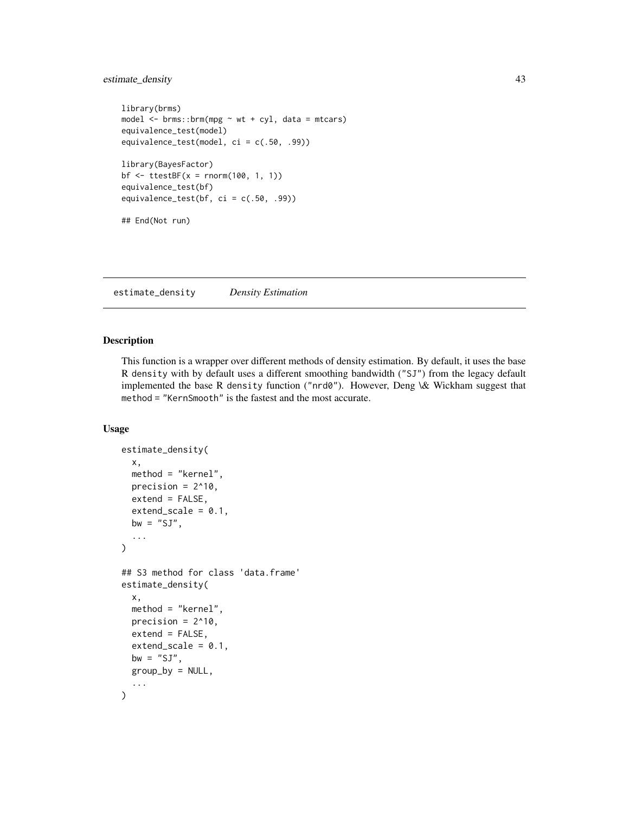# estimate\_density 43

```
library(brms)
model \leq brms::brm(mpg \sim wt + cyl, data = mtcars)
equivalence_test(model)
equivalence_test(model, ci = c(.50, .99))
library(BayesFactor)
bf \le ttestBF(x = rnorm(100, 1, 1))
equivalence_test(bf)
equivalence_test(bf, ci = c(.50, .99))## End(Not run)
```
<span id="page-42-0"></span>estimate\_density *Density Estimation*

## Description

This function is a wrapper over different methods of density estimation. By default, it uses the base R density with by default uses a different smoothing bandwidth ("SJ") from the legacy default implemented the base R density function ("nrd0"). However, Deng \& Wickham suggest that method = "KernSmooth" is the fastest and the most accurate.

```
estimate_density(
 x,
 method = "kernel",
 precision = 2^10,
 extend = FALSE,extend\_scale = 0.1,
 bw = "SJ",...
\mathcal{L}## S3 method for class 'data.frame'
estimate_density(
 x,
 method = "kernel",
 precision = 2^{\wedge}10,
 extend = FALSE,
 extend\_scale = 0.1,
 bw = "SJ".
 group_by = NULL,...
)
```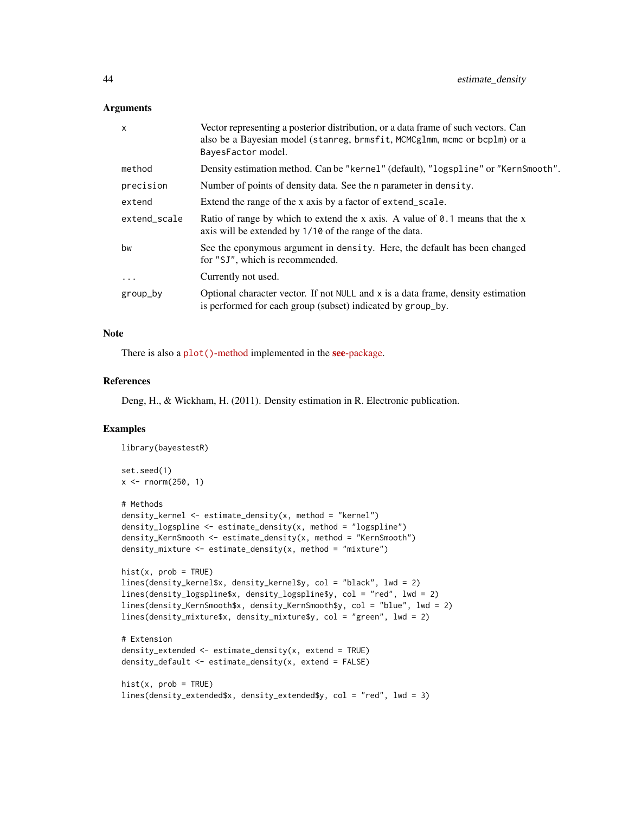#### **Arguments**

| $\times$     | Vector representing a posterior distribution, or a data frame of such vectors. Can<br>also be a Bayesian model (stanreg, brmsfit, MCMCglmm, mcmc or bcplm) or a<br>BayesFactor model. |
|--------------|---------------------------------------------------------------------------------------------------------------------------------------------------------------------------------------|
| method       | Density estimation method. Can be "kernel" (default), "logspline" or "KernSmooth".                                                                                                    |
| precision    | Number of points of density data. See the n parameter in density.                                                                                                                     |
| extend       | Extend the range of the x axis by a factor of extend_scale.                                                                                                                           |
| extend scale | Ratio of range by which to extend the x axis. A value of $\theta$ . 1 means that the x<br>axis will be extended by 1/10 of the range of the data.                                     |
| bw           | See the eponymous argument in density. Here, the default has been changed<br>for "SJ", which is recommended.                                                                          |
| $\ddotsc$    | Currently not used.                                                                                                                                                                   |
| group_by     | Optional character vector. If not $NULL$ and $x$ is a data frame, density estimation<br>is performed for each group (subset) indicated by group_by.                                   |

# Note

There is also a  $plot()$ [-method](https://easystats.github.io/see/articles/bayestestR.html) implemented in the see[-package.](https://easystats.github.io/see/)

## References

Deng, H., & Wickham, H. (2011). Density estimation in R. Electronic publication.

```
library(bayestestR)
set.seed(1)
x < - rnorm(250, 1)
# Methods
density_kernel \leq estimate_density(x, method = "kernel")
density_logspline <- estimate_density(x, method = "logspline")
density_KernSmooth <- estimate_density(x, method = "KernSmooth")
density_mixture <- estimate_density(x, method = "mixture")
hist(x, prob = TRUE)lines(density_kernel$x, density_kernel$y, col = "black", lwd = 2)
lines(density_logspline$x, density_logspline$y, col = "red", lwd = 2)
lines(density_KernSmooth$x, density_KernSmooth$y, col = "blue", lwd = 2)
lines(density_mixture$x, density_mixture$y, col = "green", lwd = 2)
# Extension
density_extended <- estimate_density(x, extend = TRUE)
density_default <- estimate_density(x, extend = FALSE)
hist(x, prob = TRUE)lines(density_extended$x, density_extended$y, col = "red", lwd = 3)
```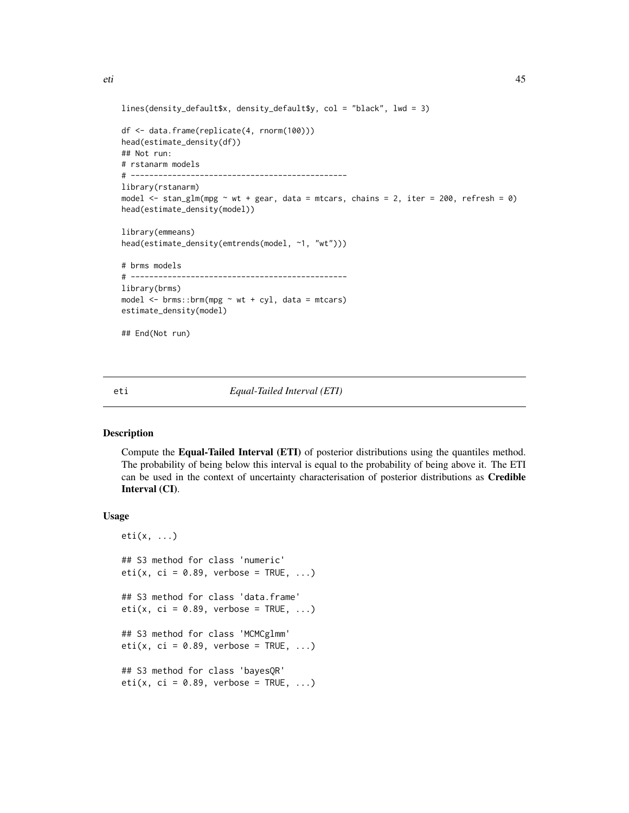```
lines(density_default$x, density_default$y, col = "black", lwd = 3)
df <- data.frame(replicate(4, rnorm(100)))
head(estimate_density(df))
## Not run:
# rstanarm models
# -----------------------------------------------
library(rstanarm)
model \le stan_glm(mpg \sim wt + gear, data = mtcars, chains = 2, iter = 200, refresh = 0)
head(estimate_density(model))
library(emmeans)
head(estimate_density(emtrends(model, ~1, "wt")))
# brms models
# -----------------------------------------------
library(brms)
model \leq brms::brm(mpg \sim wt + cyl, data = mtcars)
estimate_density(model)
## End(Not run)
```
#### <span id="page-44-0"></span>eti *Equal-Tailed Interval (ETI)*

### Description

Compute the Equal-Tailed Interval (ETI) of posterior distributions using the quantiles method. The probability of being below this interval is equal to the probability of being above it. The ETI can be used in the context of uncertainty characterisation of posterior distributions as Credible Interval (CI).

```
eti(x, \ldots)## S3 method for class 'numeric'
eti(x, ci = 0.89, verbose = TRUE, ...)
## S3 method for class 'data.frame'
eti(x, ci = 0.89, verbose = TRUE, ...)
## S3 method for class 'MCMCglmm'
eti(x, ci = 0.89, verbose = TRUE, ...)
## S3 method for class 'bayesQR'
eti(x, ci = 0.89, verbose = TRUE, ...)
```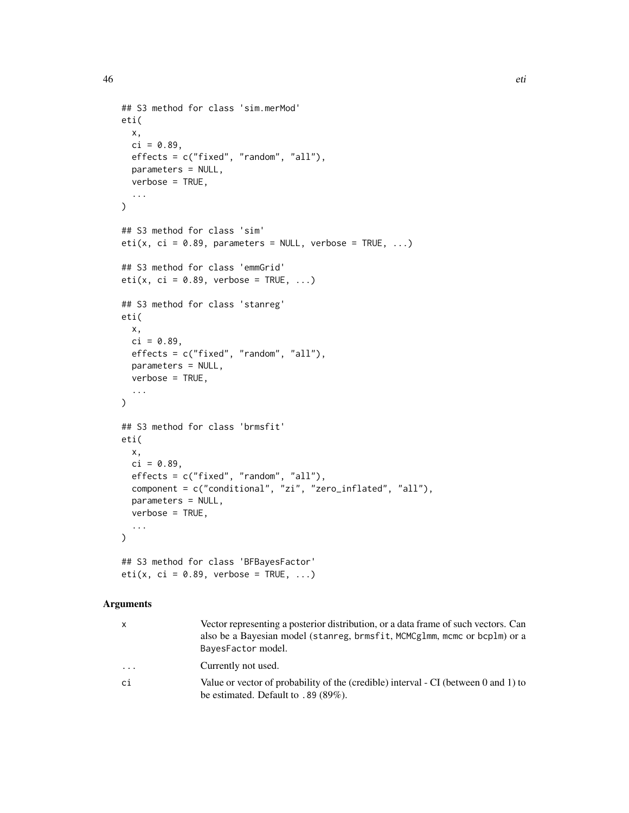```
## S3 method for class 'sim.merMod'
eti(
 x,
 ci = 0.89,effects = c("fixed", "random", "all"),
 parameters = NULL,
 verbose = TRUE,
  ...
)
## S3 method for class 'sim'
eti(x, ci = 0.89, parameters = NULL, verbose = TRUE, ...)
## S3 method for class 'emmGrid'
eti(x, ci = 0.89, verbose = TRUE, ...)
## S3 method for class 'stanreg'
eti(
 x,
 ci = 0.89,
 effects = c("fixed", "random", "all"),
 parameters = NULL,
 verbose = TRUE,
  ...
)
## S3 method for class 'brmsfit'
eti(
 x,
 ci = 0.89,effects = c("fixed", "random", "all"),
 component = c("conditional", "zi", "zero_inflated", "all"),
 parameters = NULL,
 verbose = TRUE,
  ...
\mathcal{L}## S3 method for class 'BFBayesFactor'
eti(x, ci = 0.89, verbose = TRUE, ...)
```

| x  | Vector representing a posterior distribution, or a data frame of such vectors. Can<br>also be a Bayesian model (stanreg, brmsfit, MCMCg1mm, mcmc or bcp1m) or a<br>BayesFactor model. |
|----|---------------------------------------------------------------------------------------------------------------------------------------------------------------------------------------|
| .  | Currently not used.                                                                                                                                                                   |
| сi | Value or vector of probability of the (credible) interval - CI (between 0 and 1) to<br>be estimated. Default to $.89(89\%)$ .                                                         |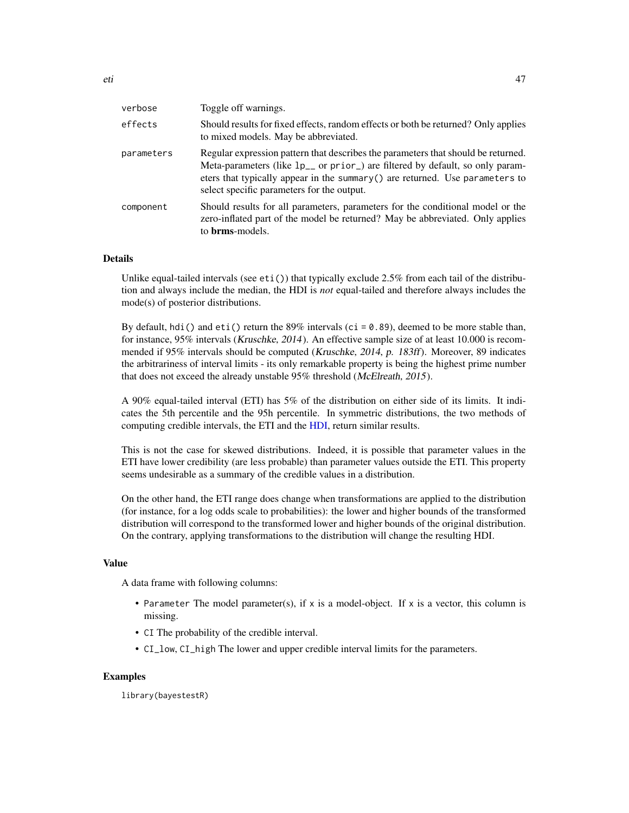| verbose    | Toggle off warnings.                                                                                                                                                                                                                                                                                          |
|------------|---------------------------------------------------------------------------------------------------------------------------------------------------------------------------------------------------------------------------------------------------------------------------------------------------------------|
| effects    | Should results for fixed effects, random effects or both be returned? Only applies<br>to mixed models. May be abbreviated.                                                                                                                                                                                    |
| parameters | Regular expression pattern that describes the parameters that should be returned.<br>Meta-parameters (like 1p <sub>-</sub> or prior) are filtered by default, so only param-<br>eters that typically appear in the summary $()$ are returned. Use parameters to<br>select specific parameters for the output. |
| component  | Should results for all parameters, parameters for the conditional model or the<br>zero-inflated part of the model be returned? May be abbreviated. Only applies<br>to <b>brms</b> -models.                                                                                                                    |

#### Details

Unlike equal-tailed intervals (see  $eti()$ ) that typically exclude 2.5% from each tail of the distribution and always include the median, the HDI is *not* equal-tailed and therefore always includes the mode(s) of posterior distributions.

By default, hdi() and  $eti()$  return the 89% intervals ( $ci = 0.89$ ), deemed to be more stable than, for instance, 95% intervals (Kruschke, 2014). An effective sample size of at least 10.000 is recommended if 95% intervals should be computed (Kruschke, 2014, p. 183ff). Moreover, 89 indicates the arbitrariness of interval limits - its only remarkable property is being the highest prime number that does not exceed the already unstable 95% threshold (McElreath, 2015).

A 90% equal-tailed interval (ETI) has 5% of the distribution on either side of its limits. It indicates the 5th percentile and the 95h percentile. In symmetric distributions, the two methods of computing credible intervals, the ETI and the [HDI,](#page-47-0) return similar results.

This is not the case for skewed distributions. Indeed, it is possible that parameter values in the ETI have lower credibility (are less probable) than parameter values outside the ETI. This property seems undesirable as a summary of the credible values in a distribution.

On the other hand, the ETI range does change when transformations are applied to the distribution (for instance, for a log odds scale to probabilities): the lower and higher bounds of the transformed distribution will correspond to the transformed lower and higher bounds of the original distribution. On the contrary, applying transformations to the distribution will change the resulting HDI.

#### Value

A data frame with following columns:

- Parameter The model parameter(s), if x is a model-object. If x is a vector, this column is missing.
- CI The probability of the credible interval.
- CI\_low, CI\_high The lower and upper credible interval limits for the parameters.

## Examples

library(bayestestR)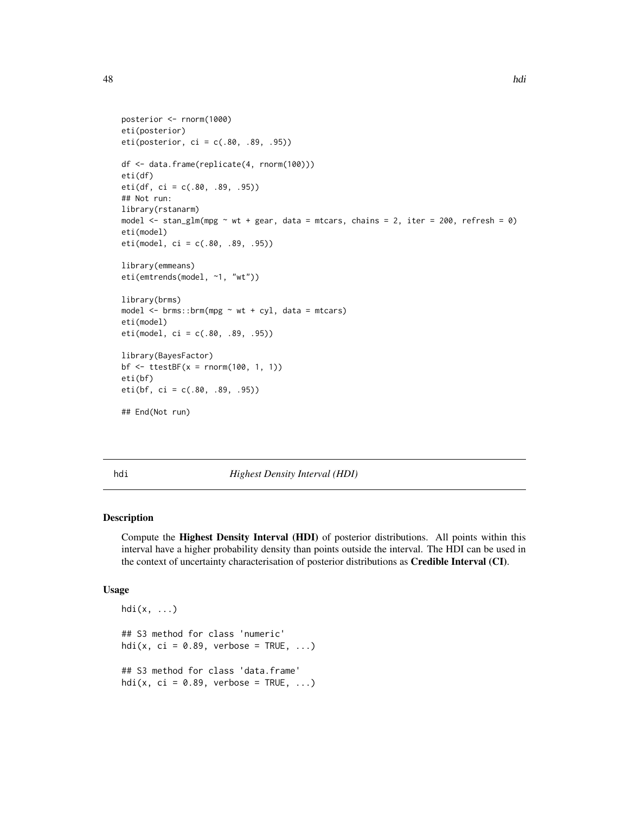```
posterior <- rnorm(1000)
eti(posterior)
eti(posterior, ci = c(.80, .89, .95))
df <- data.frame(replicate(4, rnorm(100)))
eti(df)
eti(df, ci = c(.80, .89, .95))
## Not run:
library(rstanarm)
model \le stan_glm(mpg \sim wt + gear, data = mtcars, chains = 2, iter = 200, refresh = 0)
eti(model)
eti(model, ci = c(.80, .89, .95))
library(emmeans)
eti(emtrends(model, ~1, "wt"))
library(brms)
model \leq - \text{brms::brm(mpg \textless wt + cyl, data = mtcars)}eti(model)
eti(model, ci = c(.80, .89, .95))
library(BayesFactor)
bf <- ttestBF(x = rnorm(100, 1, 1))
eti(bf)
eti(bf, ci = c(.80, .89, .95))
## End(Not run)
```
<span id="page-47-0"></span>

hdi *Highest Density Interval (HDI)*

#### Description

Compute the Highest Density Interval (HDI) of posterior distributions. All points within this interval have a higher probability density than points outside the interval. The HDI can be used in the context of uncertainty characterisation of posterior distributions as Credible Interval (CI).

```
hdi(x, \ldots)## S3 method for class 'numeric'
hdi(x, ci = 0.89, verbose = TRUE, ...)
## S3 method for class 'data.frame'
hdi(x, ci = 0.89, verbose = TRUE, ...)
```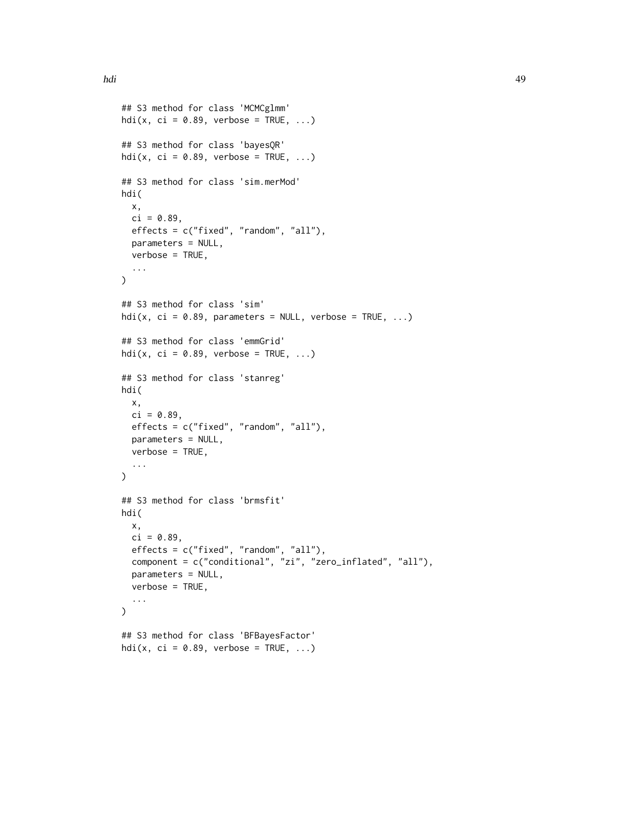```
## S3 method for class 'MCMCglmm'
hdi(x, ci = 0.89, verbose = TRUE, ...)
## S3 method for class 'bayesQR'
hdi(x, ci = 0.89, verbose = TRUE, ...)
## S3 method for class 'sim.merMod'
hdi(
  x,
  ci = 0.89,effects = c("fixed", "random", "all"),
  parameters = NULL,
  verbose = TRUE,
  ...
\lambda## S3 method for class 'sim'
hdi(x, ci = 0.89, parameters = NULL, verbose = TRUE, ...)
## S3 method for class 'emmGrid'
hdi(x, ci = 0.89, verbose = TRUE, ...)
## S3 method for class 'stanreg'
hdi(
  x,
  ci = 0.89,
  effects = c("fixed", "random", "all"),
  parameters = NULL,
  verbose = TRUE,
  ...
\mathcal{L}## S3 method for class 'brmsfit'
hdi(
  x,
  ci = 0.89,effects = c("fixed", "random", "all"),
  component = c("conditional", "zi", "zero_inflated", "all"),
  parameters = NULL,
  verbose = TRUE,
  ...
)
## S3 method for class 'BFBayesFactor'
hdi(x, ci = 0.89, verbose = TRUE, ...)
```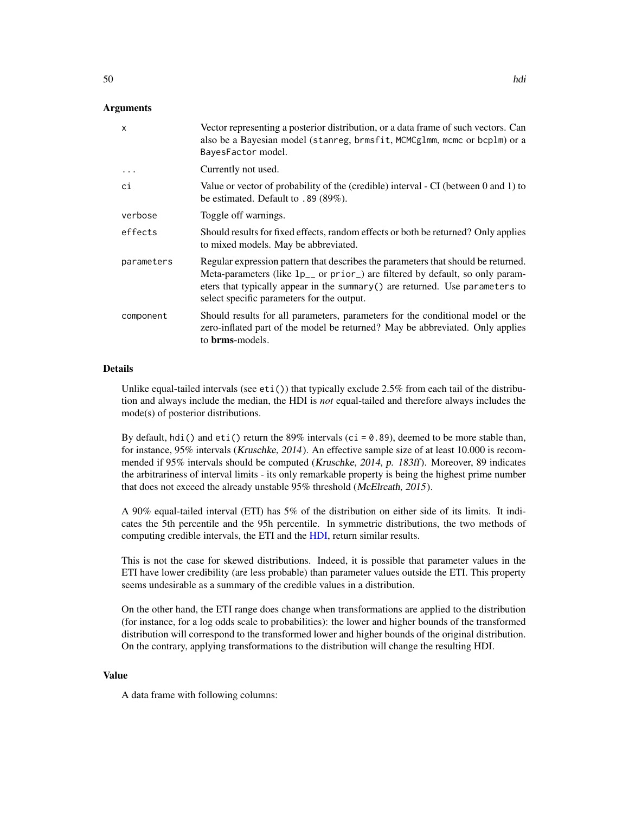## Arguments

| $\mathsf{x}$ | Vector representing a posterior distribution, or a data frame of such vectors. Can<br>also be a Bayesian model (stanreg, brmsfit, MCMCglmm, mcmc or bcplm) or a<br>BayesFactor model.                                                                                                                               |
|--------------|---------------------------------------------------------------------------------------------------------------------------------------------------------------------------------------------------------------------------------------------------------------------------------------------------------------------|
| .            | Currently not used.                                                                                                                                                                                                                                                                                                 |
| сi           | Value or vector of probability of the (credible) interval - CI (between 0 and 1) to<br>be estimated. Default to $.89(89\%)$ .                                                                                                                                                                                       |
| verbose      | Toggle off warnings.                                                                                                                                                                                                                                                                                                |
| effects      | Should results for fixed effects, random effects or both be returned? Only applies<br>to mixed models. May be abbreviated.                                                                                                                                                                                          |
| parameters   | Regular expression pattern that describes the parameters that should be returned.<br>Meta-parameters (like $lp_{--}$ or prior <sub>-</sub> ) are filtered by default, so only param-<br>eters that typically appear in the summary () are returned. Use parameters to<br>select specific parameters for the output. |
| component    | Should results for all parameters, parameters for the conditional model or the<br>zero-inflated part of the model be returned? May be abbreviated. Only applies<br>to <b>brms</b> -models.                                                                                                                          |

#### Details

Unlike equal-tailed intervals (see  $eti()$ ) that typically exclude 2.5% from each tail of the distribution and always include the median, the HDI is *not* equal-tailed and therefore always includes the mode(s) of posterior distributions.

By default, hdi() and eti() return the 89% intervals (ci =  $0.89$ ), deemed to be more stable than, for instance, 95% intervals (Kruschke, 2014). An effective sample size of at least 10.000 is recommended if 95% intervals should be computed (Kruschke, 2014, p. 183ff). Moreover, 89 indicates the arbitrariness of interval limits - its only remarkable property is being the highest prime number that does not exceed the already unstable 95% threshold (McElreath, 2015).

A 90% equal-tailed interval (ETI) has 5% of the distribution on either side of its limits. It indicates the 5th percentile and the 95h percentile. In symmetric distributions, the two methods of computing credible intervals, the ETI and the [HDI,](#page-47-0) return similar results.

This is not the case for skewed distributions. Indeed, it is possible that parameter values in the ETI have lower credibility (are less probable) than parameter values outside the ETI. This property seems undesirable as a summary of the credible values in a distribution.

On the other hand, the ETI range does change when transformations are applied to the distribution (for instance, for a log odds scale to probabilities): the lower and higher bounds of the transformed distribution will correspond to the transformed lower and higher bounds of the original distribution. On the contrary, applying transformations to the distribution will change the resulting HDI.

#### Value

A data frame with following columns: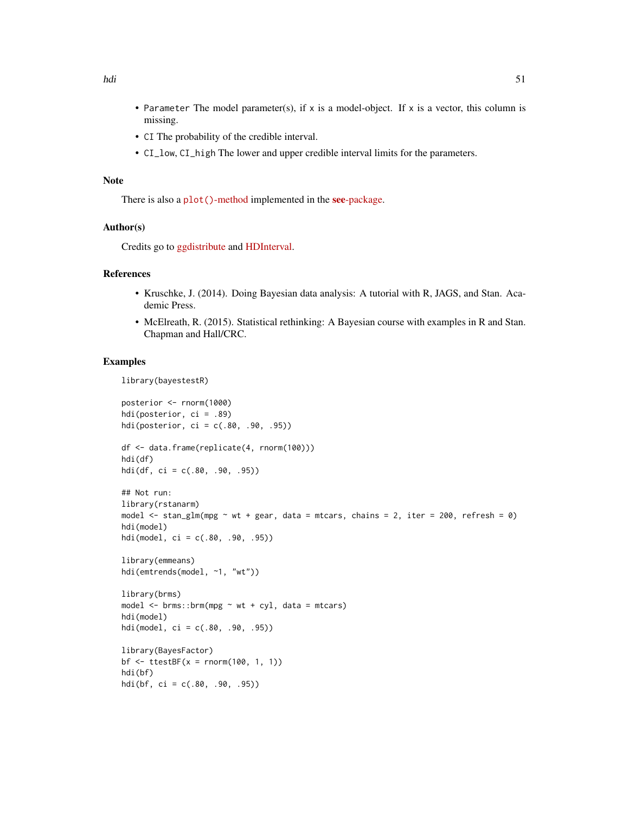- Parameter The model parameter(s), if x is a model-object. If x is a vector, this column is missing.
- CI The probability of the credible interval.
- CI\_low, CI\_high The lower and upper credible interval limits for the parameters.

# Note

There is also a plot()[-method](https://easystats.github.io/see/articles/bayestestR.html) implemented in the **see**[-package.](https://easystats.github.io/see/)

#### Author(s)

Credits go to [ggdistribute](https://rdrr.io/cran/ggdistribute/src/R/stats.R) and [HDInterval.](https://github.com/mikemeredith/HDInterval)

#### References

- Kruschke, J. (2014). Doing Bayesian data analysis: A tutorial with R, JAGS, and Stan. Academic Press.
- McElreath, R. (2015). Statistical rethinking: A Bayesian course with examples in R and Stan. Chapman and Hall/CRC.

```
library(bayestestR)
```

```
posterior <- rnorm(1000)
hdi(posterior, ci = .89)
hdi(posterior, ci = c(.80, .90, .95))df <- data.frame(replicate(4, rnorm(100)))
hdi(df)
hdi(df, ci = c(.80, .90, .95))
## Not run:
library(rstanarm)
model \le- stan_glm(mpg \sim wt + gear, data = mtcars, chains = 2, iter = 200, refresh = 0)
hdi(model)
hdi(model, ci = c(.80, .90, .95))
library(emmeans)
hdi(emtrends(model, ~1, "wt"))
library(brms)
model \leq brms::brm(mpg \sim wt + cyl, data = mtcars)
hdi(model)
hdi(model, ci = c(.80, .90, .95))
library(BayesFactor)
bf \leftarrow ttestBF(x = rnorm(100, 1, 1))hdi(bf)
hdi(bf, ci = c(.80, .90, .95))
```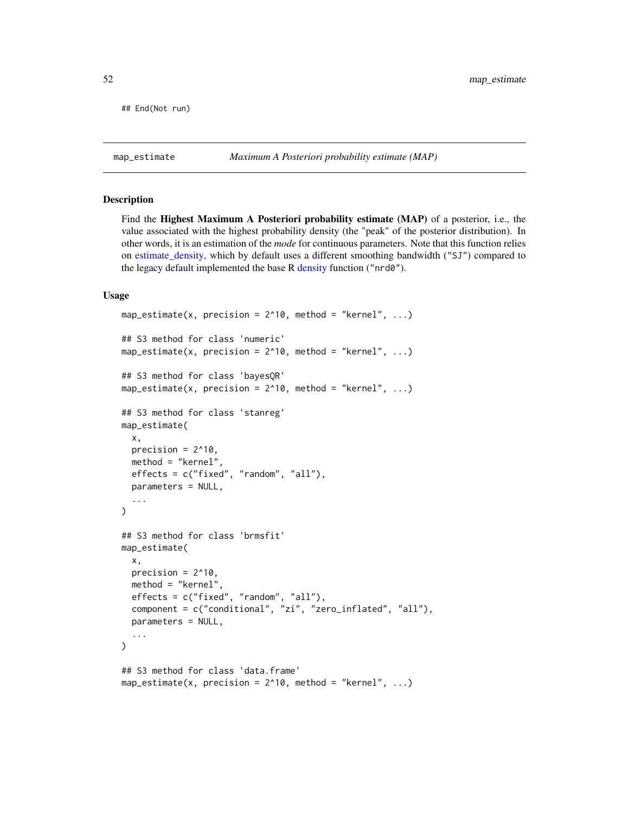## End(Not run)

#### Description

Find the Highest Maximum A Posteriori probability estimate (MAP) of a posterior, i.e., the value associated with the highest probability density (the "peak" of the posterior distribution). In other words, it is an estimation of the *mode* for continuous parameters. Note that this function relies on [estimate\\_density,](#page-42-0) which by default uses a different smoothing bandwidth ("SJ") compared to the legacy default implemented the base R [density](#page-0-0) function ("nrd0").

```
map_estimate(x, precision = 2^{\wedge}10, method = "kernel", ...)
## S3 method for class 'numeric'
map_estimate(x, precision = 2^{\wedge}10, method = "kernel", ...)
## S3 method for class 'bayesQR'
map_estimate(x, precision = 2^{\wedge}10, method = "kernel", ...)
## S3 method for class 'stanreg'
map_estimate(
  x,
 precision = 2^10,
  method = "kernel",
  effects = c("fixed", "random", "all"),
  parameters = NULL,
  ...
)
## S3 method for class 'brmsfit'
map_estimate(
  x,
 precision = 2^{\wedge}10,
 method = "kernel",
  effects = c("fixed", "random", "all"),
  component = c("conditional", "zi", "zero_inflated", "all"),
  parameters = NULL,
  ...
)
## S3 method for class 'data.frame'
map_estimate(x, precision = 2^{\wedge}10, method = "kernel", ...)
```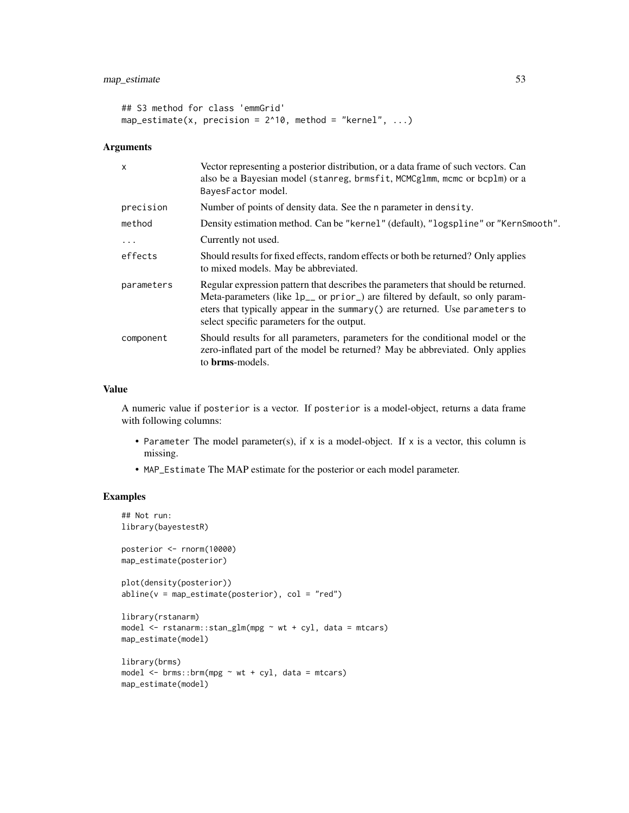```
## S3 method for class 'emmGrid'
map_estimate(x, precision = 2^{\wedge}10, method = "kernel", ...)
```
## Arguments

| $\times$   | Vector representing a posterior distribution, or a data frame of such vectors. Can<br>also be a Bayesian model (stanreg, brmsfit, MCMCglmm, mcmc or bcplm) or a<br>BayesFactor model.                                                                                                                         |
|------------|---------------------------------------------------------------------------------------------------------------------------------------------------------------------------------------------------------------------------------------------------------------------------------------------------------------|
| precision  | Number of points of density data. See the n parameter in density.                                                                                                                                                                                                                                             |
| method     | Density estimation method. Can be "kernel" (default), "logspline" or "KernSmooth".                                                                                                                                                                                                                            |
| $\ddots$   | Currently not used.                                                                                                                                                                                                                                                                                           |
| effects    | Should results for fixed effects, random effects or both be returned? Only applies<br>to mixed models. May be abbreviated.                                                                                                                                                                                    |
| parameters | Regular expression pattern that describes the parameters that should be returned.<br>Meta-parameters (like 1p <sub>-</sub> or prior) are filtered by default, so only param-<br>eters that typically appear in the summary $()$ are returned. Use parameters to<br>select specific parameters for the output. |
| component  | Should results for all parameters, parameters for the conditional model or the<br>zero-inflated part of the model be returned? May be abbreviated. Only applies<br>to <b>brms</b> -models.                                                                                                                    |

# Value

A numeric value if posterior is a vector. If posterior is a model-object, returns a data frame with following columns:

- Parameter The model parameter(s), if x is a model-object. If x is a vector, this column is missing.
- MAP\_Estimate The MAP estimate for the posterior or each model parameter.

```
## Not run:
library(bayestestR)
posterior <- rnorm(10000)
map_estimate(posterior)
plot(density(posterior))
abline(v = map\_estimate(posterior), col = "red")library(rstanarm)
model \leq rstanarm::stan_glm(mpg \sim wt + cyl, data = mtcars)
map_estimate(model)
library(brms)
model \leq brms::brm(mpg \sim wt + cyl, data = mtcars)
map_estimate(model)
```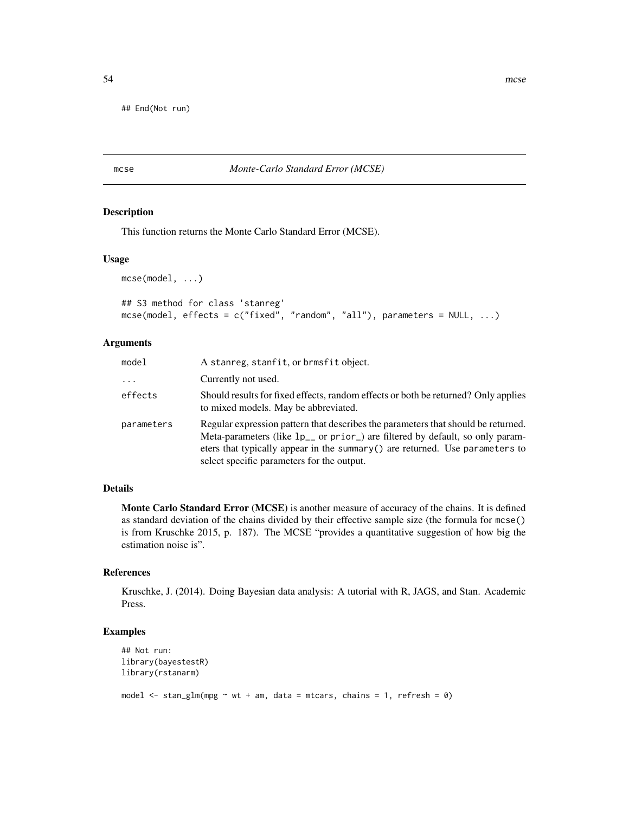## End(Not run)

mcse *Monte-Carlo Standard Error (MCSE)*

## Description

This function returns the Monte Carlo Standard Error (MCSE).

#### Usage

```
mcse(model, ...)
```

```
## S3 method for class 'stanreg'
mcse(model, effects = c("fixed", "random", "all"), parameters = NULL, ...)
```
## Arguments

| model      | A stanreg, stanfit, or brmsfit object.                                                                                                                                                                                                                                                                        |
|------------|---------------------------------------------------------------------------------------------------------------------------------------------------------------------------------------------------------------------------------------------------------------------------------------------------------------|
| $\cdots$   | Currently not used.                                                                                                                                                                                                                                                                                           |
| effects    | Should results for fixed effects, random effects or both be returned? Only applies<br>to mixed models. May be abbreviated.                                                                                                                                                                                    |
| parameters | Regular expression pattern that describes the parameters that should be returned.<br>Meta-parameters (like 1p <sub>-</sub> or prior) are filtered by default, so only param-<br>eters that typically appear in the summary $()$ are returned. Use parameters to<br>select specific parameters for the output. |

# Details

Monte Carlo Standard Error (MCSE) is another measure of accuracy of the chains. It is defined as standard deviation of the chains divided by their effective sample size (the formula for mcse() is from Kruschke 2015, p. 187). The MCSE "provides a quantitative suggestion of how big the estimation noise is".

# References

Kruschke, J. (2014). Doing Bayesian data analysis: A tutorial with R, JAGS, and Stan. Academic Press.

```
## Not run:
library(bayestestR)
library(rstanarm)
model \le stan_glm(mpg \sim wt + am, data = mtcars, chains = 1, refresh = 0)
```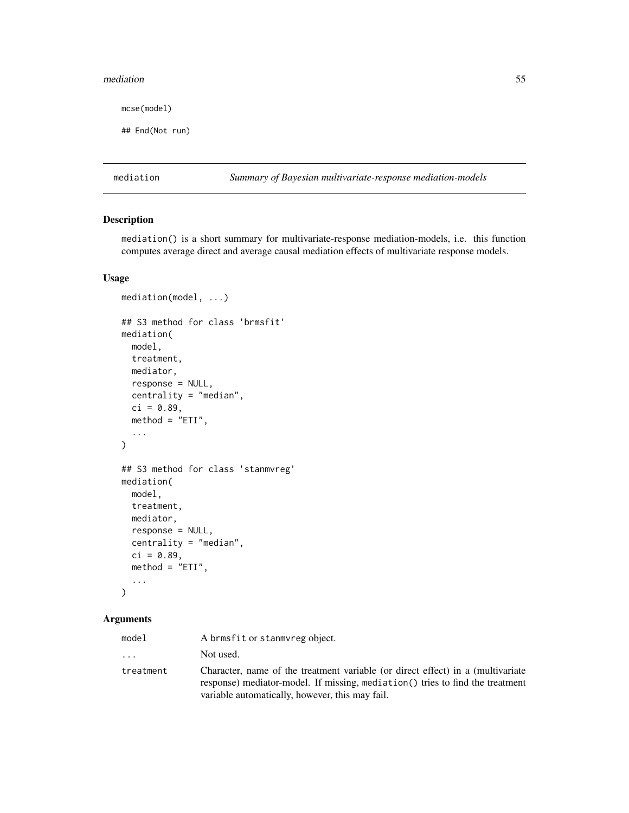#### mediation 55

mcse(model)

## End(Not run)

mediation *Summary of Bayesian multivariate-response mediation-models*

# Description

mediation() is a short summary for multivariate-response mediation-models, i.e. this function computes average direct and average causal mediation effects of multivariate response models.

#### Usage

```
mediation(model, ...)
## S3 method for class 'brmsfit'
mediation(
 model,
  treatment,
 mediator,
  response = NULL,
  centrality = "median",
  ci = 0.89,method = "ETI",...
)
## S3 method for class 'stanmvreg'
mediation(
 model,
 treatment,
 mediator,
  response = NULL,
  centrality = "median",
  ci = 0.89,method = "ETI",...
\mathcal{L}
```

| model     | A brmsfit or stanmyreg object.                                                                                                                                                                                      |
|-----------|---------------------------------------------------------------------------------------------------------------------------------------------------------------------------------------------------------------------|
| $\cdots$  | Not used.                                                                                                                                                                                                           |
| treatment | Character, name of the treatment variable (or direct effect) in a (multivariate<br>response) mediator-model. If missing, mediation() tries to find the treatment<br>variable automatically, however, this may fail. |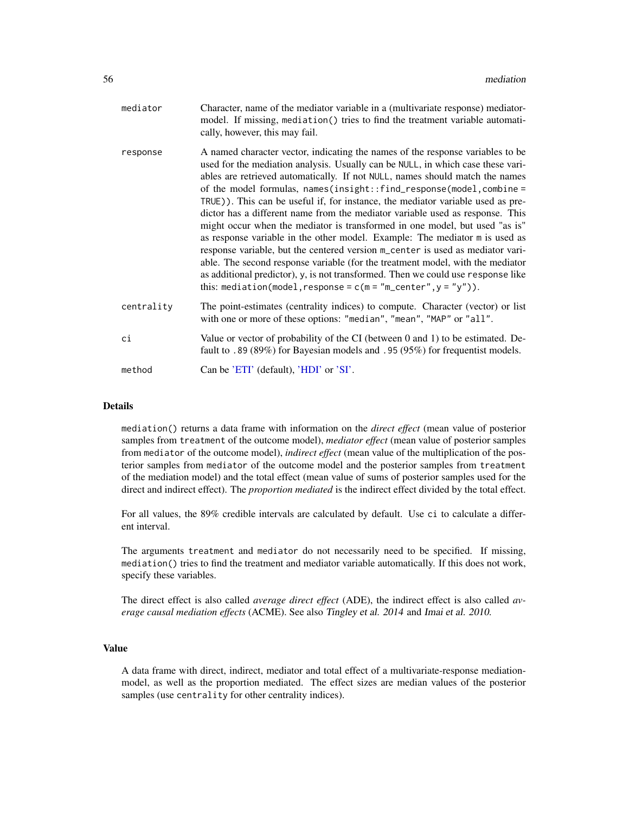| mediator   | Character, name of the mediator variable in a (multivariate response) mediator-<br>model. If missing, mediation() tries to find the treatment variable automati-<br>cally, however, this may fail.                                                                                                                                                                                                                                                                                                                                                                                                                                                                                                                                                                                                                                                                                                                                                                                        |
|------------|-------------------------------------------------------------------------------------------------------------------------------------------------------------------------------------------------------------------------------------------------------------------------------------------------------------------------------------------------------------------------------------------------------------------------------------------------------------------------------------------------------------------------------------------------------------------------------------------------------------------------------------------------------------------------------------------------------------------------------------------------------------------------------------------------------------------------------------------------------------------------------------------------------------------------------------------------------------------------------------------|
| response   | A named character vector, indicating the names of the response variables to be<br>used for the mediation analysis. Usually can be NULL, in which case these vari-<br>ables are retrieved automatically. If not NULL, names should match the names<br>of the model formulas, $names(insjght::find_response(model,combine =$<br>TRUE)). This can be useful if, for instance, the mediator variable used as pre-<br>dictor has a different name from the mediator variable used as response. This<br>might occur when the mediator is transformed in one model, but used "as is"<br>as response variable in the other model. Example: The mediator m is used as<br>response variable, but the centered version m_center is used as mediator vari-<br>able. The second response variable (for the treatment model, with the mediator<br>as additional predictor), y, is not transformed. Then we could use response like<br>this: mediation(model, response = $c(m = "m_center", y = "y"))$ . |
| centrality | The point-estimates (centrality indices) to compute. Character (vector) or list<br>with one or more of these options: "median", "mean", "MAP" or "all".                                                                                                                                                                                                                                                                                                                                                                                                                                                                                                                                                                                                                                                                                                                                                                                                                                   |
| сi         | Value or vector of probability of the CI (between 0 and 1) to be estimated. De-<br>fault to .89 (89%) for Bayesian models and .95 (95%) for frequentist models.                                                                                                                                                                                                                                                                                                                                                                                                                                                                                                                                                                                                                                                                                                                                                                                                                           |
| method     | Can be 'ETI' (default), 'HDI' or 'SI'.                                                                                                                                                                                                                                                                                                                                                                                                                                                                                                                                                                                                                                                                                                                                                                                                                                                                                                                                                    |

#### Details

mediation() returns a data frame with information on the *direct effect* (mean value of posterior samples from treatment of the outcome model), *mediator effect* (mean value of posterior samples from mediator of the outcome model), *indirect effect* (mean value of the multiplication of the posterior samples from mediator of the outcome model and the posterior samples from treatment of the mediation model) and the total effect (mean value of sums of posterior samples used for the direct and indirect effect). The *proportion mediated* is the indirect effect divided by the total effect.

For all values, the 89% credible intervals are calculated by default. Use ci to calculate a different interval.

The arguments treatment and mediator do not necessarily need to be specified. If missing, mediation() tries to find the treatment and mediator variable automatically. If this does not work, specify these variables.

The direct effect is also called *average direct effect* (ADE), the indirect effect is also called *average causal mediation effects* (ACME). See also Tingley et al. 2014 and Imai et al. 2010.

#### Value

A data frame with direct, indirect, mediator and total effect of a multivariate-response mediationmodel, as well as the proportion mediated. The effect sizes are median values of the posterior samples (use centrality for other centrality indices).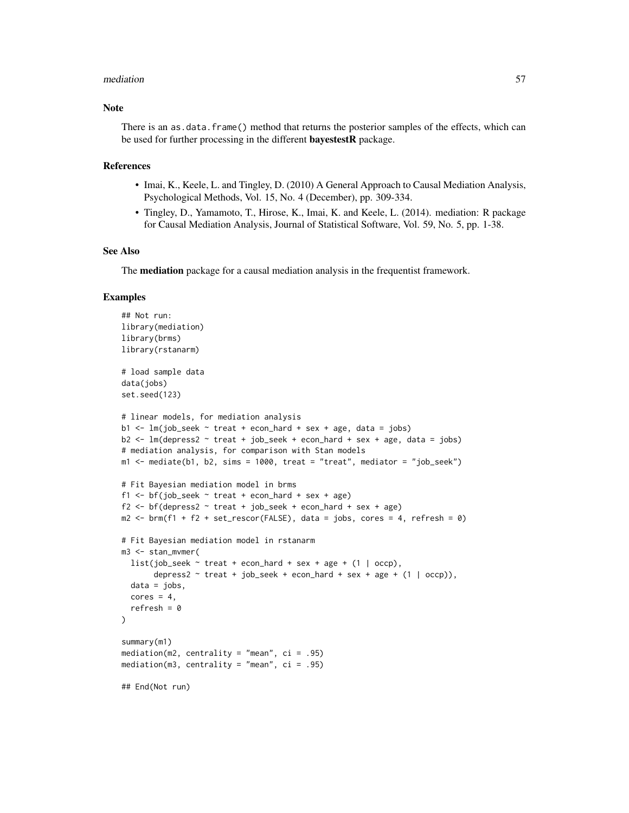#### mediation 57

# Note

There is an as.data.frame() method that returns the posterior samples of the effects, which can be used for further processing in the different **bayestestR** package.

#### References

- Imai, K., Keele, L. and Tingley, D. (2010) A General Approach to Causal Mediation Analysis, Psychological Methods, Vol. 15, No. 4 (December), pp. 309-334.
- Tingley, D., Yamamoto, T., Hirose, K., Imai, K. and Keele, L. (2014). mediation: R package for Causal Mediation Analysis, Journal of Statistical Software, Vol. 59, No. 5, pp. 1-38.

#### See Also

The **mediation** package for a causal mediation analysis in the frequentist framework.

```
## Not run:
library(mediation)
library(brms)
library(rstanarm)
# load sample data
data(jobs)
set.seed(123)
# linear models, for mediation analysis
b1 <- lm(job_seek ~ treat + econ_hard + sex + age, data = jobs)
b2 <- lm(depress2 ~ treat + job_seek + econ_hard + sex + age, data = jobs)
# mediation analysis, for comparison with Stan models
m1 <- mediate(b1, b2, sims = 1000, treat = "treat", mediator = "job_seek")
# Fit Bayesian mediation model in brms
f1 <- bf(job\_seek \sim treat + econ_hard + sex + age)
f2 \leq bf(depress2 \sim treat + job_seek + econ_hard + sex + age)
m2 \le - \text{brm}(f1 + f2 + \text{set\_rescor}(FALSE), \text{ data = jobs}, \text{ cores = 4}, \text{ refresh = 0})# Fit Bayesian mediation model in rstanarm
m3 <- stan_mvmer(
  list(job_seek \sim treat + econ_hard + sex + age + (1 | occp),
       depress2 \sim treat + job_seek + econ_hard + sex + age + (1 | occp)),
  data = jobs,
  cores = 4,refresh = 0\lambdasummary(m1)
mediation(m2, centrality = "mean", ci = .95)
mediation(m3, centrality = "mean", ci = .95)
## End(Not run)
```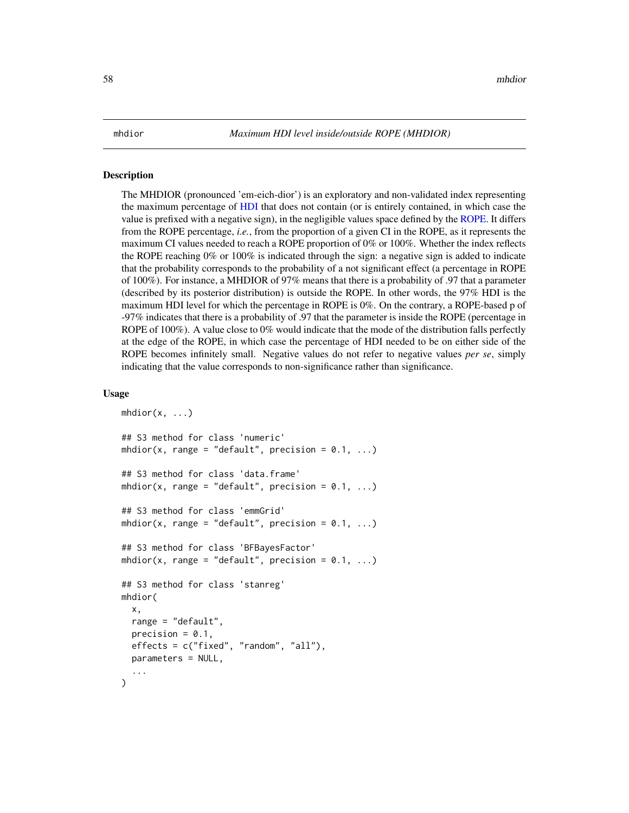#### Description

The MHDIOR (pronounced 'em-eich-dior') is an exploratory and non-validated index representing the maximum percentage of [HDI](#page-47-0) that does not contain (or is entirely contained, in which case the value is prefixed with a negative sign), in the negligible values space defined by the [ROPE.](#page-74-0) It differs from the ROPE percentage, *i.e.*, from the proportion of a given CI in the ROPE, as it represents the maximum CI values needed to reach a ROPE proportion of 0% or 100%. Whether the index reflects the ROPE reaching  $0\%$  or  $100\%$  is indicated through the sign: a negative sign is added to indicate that the probability corresponds to the probability of a not significant effect (a percentage in ROPE of 100%). For instance, a MHDIOR of 97% means that there is a probability of .97 that a parameter (described by its posterior distribution) is outside the ROPE. In other words, the 97% HDI is the maximum HDI level for which the percentage in ROPE is 0%. On the contrary, a ROPE-based p of -97% indicates that there is a probability of .97 that the parameter is inside the ROPE (percentage in ROPE of 100%). A value close to 0% would indicate that the mode of the distribution falls perfectly at the edge of the ROPE, in which case the percentage of HDI needed to be on either side of the ROPE becomes infinitely small. Negative values do not refer to negative values *per se*, simply indicating that the value corresponds to non-significance rather than significance.

```
mhdior(x, \ldots)## S3 method for class 'numeric'
mhdior(x, range = "default", precision = 0.1, ...)
## S3 method for class 'data.frame'
mhdior(x, range = "default", precision = 0.1, ...)
## S3 method for class 'emmGrid'
mhdior(x, range = "default", precision = 0.1, ...)
## S3 method for class 'BFBayesFactor'
mhdior(x, range = "default", precision = 0.1, ...)
## S3 method for class 'stanreg'
mhdior(
  x,
  range = "default",
  precision = 0.1,
  effects = c("fixed", "random", "all"),
  parameters = NULL,
  ...
)
```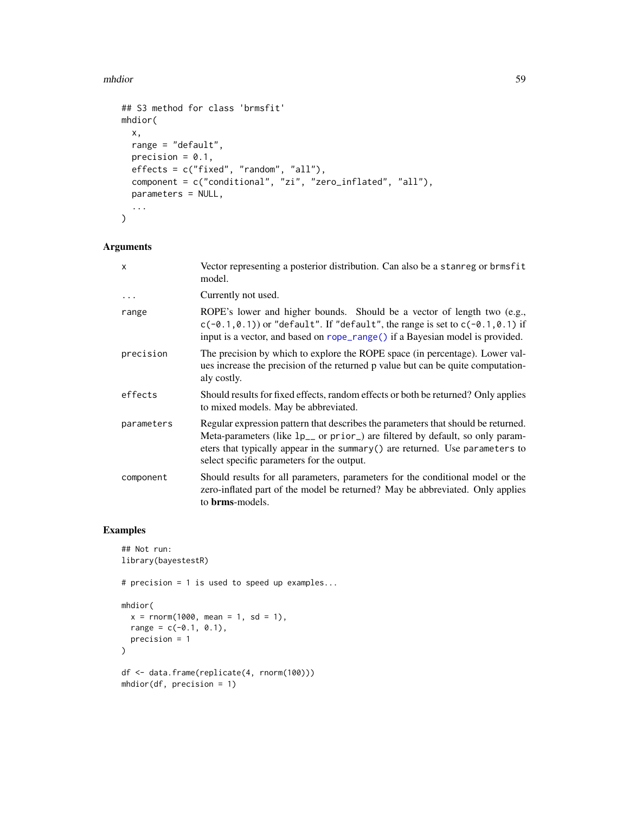## mhdior 59

```
## S3 method for class 'brmsfit'
mhdior(
  x,
  range = "default",
  precision = 0.1,
  effects = c("fixed", "random", "all"),
  component = c("conditional", "zi", "zero_inflated", "all"),
  parameters = NULL,
  ...
\mathcal{L}
```
# Arguments

| X          | Vector representing a posterior distribution. Can also be a stanreg or brmsfit<br>model.                                                                                                                                                                                                                    |
|------------|-------------------------------------------------------------------------------------------------------------------------------------------------------------------------------------------------------------------------------------------------------------------------------------------------------------|
| $\ddots$ . | Currently not used.                                                                                                                                                                                                                                                                                         |
| range      | ROPE's lower and higher bounds. Should be a vector of length two (e.g.,<br>$c(-0.1, 0.1)$ or "default". If "default", the range is set to $c(-0.1, 0.1)$ if<br>input is a vector, and based on rope_range() if a Bayesian model is provided.                                                                |
| precision  | The precision by which to explore the ROPE space (in percentage). Lower val-<br>ues increase the precision of the returned p value but can be quite computation-<br>aly costly.                                                                                                                             |
| effects    | Should results for fixed effects, random effects or both be returned? Only applies<br>to mixed models. May be abbreviated.                                                                                                                                                                                  |
| parameters | Regular expression pattern that describes the parameters that should be returned.<br>Meta-parameters (like 1p <sub>-</sub> or prior) are filtered by default, so only param-<br>eters that typically appear in the summary () are returned. Use parameters to<br>select specific parameters for the output. |
| component  | Should results for all parameters, parameters for the conditional model or the<br>zero-inflated part of the model be returned? May be abbreviated. Only applies<br>to <b>brms</b> -models.                                                                                                                  |

```
## Not run:
library(bayestestR)
# precision = 1 is used to speed up examples...
mhdior(
 x = rnorm(1000, mean = 1, sd = 1),range = c(-0.1, 0.1),
 precision = 1
)
df <- data.frame(replicate(4, rnorm(100)))
mhdior(df, precision = 1)
```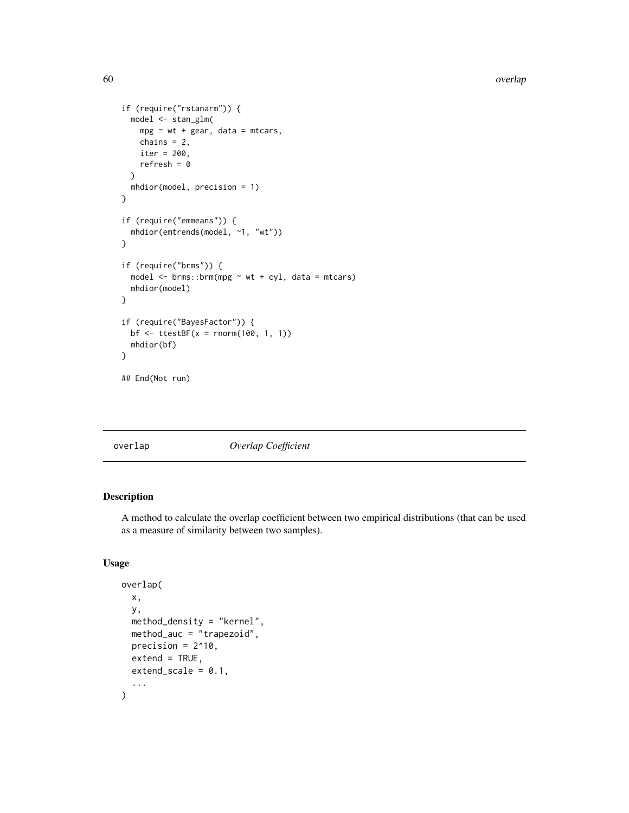```
if (require("rstanarm")) {
 model <- stan_glm(
   mpg \sim wt + gear, data = mtcars,
   chains = 2,
   iter = 200,
   refresh = 0)
  mhdior(model, precision = 1)
}
if (require("emmeans")) {
  mhdior(emtrends(model, ~1, "wt"))
}
if (require("brms")) {
  model <- brms::brm(mpg ~ wt + cyl, data = mtcars)
  mhdior(model)
}
if (require("BayesFactor")) {
  bf <- ttestBF(x = rnorm(100, 1, 1))
  mhdior(bf)
}
## End(Not run)
```
# overlap *Overlap Coefficient*

# Description

A method to calculate the overlap coefficient between two empirical distributions (that can be used as a measure of similarity between two samples).

```
overlap(
  x,
  y,
  method_density = "kernel",
  method_auc = "trapezoid",
  precision = 2^{\wedge}10,
  ext{end} = TRUE,extend\_scale = 0.1,
  ...
)
```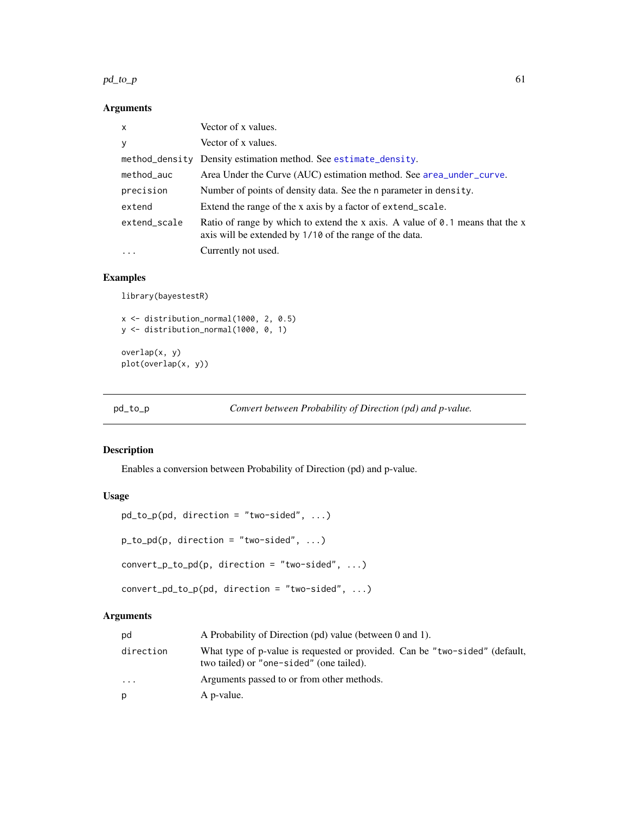#### $pd\_to\_p$  61

# Arguments

| $\mathsf{x}$ | Vector of x values.                                                                                                                               |
|--------------|---------------------------------------------------------------------------------------------------------------------------------------------------|
| У            | Vector of x values.                                                                                                                               |
|              | method_density Density estimation method. See estimate_density.                                                                                   |
| method_auc   | Area Under the Curve (AUC) estimation method. See area_under_curve.                                                                               |
| precision    | Number of points of density data. See the n parameter in density.                                                                                 |
| extend       | Extend the range of the x axis by a factor of extend_scale.                                                                                       |
| extend_scale | Ratio of range by which to extend the x axis. A value of $\theta$ . 1 means that the x<br>axis will be extended by 1/10 of the range of the data. |
| $\cdot$      | Currently not used.                                                                                                                               |

# Examples

library(bayestestR)

x <- distribution\_normal(1000, 2, 0.5) y <- distribution\_normal(1000, 0, 1) overlap(x, y) plot(overlap(x, y))

<span id="page-60-0"></span>pd\_to\_p *Convert between Probability of Direction (pd) and p-value.*

# Description

Enables a conversion between Probability of Direction (pd) and p-value.

# Usage

```
pd_to_p(pd, direction = "two-sided", ...)
p_to_pd(p, direction = "two-sided", ...)convert\_p_to\_pd(p, direction = "two-sided", ...)convert_pd_to_p(pd, direction = "two-sided", ...)
```

| pd        | A Probability of Direction (pd) value (between 0 and 1).                                                                |
|-----------|-------------------------------------------------------------------------------------------------------------------------|
| direction | What type of p-value is requested or provided. Can be "two-sided" (default,<br>two tailed) or "one-sided" (one tailed). |
| $\cdots$  | Arguments passed to or from other methods.                                                                              |
| р         | A p-value.                                                                                                              |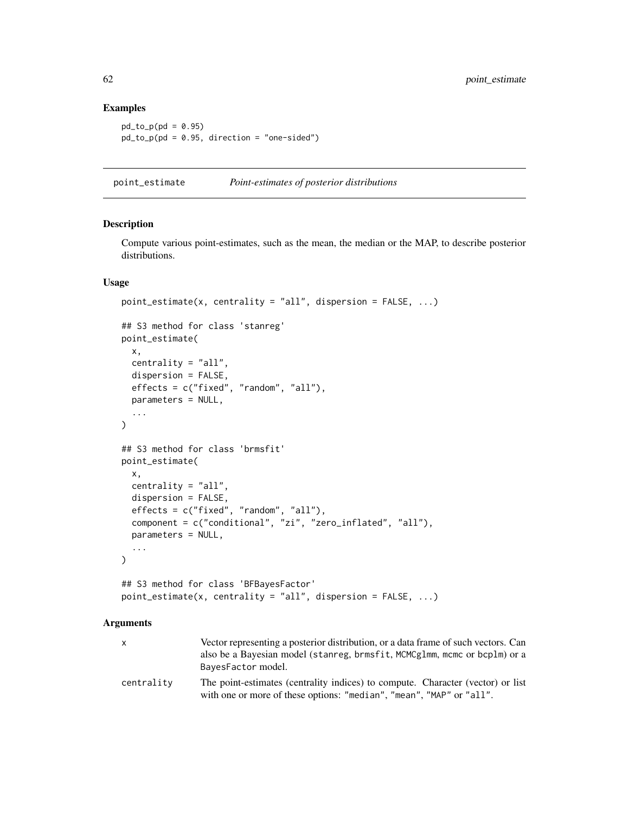#### Examples

```
pd_to_p(pd = 0.95)pd_to_p(pd = 0.95, direction = "one-sided")
```
point\_estimate *Point-estimates of posterior distributions*

## Description

Compute various point-estimates, such as the mean, the median or the MAP, to describe posterior distributions.

## Usage

```
point_estimate(x, centrality = "all", dispersion = FALSE, ...)
## S3 method for class 'stanreg'
point_estimate(
  x,
  centrality = "all",
 dispersion = FALSE,
  effects = c("fixed", "random", "all"),
 parameters = NULL,
  ...
\mathcal{L}## S3 method for class 'brmsfit'
point_estimate(
  x,
  centrality = "all",
  dispersion = FALSE,
 effects = c("fixed", "random", "all"),
  component = c("conditional", "zi", "zero_inflated", "all"),
  parameters = NULL,
  ...
)
## S3 method for class 'BFBayesFactor'
point_estimate(x, centrality = "all", dispersion = FALSE, ...)
```

| x          | Vector representing a posterior distribution, or a data frame of such vectors. Can<br>also be a Bayesian model (stanreg, brmsfit, MCMCglmm, mcmc or bcplm) or a<br>BayesFactor model. |
|------------|---------------------------------------------------------------------------------------------------------------------------------------------------------------------------------------|
| centrality | The point-estimates (centrality indices) to compute. Character (vector) or list<br>with one or more of these options: "median", "mean", "MAP" or "all".                               |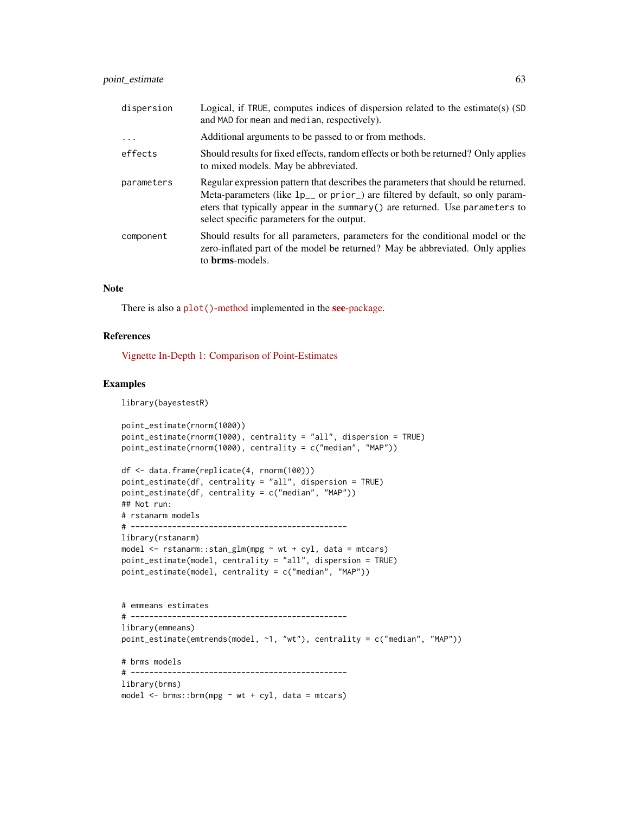# point\_estimate 63

| dispersion | Logical, if TRUE, computes indices of dispersion related to the estimate(s) (SD<br>and MAD for mean and median, respectively).                                                                                                                                                                                |
|------------|---------------------------------------------------------------------------------------------------------------------------------------------------------------------------------------------------------------------------------------------------------------------------------------------------------------|
| .          | Additional arguments to be passed to or from methods.                                                                                                                                                                                                                                                         |
| effects    | Should results for fixed effects, random effects or both be returned? Only applies<br>to mixed models. May be abbreviated.                                                                                                                                                                                    |
| parameters | Regular expression pattern that describes the parameters that should be returned.<br>Meta-parameters (like 1p <sub>-</sub> or prior) are filtered by default, so only param-<br>eters that typically appear in the summary $()$ are returned. Use parameters to<br>select specific parameters for the output. |
| component  | Should results for all parameters, parameters for the conditional model or the<br>zero-inflated part of the model be returned? May be abbreviated. Only applies<br>to <b>brms</b> -models.                                                                                                                    |

# Note

There is also a plot ()[-method](https://easystats.github.io/see/articles/bayestestR.html) implemented in the see[-package.](https://easystats.github.io/see/)

## References

[Vignette In-Depth 1: Comparison of Point-Estimates](https://easystats.github.io/bayestestR/articles/indicesEstimationComparison.html)

# Examples

library(bayestestR)

```
point_estimate(rnorm(1000))
point_estimate(rnorm(1000), centrality = "all", dispersion = TRUE)
point_estimate(rnorm(1000), centrality = c("median", "MAP"))
df <- data.frame(replicate(4, rnorm(100)))
point_estimate(df, centrality = "all", dispersion = TRUE)
point_estimate(df, centrality = c("median", "MAP"))
## Not run:
# rstanarm models
# -----------------------------------------------
library(rstanarm)
model \le rstanarm::stan_glm(mpg \sim wt + cyl, data = mtcars)
point_estimate(model, centrality = "all", dispersion = TRUE)
point_estimate(model, centrality = c("median", "MAP"))
# emmeans estimates
# -----------------------------------------------
library(emmeans)
point_estimate(emtrends(model, ~1, "wt"), centrality = c("median", "MAP"))
# brms models
# -----------------------------------------------
library(brms)
model \leq brms::brm(mpg \sim wt + cyl, data = mtcars)
```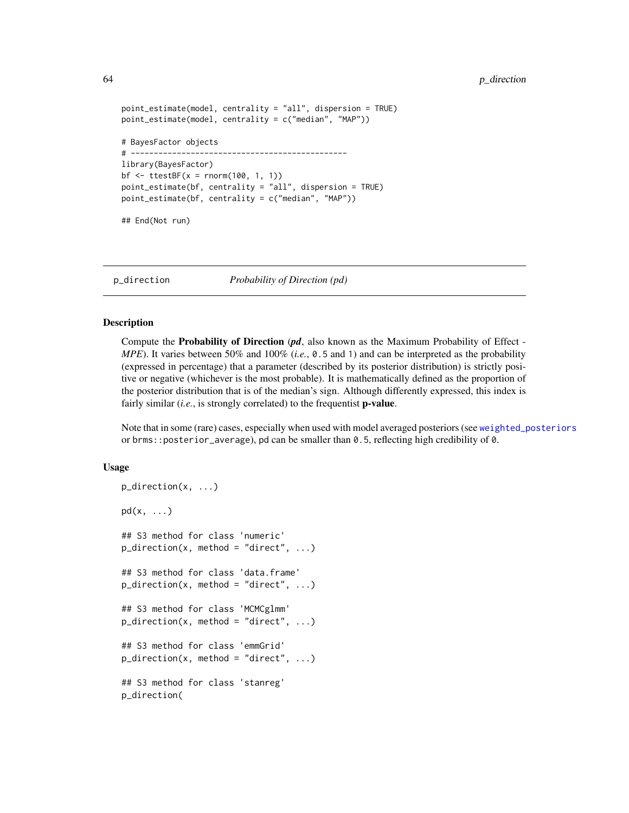```
point_estimate(model, centrality = "all", dispersion = TRUE)
point_estimate(model, centrality = c("median", "MAP"))
# BayesFactor objects
# -----------------------------------------------
library(BayesFactor)
bf \le ttestBF(x = rnorm(100, 1, 1))
point_estimate(bf, centrality = "all", dispersion = TRUE)
point_estimate(bf, centrality = c("median", "MAP"))
## End(Not run)
```
p\_direction *Probability of Direction (pd)*

## Description

Compute the Probability of Direction (*pd*, also known as the Maximum Probability of Effect - *MPE*). It varies between 50% and 100% (*i.e.*, 0.5 and 1) and can be interpreted as the probability (expressed in percentage) that a parameter (described by its posterior distribution) is strictly positive or negative (whichever is the most probable). It is mathematically defined as the proportion of the posterior distribution that is of the median's sign. Although differently expressed, this index is fairly similar (*i.e.*, is strongly correlated) to the frequentist **p-value**.

Note that in some (rare) cases, especially when used with model averaged posteriors (see [weighted\\_posteriors](#page-86-0) or brms::posterior\_average), pd can be smaller than 0.5, reflecting high credibility of 0.

```
p_direction(x, ...)
pd(x, \ldots)## S3 method for class 'numeric'
p\_direction(x, method = "direct", ...)## S3 method for class 'data.frame'
p\_direction(x, method = "direct", ...)## S3 method for class 'MCMCglmm'
p\_direction(x, method = "direct", ...)## S3 method for class 'emmGrid'
p\_direction(x, method = "direct", ...)## S3 method for class 'stanreg'
p_direction(
```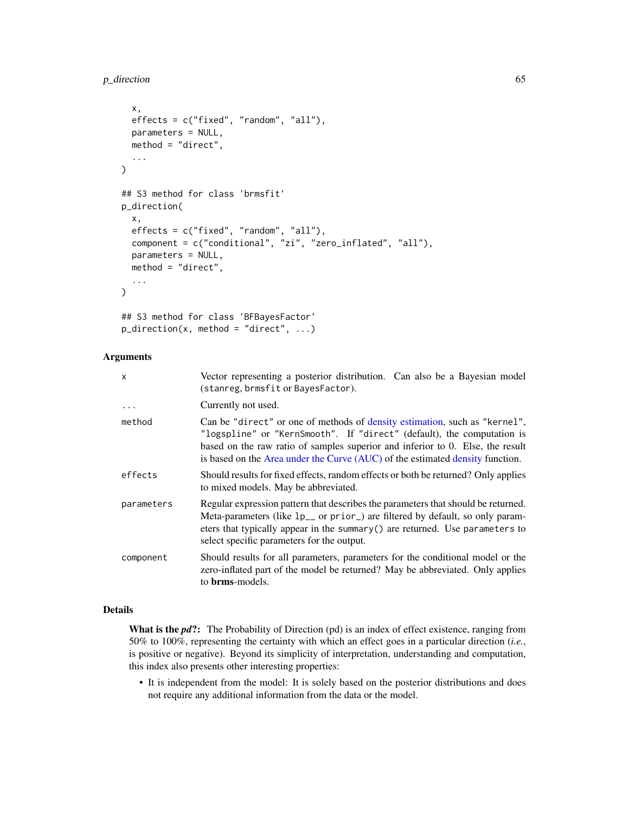# p\_direction 65

```
x,
 effects = c("fixed", "random", "all"),
 parameters = NULL,
 method = "direct",
  ...
)
## S3 method for class 'brmsfit'
p_direction(
  x,
 effects = c("fixed", "random", "all"),
 component = c("conditional", "zi", "zero_inflated", "all"),
 parameters = NULL,
 method = "direct",
  ...
)
## S3 method for class 'BFBayesFactor'
p\_direction(x, method = "direct", ...)
```
# Arguments

| x          | Vector representing a posterior distribution. Can also be a Bayesian model<br>(stanreg, brmsfit or BayesFactor).                                                                                                                                                                                                        |
|------------|-------------------------------------------------------------------------------------------------------------------------------------------------------------------------------------------------------------------------------------------------------------------------------------------------------------------------|
| $\ddots$   | Currently not used.                                                                                                                                                                                                                                                                                                     |
| method     | Can be "direct" or one of methods of density estimation, such as "kernel",<br>"logspline" or "KernSmooth". If "direct" (default), the computation is<br>based on the raw ratio of samples superior and inferior to 0. Else, the result<br>is based on the Area under the Curve (AUC) of the estimated density function. |
| effects    | Should results for fixed effects, random effects or both be returned? Only applies<br>to mixed models. May be abbreviated.                                                                                                                                                                                              |
| parameters | Regular expression pattern that describes the parameters that should be returned.<br>Meta-parameters (like 1p <sub>-</sub> or prior) are filtered by default, so only param-<br>eters that typically appear in the summary () are returned. Use parameters to<br>select specific parameters for the output.             |
| component  | Should results for all parameters, parameters for the conditional model or the<br>zero-inflated part of the model be returned? May be abbreviated. Only applies<br>to <b>brms</b> -models.                                                                                                                              |

# Details

What is the *pd*?: The Probability of Direction (pd) is an index of effect existence, ranging from 50% to 100%, representing the certainty with which an effect goes in a particular direction (*i.e.*, is positive or negative). Beyond its simplicity of interpretation, understanding and computation, this index also presents other interesting properties:

• It is independent from the model: It is solely based on the posterior distributions and does not require any additional information from the data or the model.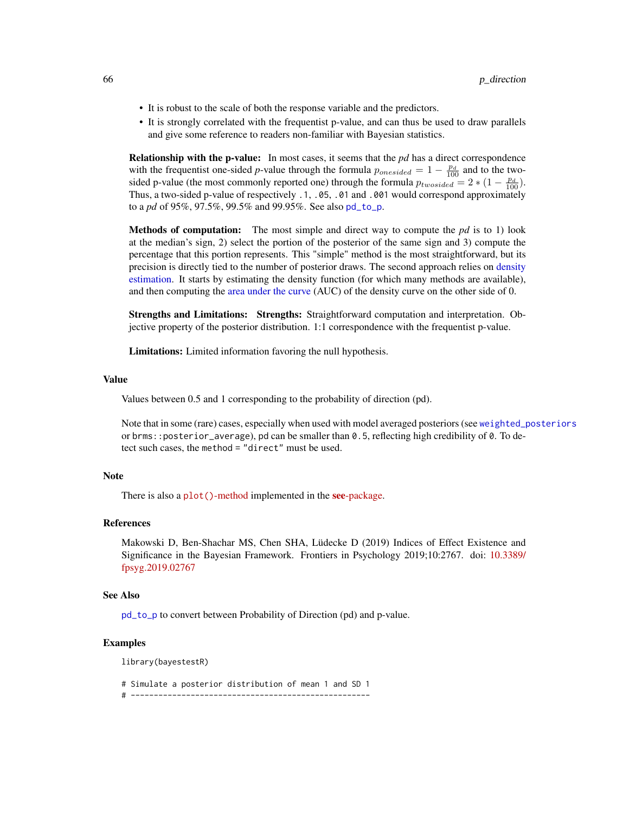- It is robust to the scale of both the response variable and the predictors.
- It is strongly correlated with the frequentist p-value, and can thus be used to draw parallels and give some reference to readers non-familiar with Bayesian statistics.

Relationship with the p-value: In most cases, it seems that the *pd* has a direct correspondence with the frequentist one-sided *p*-value through the formula  $p_{onesided} = 1 - \frac{p_d}{100}$  and to the twosided p-value (the most commonly reported one) through the formula  $p_{twosided} = 2 * (1 - \frac{p_d}{100})$ . Thus, a two-sided p-value of respectively .1, .05, .01 and .001 would correspond approximately to a *pd* of 95%, 97.5%, 99.5% and 99.95%. See also [pd\\_to\\_p](#page-60-0).

Methods of computation: The most simple and direct way to compute the *pd* is to 1) look at the median's sign, 2) select the portion of the posterior of the same sign and 3) compute the percentage that this portion represents. This "simple" method is the most straightforward, but its precision is directly tied to the number of posterior draws. The second approach relies on [density](#page-42-0) [estimation.](#page-42-0) It starts by estimating the density function (for which many methods are available), and then computing the [area under the curve](#page-2-0) (AUC) of the density curve on the other side of 0.

Strengths and Limitations: Strengths: Straightforward computation and interpretation. Objective property of the posterior distribution. 1:1 correspondence with the frequentist p-value.

Limitations: Limited information favoring the null hypothesis.

#### Value

Values between 0.5 and 1 corresponding to the probability of direction (pd).

Note that in some (rare) cases, especially when used with model averaged posteriors (see [weighted\\_posteriors](#page-86-0) or brms::posterior\_average), pd can be smaller than 0.5, reflecting high credibility of 0. To detect such cases, the method = "direct" must be used.

## Note

There is also a plot ()[-method](https://easystats.github.io/see/articles/bayestestR.html) implemented in the see[-package.](https://easystats.github.io/see/)

# References

Makowski D, Ben-Shachar MS, Chen SHA, Lüdecke D (2019) Indices of Effect Existence and Significance in the Bayesian Framework. Frontiers in Psychology 2019;10:2767. doi: [10.3389/](https://doi.org/10.3389/fpsyg.2019.02767) [fpsyg.2019.02767](https://doi.org/10.3389/fpsyg.2019.02767)

#### See Also

[pd\\_to\\_p](#page-60-0) to convert between Probability of Direction (pd) and p-value.

#### Examples

library(bayestestR)

# Simulate a posterior distribution of mean 1 and SD 1

# ----------------------------------------------------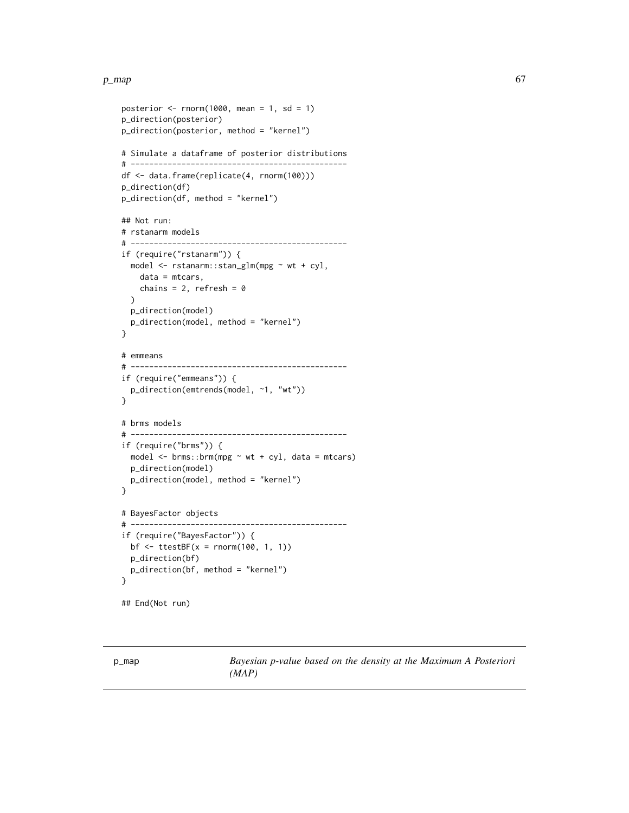### $p_{\perp}$  map 67

```
posterior \leq rnorm(1000, mean = 1, sd = 1)
p_direction(posterior)
p_direction(posterior, method = "kernel")
# Simulate a dataframe of posterior distributions
# -----------------------------------------------
df <- data.frame(replicate(4, rnorm(100)))
p_direction(df)
p_direction(df, method = "kernel")
## Not run:
# rstanarm models
# -----------------------------------------------
if (require("rstanarm")) {
  model <- rstanarm::stan_glm(mpg ~ wt + cyl,
   data = mtcars,
   chains = 2, refresh = 0\lambdap_direction(model)
  p_direction(model, method = "kernel")
}
# emmeans
# -----------------------------------------------
if (require("emmeans")) {
  p_direction(emtrends(model, ~1, "wt"))
}
# brms models
# -----------------------------------------------
if (require("brms")) {
 model \leq brms::brm(mpg \sim wt + cyl, data = mtcars)
  p_direction(model)
  p_direction(model, method = "kernel")
}
# BayesFactor objects
# -----------------------------------------------
if (require("BayesFactor")) {
  bf \leftarrow ttestBF(x = rnorm(100, 1, 1))p_direction(bf)
 p_direction(bf, method = "kernel")
}
## End(Not run)
```
p\_map *Bayesian p-value based on the density at the Maximum A Posteriori (MAP)*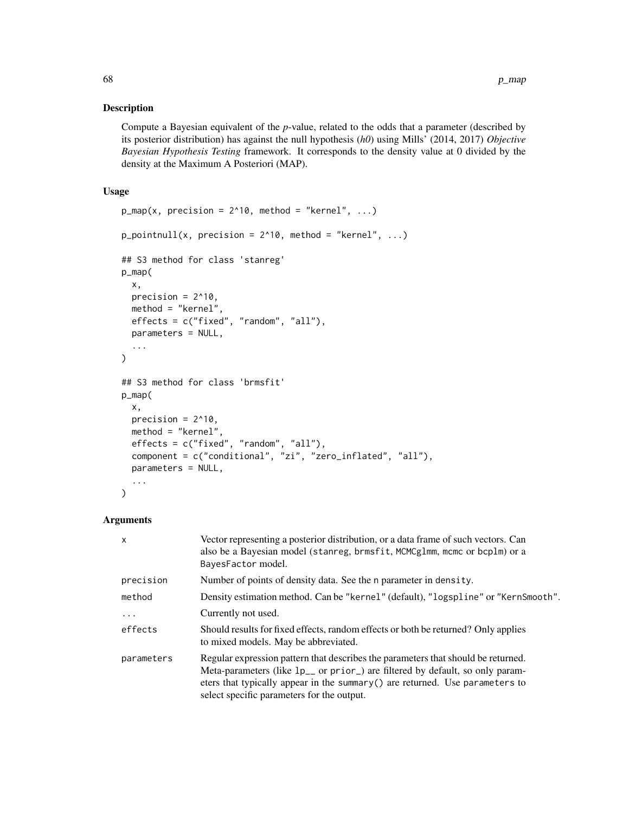# Description

Compute a Bayesian equivalent of the *p*-value, related to the odds that a parameter (described by its posterior distribution) has against the null hypothesis (*h0*) using Mills' (2014, 2017) *Objective Bayesian Hypothesis Testing* framework. It corresponds to the density value at 0 divided by the density at the Maximum A Posteriori (MAP).

# Usage

```
p_map(x, precision = 2^10, method = "kernel", ...)p\_pointnull(x, precision = 2^10, method = "kernel", ...)## S3 method for class 'stanreg'
p_map(
  x,
 precision = 2^10,
 method = "kernel",
 effects = c("fixed", "random", "all"),
 parameters = NULL,
  ...
\lambda## S3 method for class 'brmsfit'
p_map(
 x,
 precision = 2^{\wedge}10,
 method = "kernel",
 effects = c("fixed", "random", "all"),
 component = c("conditional", "zi", "zero_inflated", "all"),
 parameters = NULL,
  ...
\lambda
```

| $\mathsf{x}$ | Vector representing a posterior distribution, or a data frame of such vectors. Can<br>also be a Bayesian model (stanreg, brmsfit, MCMCglmm, mcmc or bcplm) or a<br>BayesFactor model.                                                                                                                         |
|--------------|---------------------------------------------------------------------------------------------------------------------------------------------------------------------------------------------------------------------------------------------------------------------------------------------------------------|
| precision    | Number of points of density data. See the n parameter in density.                                                                                                                                                                                                                                             |
| method       | Density estimation method. Can be "kernel" (default), "logspline" or "KernSmooth".                                                                                                                                                                                                                            |
| $\cdots$     | Currently not used.                                                                                                                                                                                                                                                                                           |
| effects      | Should results for fixed effects, random effects or both be returned? Only applies<br>to mixed models. May be abbreviated.                                                                                                                                                                                    |
| parameters   | Regular expression pattern that describes the parameters that should be returned.<br>Meta-parameters (like 1p <sub>-</sub> or prior) are filtered by default, so only param-<br>eters that typically appear in the summary $()$ are returned. Use parameters to<br>select specific parameters for the output. |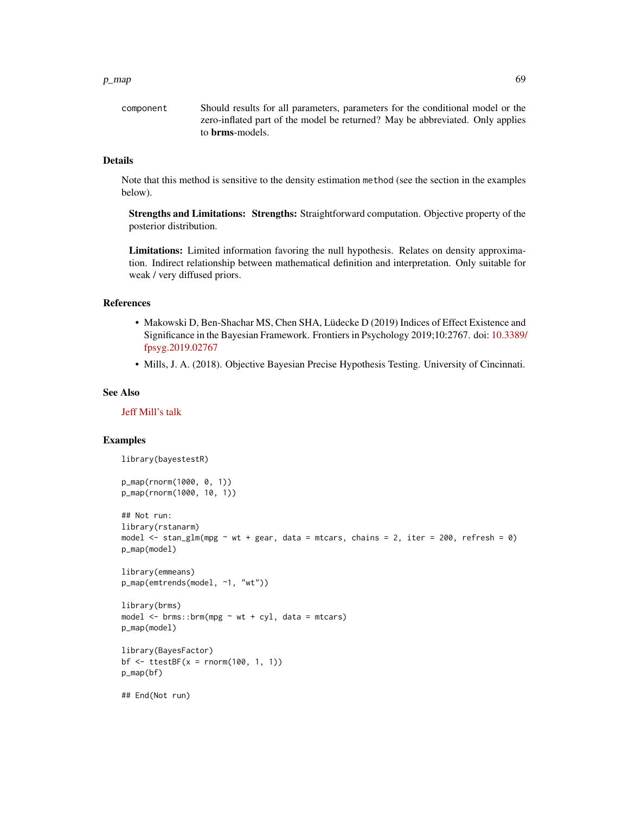#### $p_{\perp}$  map 69

component Should results for all parameters, parameters for the conditional model or the zero-inflated part of the model be returned? May be abbreviated. Only applies to brms-models.

# Details

Note that this method is sensitive to the density estimation method (see the section in the examples below).

Strengths and Limitations: Strengths: Straightforward computation. Objective property of the posterior distribution.

Limitations: Limited information favoring the null hypothesis. Relates on density approximation. Indirect relationship between mathematical definition and interpretation. Only suitable for weak / very diffused priors.

## References

- Makowski D, Ben-Shachar MS, Chen SHA, Lüdecke D (2019) Indices of Effect Existence and Significance in the Bayesian Framework. Frontiers in Psychology 2019;10:2767. doi: [10.3389/](https://doi.org/10.3389/fpsyg.2019.02767) [fpsyg.2019.02767](https://doi.org/10.3389/fpsyg.2019.02767)
- Mills, J. A. (2018). Objective Bayesian Precise Hypothesis Testing. University of Cincinnati.

#### See Also

[Jeff Mill's talk](https://www.youtube.com/watch?v=Ip8Ci5KUVRc)

```
library(bayestestR)
p_map(rnorm(1000, 0, 1))
p_map(rnorm(1000, 10, 1))
## Not run:
library(rstanarm)
model \le stan_glm(mpg \sim wt + gear, data = mtcars, chains = 2, iter = 200, refresh = 0)
p_map(model)
library(emmeans)
p_map(emtrends(model, ~1, "wt"))
library(brms)
model \leq brms::brm(mpg \sim wt + cyl, data = mtcars)
p_map(model)
library(BayesFactor)
bf \leftarrow ttestBF(x = rnorm(100, 1, 1))p_map(bf)
## End(Not run)
```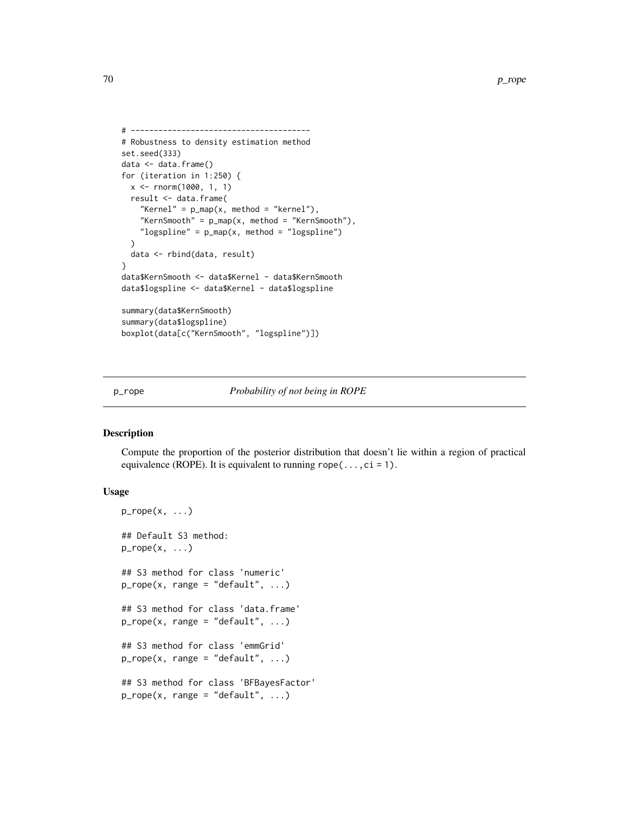```
# ---------------------------------------
# Robustness to density estimation method
set.seed(333)
data <- data.frame()
for (iteration in 1:250) {
  x <- rnorm(1000, 1, 1)
  result <- data.frame(
    "Kernel" = p_{map}(x, \text{ method = "kernel"),}"KernSmooth" = p_{map}(x, \text{ method = "KernSmooth"),}"logspline" = p_map(x, method = "logspline")
  )
  data <- rbind(data, result)
}
data$KernSmooth <- data$Kernel - data$KernSmooth
data$logspline <- data$Kernel - data$logspline
summary(data$KernSmooth)
summary(data$logspline)
boxplot(data[c("KernSmooth", "logspline")])
```
p\_rope *Probability of not being in ROPE*

# Description

Compute the proportion of the posterior distribution that doesn't lie within a region of practical equivalence (ROPE). It is equivalent to running  $rope(...,ci = 1)$ .

```
p_{\text{rope}}(x, \ldots)## Default S3 method:
p_{\text{rope}}(x, \ldots)## S3 method for class 'numeric'
p\_rope(x, range = "default", ...)## S3 method for class 'data.frame'
p\_rope(x, range = "default", ...)## S3 method for class 'emmGrid'
p_{\text{rope}}(x, \text{ range} = "default", ...)## S3 method for class 'BFBayesFactor'
p\_rope(x, range = "default", ...)
```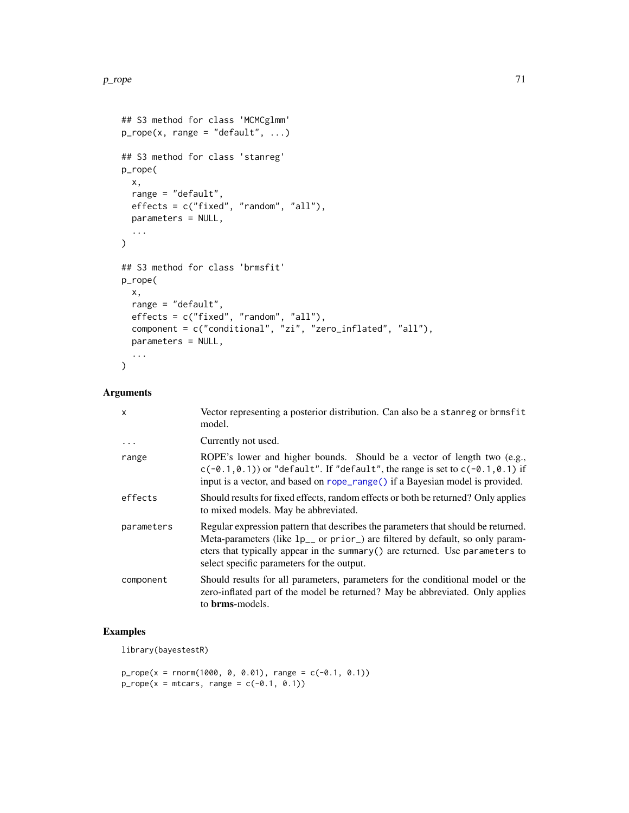```
## S3 method for class 'MCMCglmm'
p\_rope(x, range = "default", ...)## S3 method for class 'stanreg'
p_rope(
 x,
 range = "default",
 effects = c("fixed", "random", "all"),
 parameters = NULL,
  ...
\mathcal{L}## S3 method for class 'brmsfit'
p_rope(
 x,
 range = "default",
 effects = c("fixed", "random", "all"),
 component = c("conditional", "zi", "zero_inflated", "all"),
 parameters = NULL,
  ...
\mathcal{L}
```
# Arguments

| $\mathsf{x}$ | Vector representing a posterior distribution. Can also be a stanreg or brmsfit<br>model.                                                                                                                                                                                                                      |
|--------------|---------------------------------------------------------------------------------------------------------------------------------------------------------------------------------------------------------------------------------------------------------------------------------------------------------------|
| $\cdots$     | Currently not used.                                                                                                                                                                                                                                                                                           |
| range        | ROPE's lower and higher bounds. Should be a vector of length two (e.g.,<br>$c(-0.1, 0.1)$ or "default". If "default", the range is set to $c(-0.1, 0.1)$ if<br>input is a vector, and based on rope_range() if a Bayesian model is provided.                                                                  |
| effects      | Should results for fixed effects, random effects or both be returned? Only applies<br>to mixed models. May be abbreviated.                                                                                                                                                                                    |
| parameters   | Regular expression pattern that describes the parameters that should be returned.<br>Meta-parameters (like 1p <sub>-</sub> or prior) are filtered by default, so only param-<br>eters that typically appear in the summary $()$ are returned. Use parameters to<br>select specific parameters for the output. |
| component    | Should results for all parameters, parameters for the conditional model or the<br>zero-inflated part of the model be returned? May be abbreviated. Only applies<br>to <b>brms</b> -models.                                                                                                                    |

## Examples

library(bayestestR)

```
p_{\text{rope}}(x = \text{norm}(1000, 0, 0.01), \text{range} = c(-0.1, 0.1))p\_rope(x = mtrans, range = c(-0.1, 0.1))
```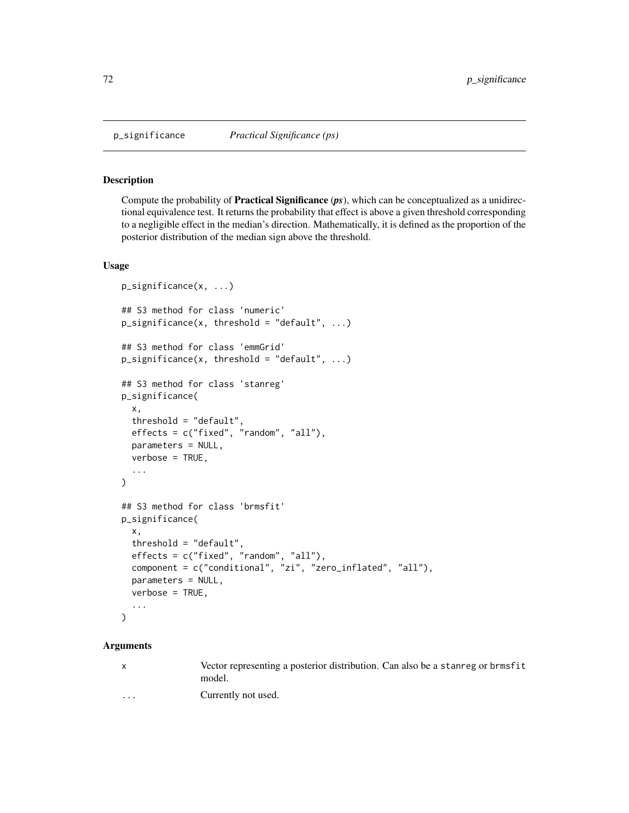# Description

Compute the probability of Practical Significance (*ps*), which can be conceptualized as a unidirectional equivalence test. It returns the probability that effect is above a given threshold corresponding to a negligible effect in the median's direction. Mathematically, it is defined as the proportion of the posterior distribution of the median sign above the threshold.

# Usage

```
p_significance(x, ...)
## S3 method for class 'numeric'
p_significance(x, threshold = "default", ...)
## S3 method for class 'emmGrid'
p_significance(x, threshold = "default", ...)
## S3 method for class 'stanreg'
p_significance(
  x,
  threshold = "default",
  effects = c("fixed", "random", "all"),
  parameters = NULL,
  verbose = TRUE,
  ...
\mathcal{L}## S3 method for class 'brmsfit'
p_significance(
  x,
  threshold = "default",
  effects = c("fixed", "random", "all"),
  component = c("conditional", "zi", "zero_inflated", "all"),
  parameters = NULL,
  verbose = TRUE,
  ...
)
```

| $\mathbf{x}$      | Vector representing a posterior distribution. Can also be a stanreg or brmsfit<br>model. |
|-------------------|------------------------------------------------------------------------------------------|
| $\cdot\cdot\cdot$ | Currently not used.                                                                      |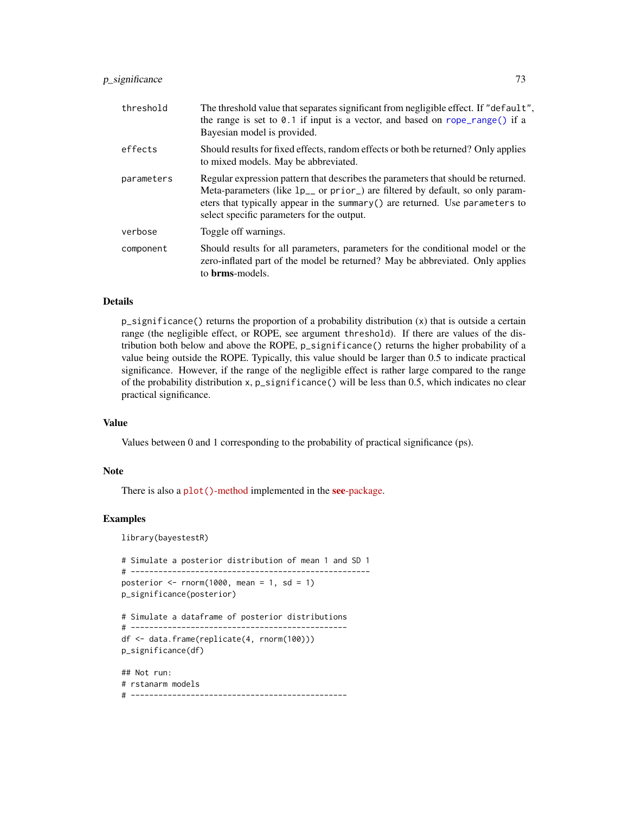# <span id="page-72-0"></span>p\_significance 73

| threshold  | The threshold value that separates significant from negligible effect. If "default",<br>the range is set to $0.1$ if input is a vector, and based on $rope\_range()$ if a<br>Bayesian model is provided.                                                                                                              |
|------------|-----------------------------------------------------------------------------------------------------------------------------------------------------------------------------------------------------------------------------------------------------------------------------------------------------------------------|
| effects    | Should results for fixed effects, random effects or both be returned? Only applies<br>to mixed models. May be abbreviated.                                                                                                                                                                                            |
| parameters | Regular expression pattern that describes the parameters that should be returned.<br>Meta-parameters (like $lp_{--}$ or prior <sub>-</sub> ) are filtered by default, so only param-<br>eters that typically appear in the summary $()$ are returned. Use parameters to<br>select specific parameters for the output. |
| verbose    | Toggle off warnings.                                                                                                                                                                                                                                                                                                  |
| component  | Should results for all parameters, parameters for the conditional model or the<br>zero-inflated part of the model be returned? May be abbreviated. Only applies<br>to <b>brms</b> -models.                                                                                                                            |

# Details

p\_significance() returns the proportion of a probability distribution (x) that is outside a certain range (the negligible effect, or ROPE, see argument threshold). If there are values of the distribution both below and above the ROPE, p\_significance() returns the higher probability of a value being outside the ROPE. Typically, this value should be larger than 0.5 to indicate practical significance. However, if the range of the negligible effect is rather large compared to the range of the probability distribution x, p\_significance() will be less than 0.5, which indicates no clear practical significance.

# Value

Values between 0 and 1 corresponding to the probability of practical significance (ps).

#### Note

There is also a plot()[-method](https://easystats.github.io/see/articles/bayestestR.html) implemented in the see[-package.](https://easystats.github.io/see/)

# Examples

library(bayestestR)

```
# Simulate a posterior distribution of mean 1 and SD 1
# ----------------------------------------------------
posterior \leq rnorm(1000, mean = 1, sd = 1)
p_significance(posterior)
# Simulate a dataframe of posterior distributions
# -----------------------------------------------
df <- data.frame(replicate(4, rnorm(100)))
p_significance(df)
## Not run:
# rstanarm models
# -----------------------------------------------
```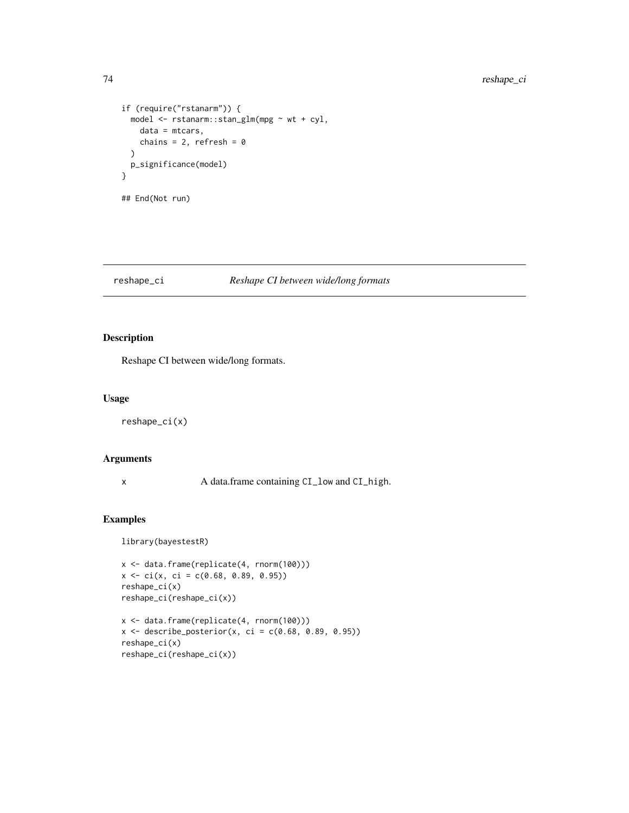```
if (require("rstanarm")) {
 model <- rstanarm::stan_glm(mpg ~ wt + cyl,
   data = mtcars,
   chains = 2, refresh = 0)
 p_significance(model)
}
## End(Not run)
```
# reshape\_ci *Reshape CI between wide/long formats*

# Description

Reshape CI between wide/long formats.

#### Usage

reshape\_ci(x)

# Arguments

x A data.frame containing CI\_low and CI\_high.

```
library(bayestestR)
```

```
x <- data.frame(replicate(4, rnorm(100)))
x \le -\operatorname{ci}(x, \operatorname{ci} = \operatorname{c}(0.68, 0.89, 0.95))reshape_ci(x)
reshape_ci(reshape_ci(x))
x <- data.frame(replicate(4, rnorm(100)))
x \le - describe_posterior(x, ci = c(0.68, 0.89, 0.95))
reshape_ci(x)
```

```
reshape_ci(reshape_ci(x))
```
<span id="page-73-0"></span>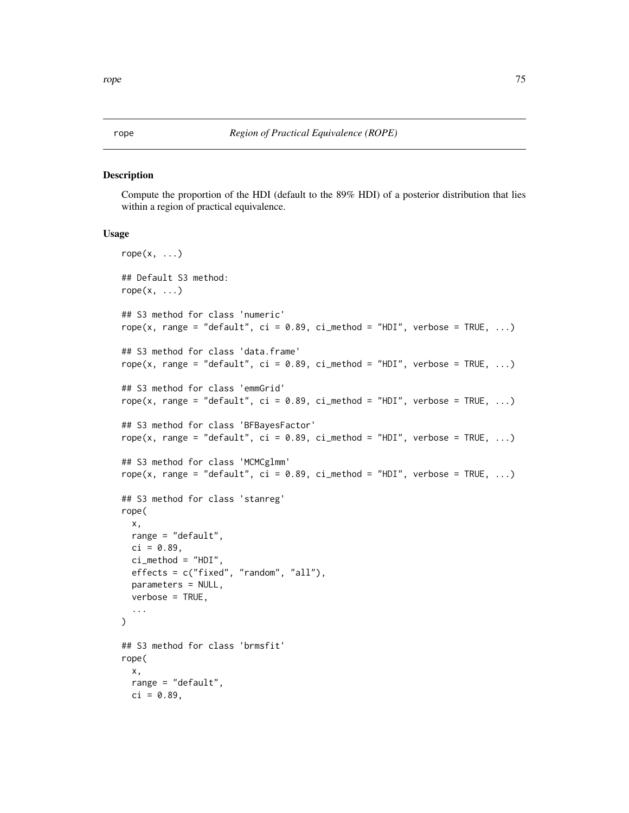## <span id="page-74-0"></span>rope *Region of Practical Equivalence (ROPE)*

#### Description

Compute the proportion of the HDI (default to the 89% HDI) of a posterior distribution that lies within a region of practical equivalence.

#### Usage

```
rope(x, \ldots)## Default S3 method:
rope(x, \ldots)## S3 method for class 'numeric'
rope(x, range = "default", ci = 0.89, ci method = "HDI", verbose = TRUE, ...)
## S3 method for class 'data.frame'
rope(x, range = "default", ci = 0.89, ci_method = "HDI", verbose = TRUE, ...)
## S3 method for class 'emmGrid'
rope(x, range = "default", ci = 0.89, ci_method = "HDI", verbose = TRUE, ...)
## S3 method for class 'BFBayesFactor'
rope(x, range = "default", ci = 0.89, ci method = "HDI", verbose = TRUE, ...)
## S3 method for class 'MCMCglmm'
rope(x, range = "default", ci = 0.89, ci_method = "HDI", verbose = TRUE, ...)
## S3 method for class 'stanreg'
rope(
 x,
 range = "default",
 ci = 0.89,ci_method = "HDI",
 effects = c("fixed", "random", "all"),
 parameters = NULL,
  verbose = TRUE,
  ...
\lambda## S3 method for class 'brmsfit'
rope(
 x,
 range = "default",
 ci = 0.89,
```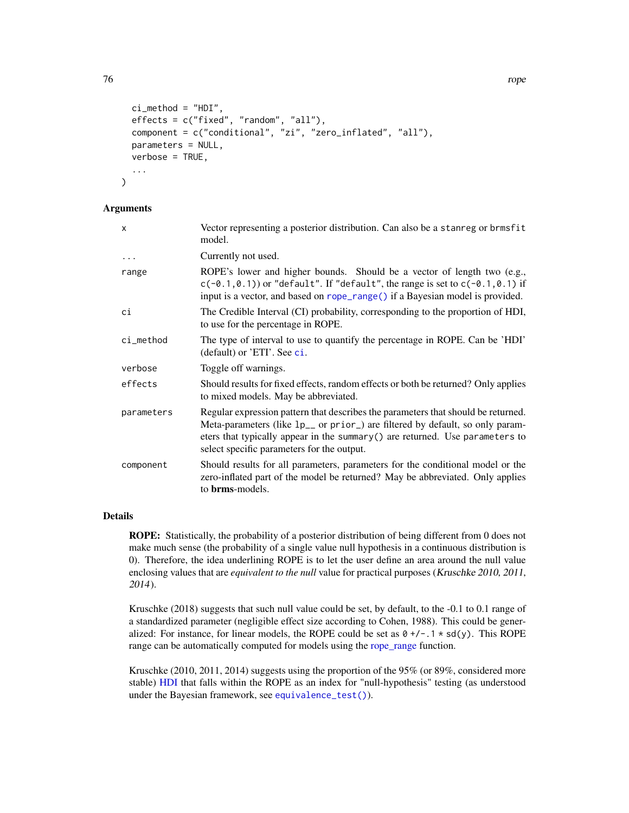```
ci_method = "HDI",
  effects = c("fixed", "random", "all"),
  component = c("conditional", "zi", "zero_inflated", "all"),
 parameters = NULL,
  verbose = TRUE,
  ...
)
```
#### Arguments

| X          | Vector representing a posterior distribution. Can also be a stanreg or brmsfit<br>model.                                                                                                                                                                                                                    |
|------------|-------------------------------------------------------------------------------------------------------------------------------------------------------------------------------------------------------------------------------------------------------------------------------------------------------------|
| $\cdots$   | Currently not used.                                                                                                                                                                                                                                                                                         |
| range      | ROPE's lower and higher bounds. Should be a vector of length two (e.g.,<br>$c(-0.1, 0.1)$ or "default". If "default", the range is set to $c(-0.1, 0.1)$ if<br>input is a vector, and based on rope_range() if a Bayesian model is provided.                                                                |
| сi         | The Credible Interval (CI) probability, corresponding to the proportion of HDI,<br>to use for the percentage in ROPE.                                                                                                                                                                                       |
| ci_method  | The type of interval to use to quantify the percentage in ROPE. Can be 'HDI'<br>(default) or 'ETI'. See ci.                                                                                                                                                                                                 |
| verbose    | Toggle off warnings.                                                                                                                                                                                                                                                                                        |
| effects    | Should results for fixed effects, random effects or both be returned? Only applies<br>to mixed models. May be abbreviated.                                                                                                                                                                                  |
| parameters | Regular expression pattern that describes the parameters that should be returned.<br>Meta-parameters (like 1p <sub>-</sub> or prior) are filtered by default, so only param-<br>eters that typically appear in the summary () are returned. Use parameters to<br>select specific parameters for the output. |
| component  | Should results for all parameters, parameters for the conditional model or the<br>zero-inflated part of the model be returned? May be abbreviated. Only applies<br>to <b>brms</b> -models.                                                                                                                  |

# Details

ROPE: Statistically, the probability of a posterior distribution of being different from 0 does not make much sense (the probability of a single value null hypothesis in a continuous distribution is 0). Therefore, the idea underlining ROPE is to let the user define an area around the null value enclosing values that are *equivalent to the null* value for practical purposes (Kruschke 2010, 2011, 2014).

Kruschke (2018) suggests that such null value could be set, by default, to the -0.1 to 0.1 range of a standardized parameter (negligible effect size according to Cohen, 1988). This could be generalized: For instance, for linear models, the ROPE could be set as  $0 +/-1 * sd(y)$ . This ROPE range can be automatically computed for models using the [rope\\_range](#page-77-0) function.

Kruschke (2010, 2011, 2014) suggests using the proportion of the 95% (or 89%, considered more stable) [HDI](#page-47-0) that falls within the ROPE as an index for "null-hypothesis" testing (as understood under the Bayesian framework, see [equivalence\\_test\(\)](#page-38-0)).

<span id="page-75-0"></span>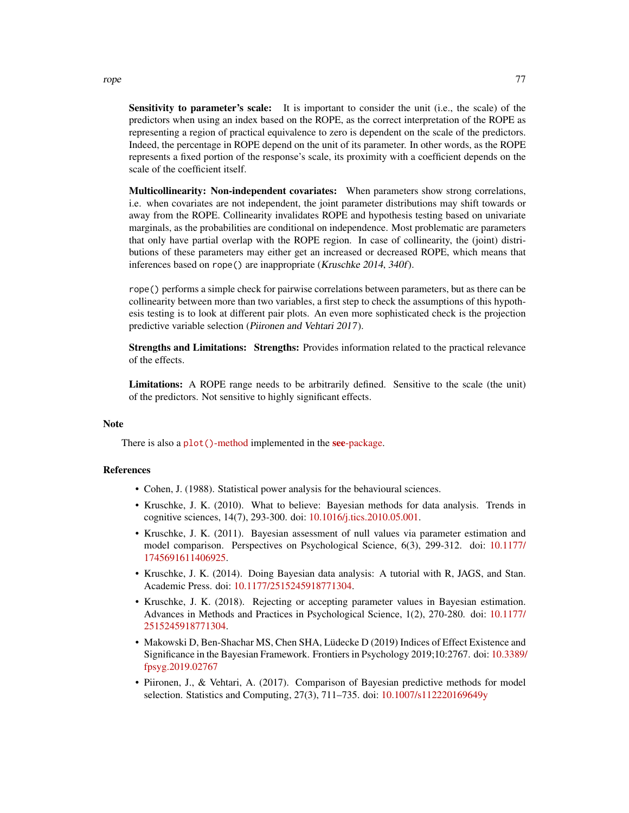Sensitivity to parameter's scale: It is important to consider the unit (i.e., the scale) of the predictors when using an index based on the ROPE, as the correct interpretation of the ROPE as representing a region of practical equivalence to zero is dependent on the scale of the predictors. Indeed, the percentage in ROPE depend on the unit of its parameter. In other words, as the ROPE represents a fixed portion of the response's scale, its proximity with a coefficient depends on the scale of the coefficient itself.

Multicollinearity: Non-independent covariates: When parameters show strong correlations, i.e. when covariates are not independent, the joint parameter distributions may shift towards or away from the ROPE. Collinearity invalidates ROPE and hypothesis testing based on univariate marginals, as the probabilities are conditional on independence. Most problematic are parameters that only have partial overlap with the ROPE region. In case of collinearity, the (joint) distributions of these parameters may either get an increased or decreased ROPE, which means that inferences based on rope() are inappropriate (Kruschke 2014, 340f).

rope() performs a simple check for pairwise correlations between parameters, but as there can be collinearity between more than two variables, a first step to check the assumptions of this hypothesis testing is to look at different pair plots. An even more sophisticated check is the projection predictive variable selection (Piironen and Vehtari 2017).

Strengths and Limitations: Strengths: Provides information related to the practical relevance of the effects.

Limitations: A ROPE range needs to be arbitrarily defined. Sensitive to the scale (the unit) of the predictors. Not sensitive to highly significant effects.

#### **Note**

There is also a plot()[-method](https://easystats.github.io/see/articles/bayestestR.html) implemented in the **see**[-package.](https://easystats.github.io/see/)

#### References

- Cohen, J. (1988). Statistical power analysis for the behavioural sciences.
- Kruschke, J. K. (2010). What to believe: Bayesian methods for data analysis. Trends in cognitive sciences, 14(7), 293-300. doi: [10.1016/j.tics.2010.05.001.](https://doi.org/10.1016/j.tics.2010.05.001)
- Kruschke, J. K. (2011). Bayesian assessment of null values via parameter estimation and model comparison. Perspectives on Psychological Science, 6(3), 299-312. doi: [10.1177/](https://doi.org/10.1177/1745691611406925) [1745691611406925.](https://doi.org/10.1177/1745691611406925)
- Kruschke, J. K. (2014). Doing Bayesian data analysis: A tutorial with R, JAGS, and Stan. Academic Press. doi: [10.1177/2515245918771304.](https://doi.org/10.1177/2515245918771304)
- Kruschke, J. K. (2018). Rejecting or accepting parameter values in Bayesian estimation. Advances in Methods and Practices in Psychological Science, 1(2), 270-280. doi: [10.1177/](https://doi.org/10.1177/2515245918771304) [2515245918771304.](https://doi.org/10.1177/2515245918771304)
- Makowski D, Ben-Shachar MS, Chen SHA, Lüdecke D (2019) Indices of Effect Existence and Significance in the Bayesian Framework. Frontiers in Psychology 2019;10:2767. doi: [10.3389/](https://doi.org/10.3389/fpsyg.2019.02767) [fpsyg.2019.02767](https://doi.org/10.3389/fpsyg.2019.02767)
- Piironen, J., & Vehtari, A. (2017). Comparison of Bayesian predictive methods for model selection. Statistics and Computing, 27(3), 711–735. doi: [10.1007/s112220169649y](https://doi.org/10.1007/s11222-016-9649-y)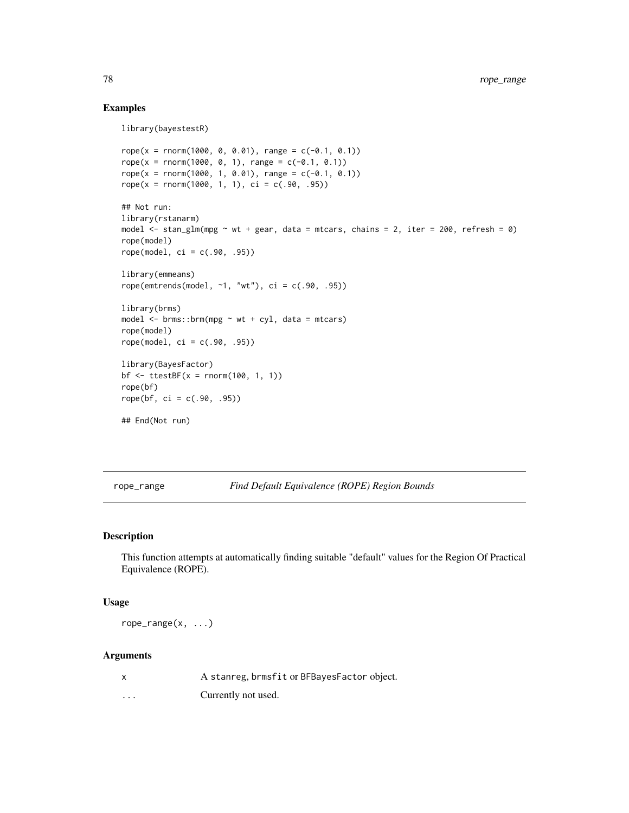# Examples

```
library(bayestestR)
rope(x = rnorm(1000, 0, 0.01), range = c(-0.1, 0.1))rope(x = rnorm(1000, 0, 1), range = c(-0.1, 0.1))rope(x = rnorm(1000, 1, 0.01), range = c(-0.1, 0.1))rope(x = rnorm(1000, 1, 1), ci = c(.90, .95))## Not run:
library(rstanarm)
model \le stan_glm(mpg \sim wt + gear, data = mtcars, chains = 2, iter = 200, refresh = 0)
rope(model)
rope(model, ci = c(.90, .95))library(emmeans)
rope(emtrends(model, ~1, "wt"), ci = c(.90, .95))
library(brms)
model \le brms::brm(mpg \sim wt + cyl, data = mtcars)rope(model)
rope(model, ci = c(.90, .95))library(BayesFactor)
bf \le ttestBF(x = rnorm(100, 1, 1))
rope(bf)
rope(bf, ci = c(.90, .95))## End(Not run)
```
<span id="page-77-0"></span>rope\_range *Find Default Equivalence (ROPE) Region Bounds*

# Description

This function attempts at automatically finding suitable "default" values for the Region Of Practical Equivalence (ROPE).

#### Usage

rope\_range(x, ...)

#### Arguments

| A stanreg, brmsfit or BFBayesFactor object. |  |
|---------------------------------------------|--|
|---------------------------------------------|--|

... Currently not used.

<span id="page-77-1"></span>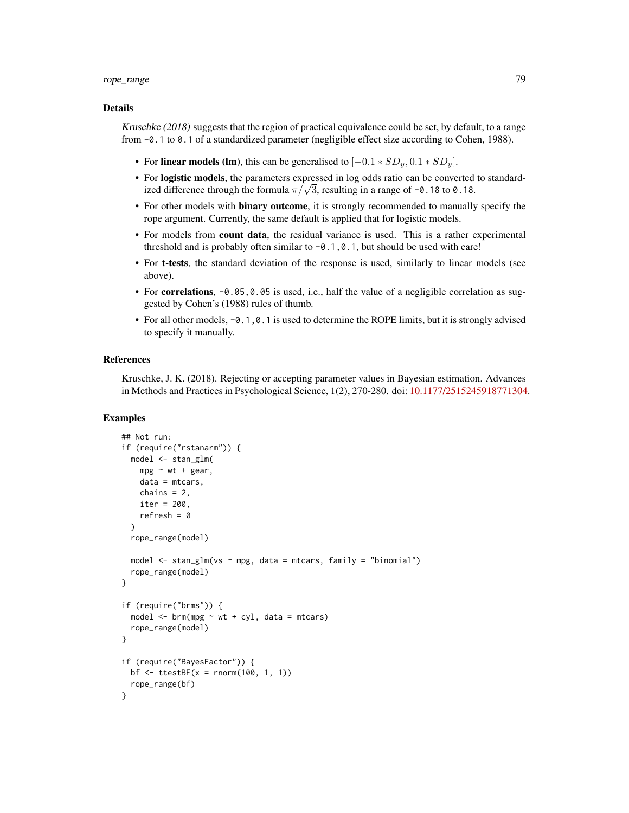#### rope\_range 79

#### Details

Kruschke (2018) suggests that the region of practical equivalence could be set, by default, to a range from -0.1 to 0.1 of a standardized parameter (negligible effect size according to Cohen, 1988).

- For linear models (lm), this can be generalised to  $[-0.1 * SD_y, 0.1 * SD_y]$ .
- For logistic models, the parameters expressed in log odds ratio can be converted to standard-For **iogistic models**, the parameters expressed in log odds ratio can be converted ized difference through the formula  $\pi/\sqrt{3}$ , resulting in a range of  $\neg$ 0.18 to 0.18.
- For other models with **binary outcome**, it is strongly recommended to manually specify the rope argument. Currently, the same default is applied that for logistic models.
- For models from count data, the residual variance is used. This is a rather experimental threshold and is probably often similar to  $-0.1, 0.1$ , but should be used with care!
- For t-tests, the standard deviation of the response is used, similarly to linear models (see above).
- For **correlations**,  $-0.05$ , 0.05 is used, i.e., half the value of a negligible correlation as suggested by Cohen's (1988) rules of thumb.
- For all other models,  $-0.1$ , 0.1 is used to determine the ROPE limits, but it is strongly advised to specify it manually.

#### References

Kruschke, J. K. (2018). Rejecting or accepting parameter values in Bayesian estimation. Advances in Methods and Practices in Psychological Science, 1(2), 270-280. doi: [10.1177/2515245918771304.](https://doi.org/10.1177/2515245918771304)

```
## Not run:
if (require("rstanarm")) {
 model <- stan_glm(
   mpg \sim wt + gear,
   data = mtcars,
    chains = 2,
    iter = 200,
    refresh = 0)
 rope_range(model)
 model \le stan_glm(vs \sim mpg, data = mtcars, family = "binomial")
 rope_range(model)
}
if (require("brms")) {
 model \leq brm(mpg \sim wt + cyl, data = mtcars)
 rope_range(model)
}
if (require("BayesFactor")) {
 bf \leftarrow ttestBF(x = rnorm(100, 1, 1))rope_range(bf)
}
```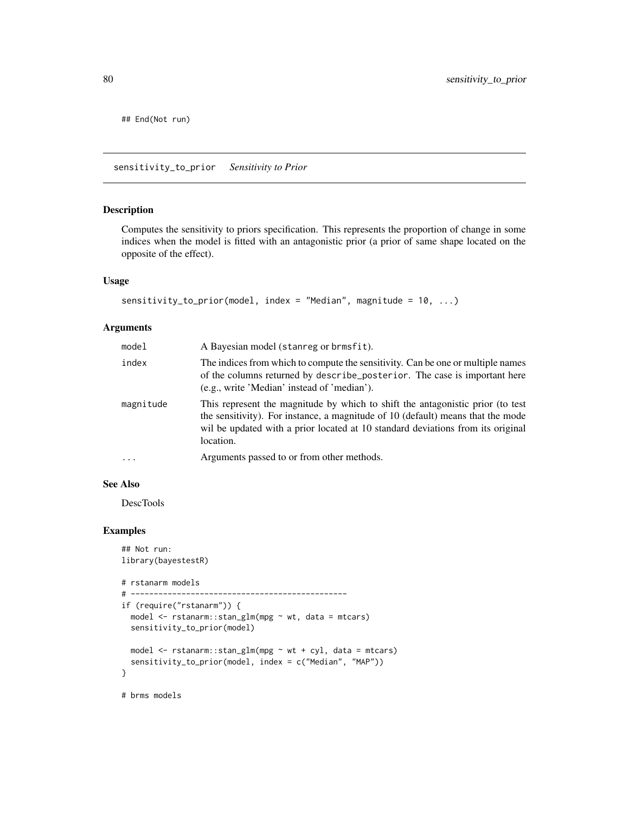<span id="page-79-0"></span>## End(Not run)

sensitivity\_to\_prior *Sensitivity to Prior*

# Description

Computes the sensitivity to priors specification. This represents the proportion of change in some indices when the model is fitted with an antagonistic prior (a prior of same shape located on the opposite of the effect).

#### Usage

```
sensitivity_to_prior(model, index = "Median", magnitude = 10, ...)
```
# Arguments

| model     | A Bayesian model (stanreg or brmsfit).                                                                                                                                                                                                                            |
|-----------|-------------------------------------------------------------------------------------------------------------------------------------------------------------------------------------------------------------------------------------------------------------------|
| index     | The indices from which to compute the sensitivity. Can be one or multiple names<br>of the columns returned by describe posterior. The case is important here<br>(e.g., write 'Median' instead of 'median').                                                       |
| magnitude | This represent the magnitude by which to shift the antagonistic prior (to test<br>the sensitivity). For instance, a magnitude of 10 (default) means that the mode<br>wil be updated with a prior located at 10 standard deviations from its original<br>location. |
| $\cdot$   | Arguments passed to or from other methods.                                                                                                                                                                                                                        |

# See Also

DescTools

```
## Not run:
library(bayestestR)
# rstanarm models
# -----------------------------------------------
if (require("rstanarm")) {
  model <- rstanarm::stan_glm(mpg ~ wt, data = mtcars)
  sensitivity_to_prior(model)
  model <- rstanarm::stan_glm(mpg ~ wt + cyl, data = mtcars)
  sensitivity_to_prior(model, index = c("Median", "MAP"))
}
# brms models
```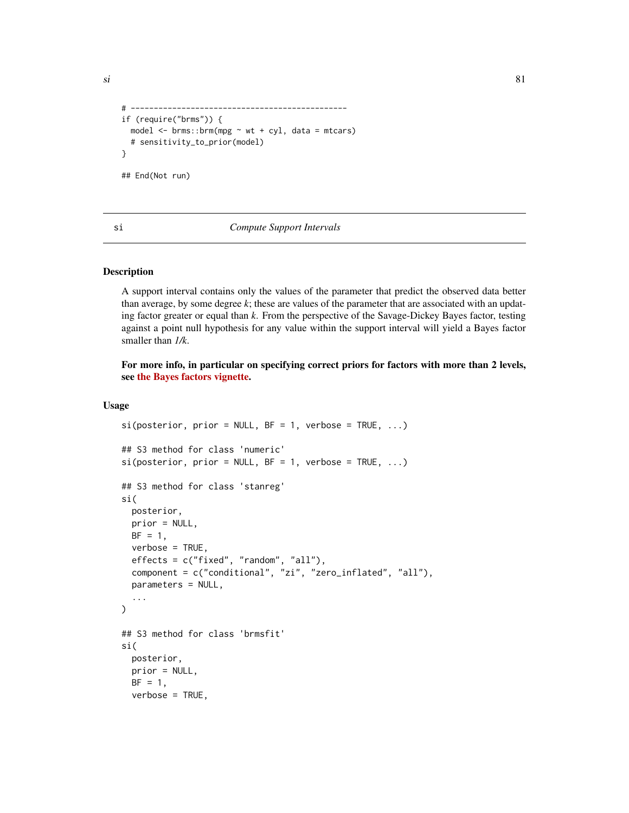```
# -----------------------------------------------
if (require("brms")) {
  model \leq brms::brm(mpg \sim wt + cyl, data = mtcars)
  # sensitivity_to_prior(model)
}
## End(Not run)
```
si *Compute Support Intervals*

# Description

A support interval contains only the values of the parameter that predict the observed data better than average, by some degree *k*; these are values of the parameter that are associated with an updating factor greater or equal than *k*. From the perspective of the Savage-Dickey Bayes factor, testing against a point null hypothesis for any value within the support interval will yield a Bayes factor smaller than *1/k*.

For more info, in particular on specifying correct priors for factors with more than 2 levels, see [the Bayes factors vignette.](https://easystats.github.io/bayestestR/articles/bayes_factors.html)

# Usage

```
si(posterior, prior = NULL, BF = 1, verbose = TRUE, ...)## S3 method for class 'numeric'
si(posterior, prior = NULL, BF = 1, verbose = TRUE, ...)## S3 method for class 'stanreg'
si(
 posterior,
 prior = NULL,
 BF = 1,verbose = TRUE,
 effects = c("fixed", "random", "all"),
 component = c("conditional", "zi", "zero_inflated", "all"),
 parameters = NULL,
  ...
)
## S3 method for class 'brmsfit'
si(
 posterior,
 prior = NULL,
 BF = 1,
 verbose = TRUE,
```
<span id="page-80-0"></span> $\sin$  81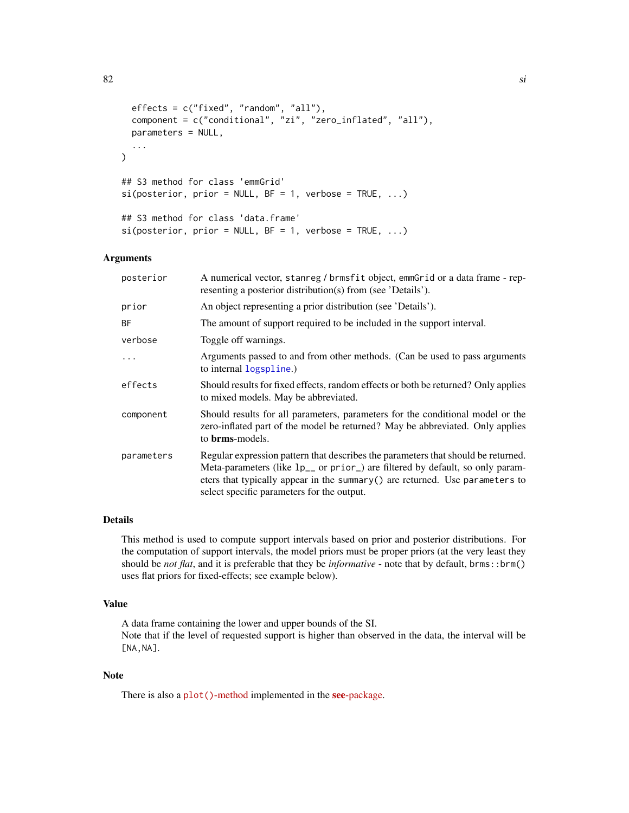```
effects = c("fixed", "random", "all"),
 component = c("conditional", "zi", "zero_inflated", "all"),
 parameters = NULL,
  ...
\mathcal{L}## S3 method for class 'emmGrid'
si(posterior, prior = NULL, BF = 1, verbose = TRUE, ...)## S3 method for class 'data.frame'
si(posterior, prior = NULL, BF = 1, verbose = TRUE, ...)
```
# Arguments

| posterior  | A numerical vector, stanreg / brmsfit object, emmGrid or a data frame - rep-<br>resenting a posterior distribution(s) from (see 'Details').                                                                                                                                                                           |
|------------|-----------------------------------------------------------------------------------------------------------------------------------------------------------------------------------------------------------------------------------------------------------------------------------------------------------------------|
| prior      | An object representing a prior distribution (see 'Details').                                                                                                                                                                                                                                                          |
| <b>BF</b>  | The amount of support required to be included in the support interval.                                                                                                                                                                                                                                                |
| verbose    | Toggle off warnings.                                                                                                                                                                                                                                                                                                  |
| .          | Arguments passed to and from other methods. (Can be used to pass arguments<br>to internal logspline.)                                                                                                                                                                                                                 |
| effects    | Should results for fixed effects, random effects or both be returned? Only applies<br>to mixed models. May be abbreviated.                                                                                                                                                                                            |
| component  | Should results for all parameters, parameters for the conditional model or the<br>zero-inflated part of the model be returned? May be abbreviated. Only applies<br>to <b>brms</b> -models.                                                                                                                            |
| parameters | Regular expression pattern that describes the parameters that should be returned.<br>Meta-parameters (like $lp_{--}$ or prior <sub>-</sub> ) are filtered by default, so only param-<br>eters that typically appear in the summary $()$ are returned. Use parameters to<br>select specific parameters for the output. |

# Details

This method is used to compute support intervals based on prior and posterior distributions. For the computation of support intervals, the model priors must be proper priors (at the very least they should be *not flat*, and it is preferable that they be *informative* - note that by default, brms::brm() uses flat priors for fixed-effects; see example below).

#### Value

A data frame containing the lower and upper bounds of the SI. Note that if the level of requested support is higher than observed in the data, the interval will be [NA,NA].

# Note

There is also a plot()[-method](https://easystats.github.io/see/articles/bayestestR.html) implemented in the see[-package.](https://easystats.github.io/see/)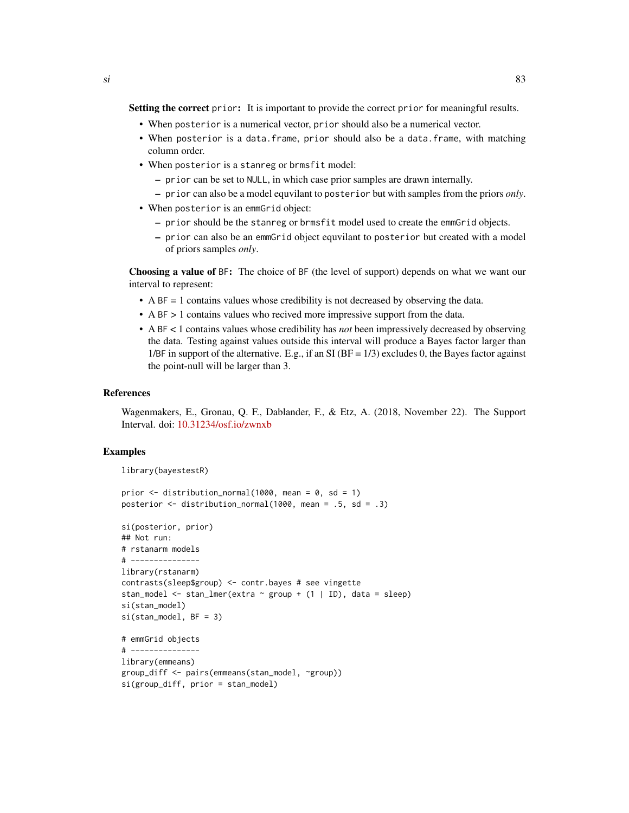Setting the correct prior: It is important to provide the correct prior for meaningful results.

- When posterior is a numerical vector, prior should also be a numerical vector.
- When posterior is a data.frame, prior should also be a data.frame, with matching column order.
- When posterior is a stanreg or brmsfit model:
	- prior can be set to NULL, in which case prior samples are drawn internally.
	- prior can also be a model equvilant to posterior but with samples from the priors *only*.
- When posterior is an emmGrid object:
	- prior should be the stanreg or brmsfit model used to create the emmGrid objects.
	- prior can also be an emmGrid object equvilant to posterior but created with a model of priors samples *only*.

Choosing a value of BF: The choice of BF (the level of support) depends on what we want our interval to represent:

- A  $BF = 1$  contains values whose credibility is not decreased by observing the data.
- A BF > 1 contains values who recived more impressive support from the data.
- A BF < 1 contains values whose credibility has *not* been impressively decreased by observing the data. Testing against values outside this interval will produce a Bayes factor larger than 1/BF in support of the alternative. E.g., if an SI ( $BF = 1/3$ ) excludes 0, the Bayes factor against the point-null will be larger than 3.

#### References

Wagenmakers, E., Gronau, Q. F., Dablander, F., & Etz, A. (2018, November 22). The Support Interval. doi: [10.31234/osf.io/zwnxb](https://doi.org/10.31234/osf.io/zwnxb)

```
library(bayestestR)
```

```
prior \leq distribution_normal(1000, mean = 0, sd = 1)
posterior <- distribution_normal(1000, mean = .5, sd = .3)
```

```
si(posterior, prior)
## Not run:
# rstanarm models
# ---------------
library(rstanarm)
contrasts(sleep$group) <- contr.bayes # see vingette
stan_model <- stan_lmer(extra ~ group + (1 | ID), data = sleep)
si(stan_model)
si(stan_model, BF = 3)
# emmGrid objects
# ---------------
library(emmeans)
group_diff <- pairs(emmeans(stan_model, ~group))
si(group_diff, prior = stan_model)
```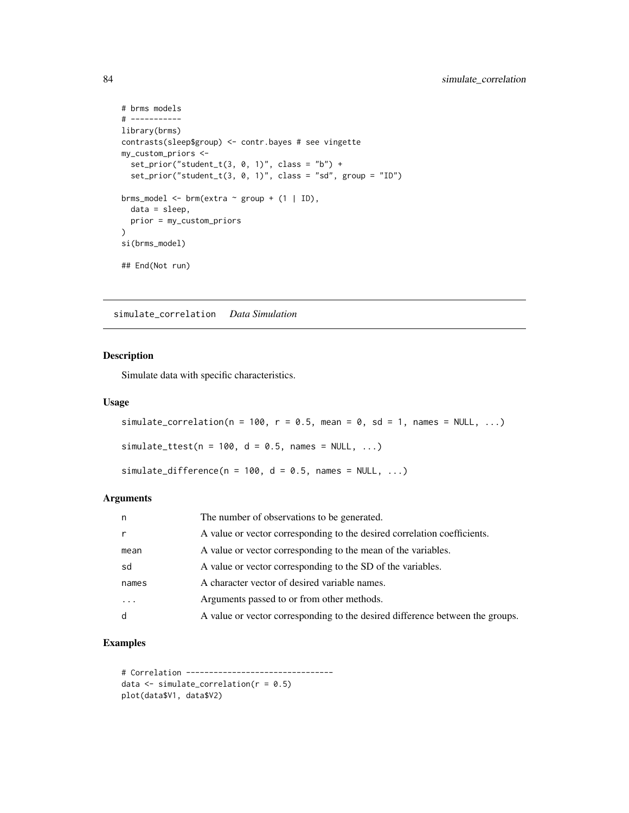```
# brms models
# -----------
library(brms)
contrasts(sleep$group) <- contr.bayes # see vingette
my_custom_priors <-
 set\_prior("student_t(3, 0, 1)", class = "b") +
  set_prior("student_t(3, 0, 1)", class = "sd", group = "ID")
brms_model <- brm(extra \sim group + (1 | ID),
  data = sleep,
  prior = my_custom_priors
\lambdasi(brms_model)
## End(Not run)
```
simulate\_correlation *Data Simulation*

# Description

Simulate data with specific characteristics.

# Usage

```
simulate_correlation(n = 100, r = 0.5, mean = 0, sd = 1, names = NULL, ...)
simulate_ttest(n = 100, d = 0.5, names = NULL, ...)
simulate_difference(n = 100, d = 0.5, names = NULL, ...)
```
#### Arguments

| n        | The number of observations to be generated.                                   |
|----------|-------------------------------------------------------------------------------|
| r        | A value or vector corresponding to the desired correlation coefficients.      |
| mean     | A value or vector corresponding to the mean of the variables.                 |
| sd       | A value or vector corresponding to the SD of the variables.                   |
| names    | A character vector of desired variable names.                                 |
| $\cdots$ | Arguments passed to or from other methods.                                    |
| d        | A value or vector corresponding to the desired difference between the groups. |

```
# Correlation --------------------------------
data \le simulate_correlation(r = 0.5)
plot(data$V1, data$V2)
```
<span id="page-83-0"></span>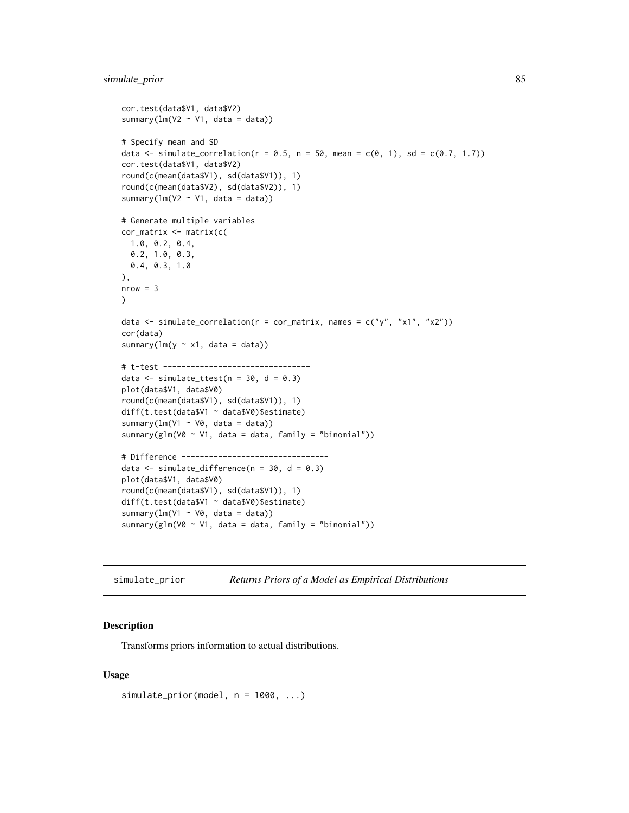# <span id="page-84-0"></span>simulate\_prior 85

```
cor.test(data$V1, data$V2)
summary(lm(V2 \sim V1, data = data))
# Specify mean and SD
data <- simulate_correlation(r = 0.5, n = 50, mean = c(0, 1), sd = c(0.7, 1.7))
cor.test(data$V1, data$V2)
round(c(mean(data$V1), sd(data$V1)), 1)
round(c(mean(data$V2), sd(data$V2)), 1)
summary(lm(V2 \sim V1, data = data))
# Generate multiple variables
cor_matrix <- matrix(c(
  1.0, 0.2, 0.4,
  0.2, 1.0, 0.3,
 0.4, 0.3, 1.0
),
nrow = 3\mathcal{L}data \le simulate_correlation(r = cor_matrix, names = c("y", "x1", "x2"))cor(data)
summary(lm(y \sim x1, data = data))
# t-test --------------------------------
data \le simulate_ttest(n = 30, d = 0.3)
plot(data$V1, data$V0)
round(c(mean(data$V1), sd(data$V1)), 1)
diff(t.test(data$V1 ~ data$V0)$estimate)
summary(lm(V1 ~ V0, data = data))
summary(glm(V0 \sim V1, data = data, family = "binomial"))
# Difference --------------------------------
data \le simulate_difference(n = 30, d = 0.3)
plot(data$V1, data$V0)
round(c(mean(data$V1), sd(data$V1)), 1)
diff(t.test(data$V1 ~ data$V0)$estimate)
summary(lm(V1 ~ v0, data = data))
summary(glm(V0 \sim V1, data = data, family = "binomial"))
```

```
simulate_prior Returns Priors of a Model as Empirical Distributions
```
#### Description

Transforms priors information to actual distributions.

#### Usage

```
simulate_prior(model, n = 1000, ...)
```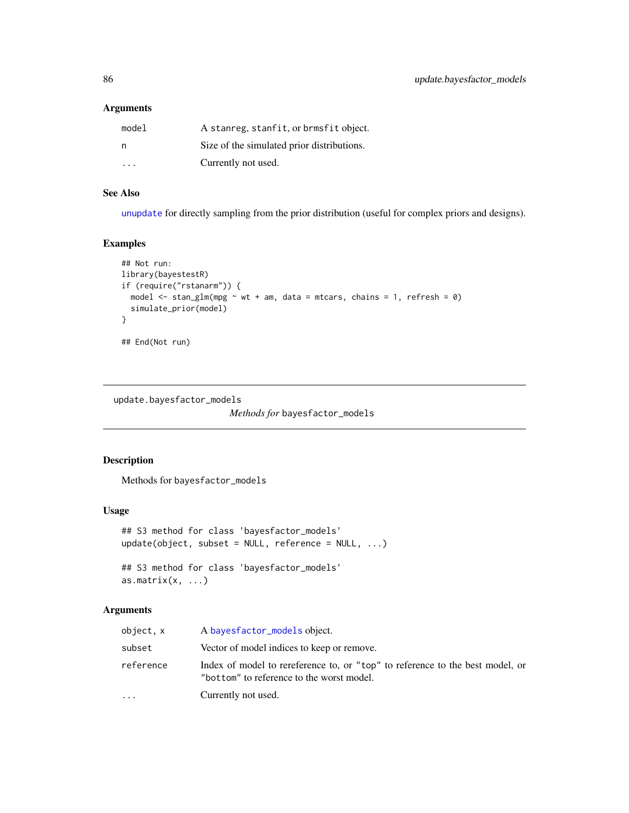# <span id="page-85-0"></span>Arguments

| model | A stanreg, stanfit, or brmsfit object.     |
|-------|--------------------------------------------|
| - n   | Size of the simulated prior distributions. |
| .     | Currently not used.                        |

# See Also

[unupdate](#page-0-0) for directly sampling from the prior distribution (useful for complex priors and designs).

# Examples

```
## Not run:
library(bayestestR)
if (require("rstanarm")) {
  model \le stan_glm(mpg \sim wt + am, data = mtcars, chains = 1, refresh = 0)
  simulate_prior(model)
}
## End(Not run)
```
update.bayesfactor\_models

*Methods for* bayesfactor\_models

# Description

Methods for bayesfactor\_models

# Usage

```
## S3 method for class 'bayesfactor_models'
update(object, subset = NULL, reference = NULL, ...)## S3 method for class 'bayesfactor_models'
as.matrix(x, \ldots)
```
# Arguments

| object, x | A bayes factor_models object.                                                                                              |
|-----------|----------------------------------------------------------------------------------------------------------------------------|
| subset    | Vector of model indices to keep or remove.                                                                                 |
| reference | Index of model to rereference to, or "top" to reference to the best model, or<br>"bottom" to reference to the worst model. |
| .         | Currently not used.                                                                                                        |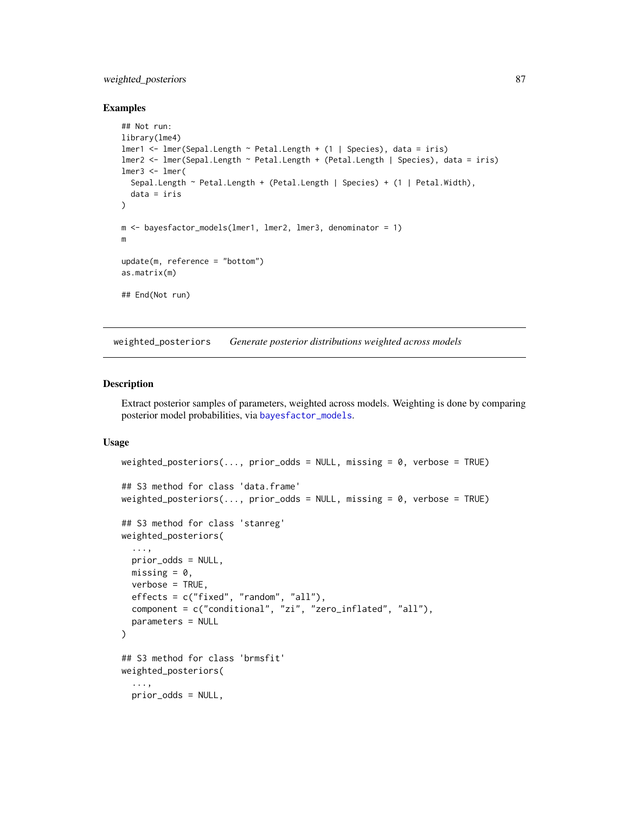# <span id="page-86-0"></span>weighted\_posteriors 87

#### Examples

```
## Not run:
library(lme4)
lmer1 <- lmer(Sepal.Length ~ Petal.Length + (1 | Species), data = iris)
lmer2 <- lmer(Sepal.Length ~ Petal.Length + (Petal.Length | Species), data = iris)
lmer3 < - lmer(Sepal.Length ~ Petal.Length + (Petal.Length | Species) + (1 | Petal.Width),
  data = iris
)
m <- bayesfactor_models(lmer1, lmer2, lmer3, denominator = 1)
m
update(m, reference = "bottom")
as.matrix(m)
## End(Not run)
```
weighted\_posteriors *Generate posterior distributions weighted across models*

# Description

Extract posterior samples of parameters, weighted across models. Weighting is done by comparing posterior model probabilities, via [bayesfactor\\_models](#page-7-0).

#### Usage

```
weighted_posteriors(..., prior_odds = NULL, missing = 0, verbose = TRUE)
## S3 method for class 'data.frame'
weighted_posteriors(..., prior_odds = NULL, missing = 0, verbose = TRUE)
## S3 method for class 'stanreg'
weighted_posteriors(
  ...,
 prior_odds = NULL,
 missing = 0,
  verbose = TRUE,
  effects = c("fixed", "random", "all"),
  component = c("conditional", "zi", "zero_inflated", "all"),
  parameters = NULL
)
## S3 method for class 'brmsfit'
weighted_posteriors(
  ...,
 prior_odds = NULL,
```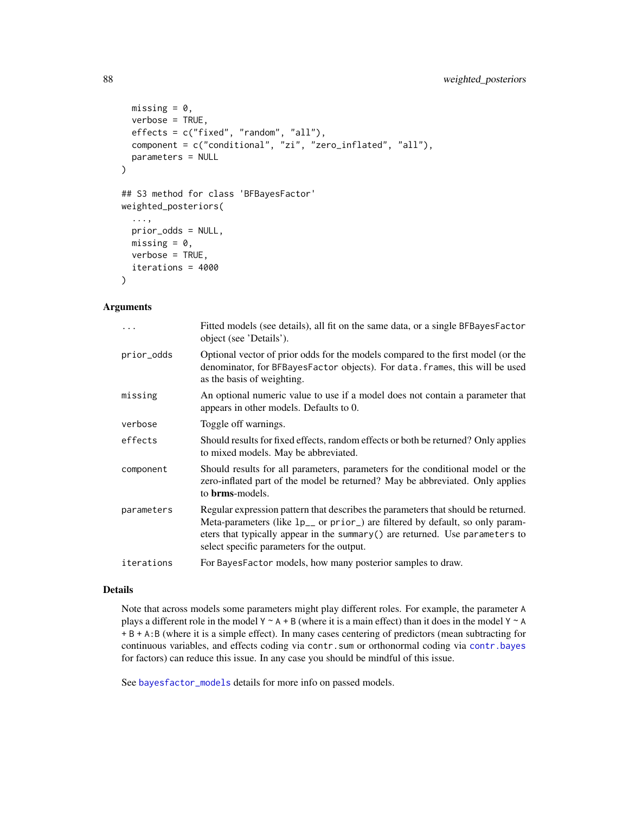# <span id="page-87-0"></span>88 weighted\_posteriors

```
missing = 0,
  verbose = TRUE,
  effects = c("fixed", "random", "all"),
  component = c("conditional", "zi", "zero_inflated", "all"),
  parameters = NULL
\mathcal{E}## S3 method for class 'BFBayesFactor'
weighted_posteriors(
  ...,
 prior_odds = NULL,
 missing = 0,
 verbose = TRUE,
  iterations = 4000
\mathcal{L}
```
#### Arguments

|            | Fitted models (see details), all fit on the same data, or a single BFBayesFactor<br>object (see 'Details').                                                                                                                                                                                                 |
|------------|-------------------------------------------------------------------------------------------------------------------------------------------------------------------------------------------------------------------------------------------------------------------------------------------------------------|
| prior_odds | Optional vector of prior odds for the models compared to the first model (or the<br>denominator, for BFBayesFactor objects). For data. frames, this will be used<br>as the basis of weighting.                                                                                                              |
| missing    | An optional numeric value to use if a model does not contain a parameter that<br>appears in other models. Defaults to 0.                                                                                                                                                                                    |
| verbose    | Toggle off warnings.                                                                                                                                                                                                                                                                                        |
| effects    | Should results for fixed effects, random effects or both be returned? Only applies<br>to mixed models. May be abbreviated.                                                                                                                                                                                  |
| component  | Should results for all parameters, parameters for the conditional model or the<br>zero-inflated part of the model be returned? May be abbreviated. Only applies<br>to <b>brms</b> -models.                                                                                                                  |
| parameters | Regular expression pattern that describes the parameters that should be returned.<br>Meta-parameters (like 1p <sub>-</sub> or prior) are filtered by default, so only param-<br>eters that typically appear in the summary () are returned. Use parameters to<br>select specific parameters for the output. |
| iterations | For BayesFactor models, how many posterior samples to draw.                                                                                                                                                                                                                                                 |
|            |                                                                                                                                                                                                                                                                                                             |

#### Details

Note that across models some parameters might play different roles. For example, the parameter A plays a different role in the model  $Y \sim A + B$  (where it is a main effect) than it does in the model  $Y \sim A$ + B + A:B (where it is a simple effect). In many cases centering of predictors (mean subtracting for continuous variables, and effects coding via contr.sum or orthonormal coding via [contr.bayes](#page-24-0) for factors) can reduce this issue. In any case you should be mindful of this issue.

See [bayesfactor\\_models](#page-7-0) details for more info on passed models.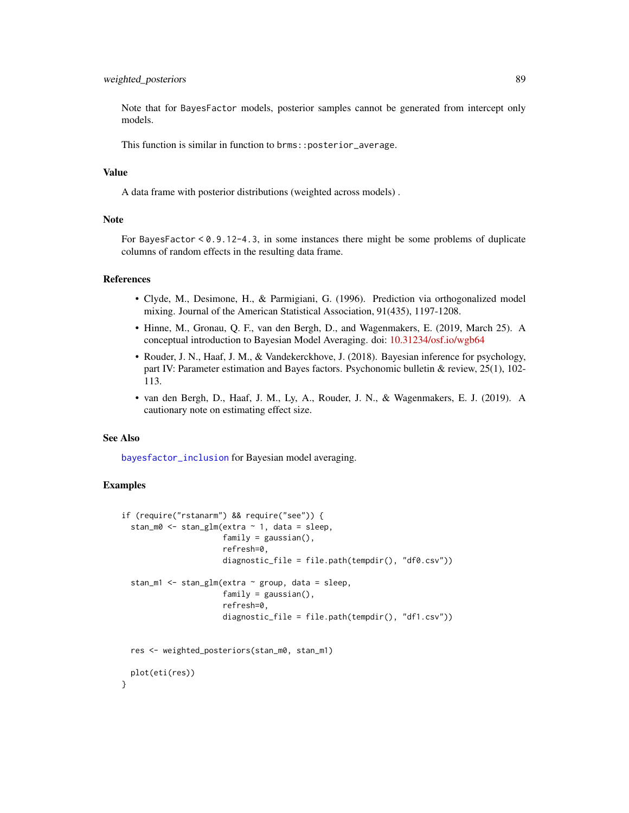# <span id="page-88-0"></span>weighted\_posteriors 89

Note that for BayesFactor models, posterior samples cannot be generated from intercept only models.

This function is similar in function to brms::posterior\_average.

#### Value

A data frame with posterior distributions (weighted across models) .

# Note

For BayesFactor < 0.9.12-4.3, in some instances there might be some problems of duplicate columns of random effects in the resulting data frame.

#### References

- Clyde, M., Desimone, H., & Parmigiani, G. (1996). Prediction via orthogonalized model mixing. Journal of the American Statistical Association, 91(435), 1197-1208.
- Hinne, M., Gronau, Q. F., van den Bergh, D., and Wagenmakers, E. (2019, March 25). A conceptual introduction to Bayesian Model Averaging. doi: [10.31234/osf.io/wgb64](https://doi.org/10.31234/osf.io/wgb64)
- Rouder, J. N., Haaf, J. M., & Vandekerckhove, J. (2018). Bayesian inference for psychology, part IV: Parameter estimation and Bayes factors. Psychonomic bulletin & review, 25(1), 102- 113.
- van den Bergh, D., Haaf, J. M., Ly, A., Rouder, J. N., & Wagenmakers, E. J. (2019). A cautionary note on estimating effect size.

#### See Also

[bayesfactor\\_inclusion](#page-5-0) for Bayesian model averaging.

```
if (require("rstanarm") && require("see")) {
 stan_m0 <- stan_glm(extra ~ 1, data = sleep,
                      family = gaussian(),
                      refresh=0,
                      diagnostic_file = file.path(tempdir(), "df0.csv"))
 stan_m1 <- stan_glm(extra ~ group, data = sleep,
                      family = gaussian(),
                      refresh=0,
                      diagnostic_file = file.path(tempdir(), "df1.csv"))
 res <- weighted_posteriors(stan_m0, stan_m1)
 plot(eti(res))
}
```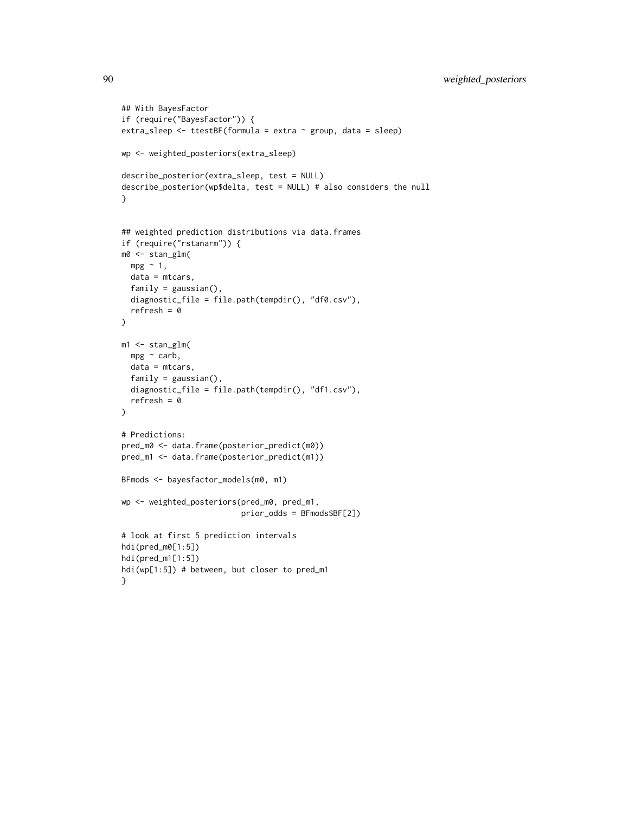```
## With BayesFactor
if (require("BayesFactor")) {
extra_sleep <- ttestBF(formula = extra ~ group, data = sleep)
wp <- weighted_posteriors(extra_sleep)
describe_posterior(extra_sleep, test = NULL)
describe_posterior(wp$delta, test = NULL) # also considers the null
}
## weighted prediction distributions via data.frames
if (require("rstanarm")) {
m0 <- stan_glm(
 mpg \sim 1,
 data = mtcars,
  family = gaussian(),
  diagnostic_file = file.path(tempdir(), "df0.csv"),
  refresh = 0)
m1 <- stan_glm(
 mpg ~ carb,
  data = mtcars,
  family = gaussian(),
  diagnostic_file = file.path(tempdir(), "df1.csv"),
  refresh = 0\mathcal{L}# Predictions:
pred_m0 <- data.frame(posterior_predict(m0))
pred_m1 <- data.frame(posterior_predict(m1))
BFmods <- bayesfactor_models(m0, m1)
wp <- weighted_posteriors(pred_m0, pred_m1,
                          prior_odds = BFmods$BF[2])
# look at first 5 prediction intervals
hdi(pred_m0[1:5])
hdi(pred_m1[1:5])
hdi(wp[1:5]) # between, but closer to pred_m1
}
```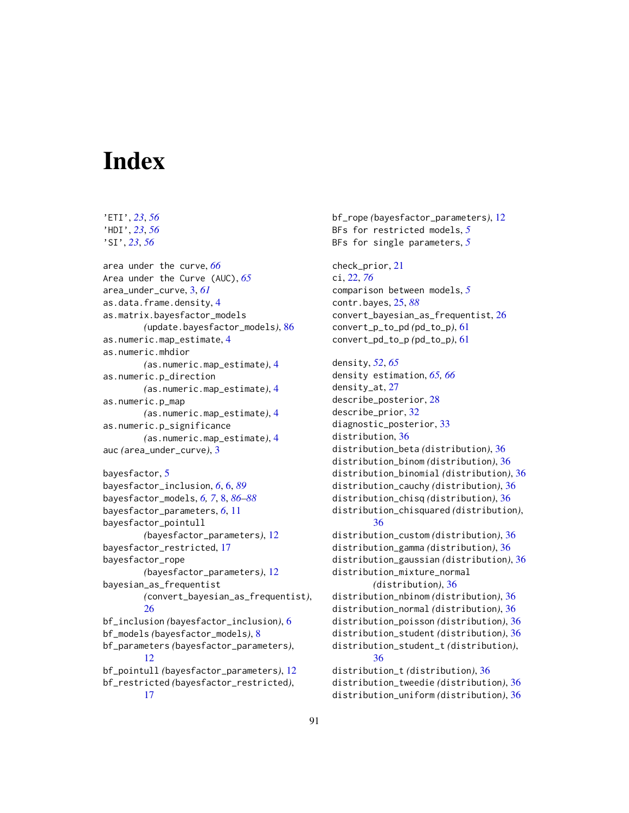# **Index**

'ETI', *[23](#page-22-0)*, *[56](#page-55-0)*

'HDI', *[23](#page-22-0)*, *[56](#page-55-0)* 'SI', *[23](#page-22-0)*, *[56](#page-55-0)* area under the curve, *[66](#page-65-0)* Area under the Curve (AUC), *[65](#page-64-0)* area\_under\_curve, [3,](#page-2-0) *[61](#page-60-0)* as.data.frame.density, [4](#page-3-0) as.matrix.bayesfactor\_models *(*update.bayesfactor\_models*)*, [86](#page-85-0) as.numeric.map\_estimate, [4](#page-3-0) as.numeric.mhdior *(*as.numeric.map\_estimate*)*, [4](#page-3-0) as.numeric.p\_direction *(*as.numeric.map\_estimate*)*, [4](#page-3-0) as.numeric.p\_map *(*as.numeric.map\_estimate*)*, [4](#page-3-0) as.numeric.p\_significance *(*as.numeric.map\_estimate*)*, [4](#page-3-0) auc *(*area\_under\_curve*)*, [3](#page-2-0) bayesfactor, [5](#page-4-0) bayesfactor\_inclusion, *[6](#page-5-1)*, [6,](#page-5-1) *[89](#page-88-0)* bayesfactor\_models, *[6,](#page-5-1) [7](#page-6-0)*, [8,](#page-7-1) *[86–](#page-85-0)[88](#page-87-0)* bayesfactor\_parameters, *[6](#page-5-1)*, [11](#page-10-0) bayesfactor\_pointull *(*bayesfactor\_parameters*)*, [12](#page-11-0) bayesfactor\_restricted, [17](#page-16-0) bayesfactor\_rope *(*bayesfactor\_parameters*)*, [12](#page-11-0) bayesian\_as\_frequentist *(*convert\_bayesian\_as\_frequentist*)*, [26](#page-25-0) bf\_inclusion *(*bayesfactor\_inclusion*)*, [6](#page-5-1) bf\_models *(*bayesfactor\_models*)*, [8](#page-7-1) bf\_parameters *(*bayesfactor\_parameters*)*, [12](#page-11-0) bf\_pointull *(*bayesfactor\_parameters*)*, [12](#page-11-0) bf\_restricted *(*bayesfactor\_restricted*)*, [17](#page-16-0)

bf\_rope *(*bayesfactor\_parameters*)*, [12](#page-11-0) BFs for restricted models, *[5](#page-4-0)* BFs for single parameters, *[5](#page-4-0)* check\_prior, [21](#page-20-0) ci, [22,](#page-21-1) *[76](#page-75-0)* comparison between models, *[5](#page-4-0)* contr.bayes, [25,](#page-24-1) *[88](#page-87-0)* convert\_bayesian\_as\_frequentist, [26](#page-25-0) convert\_p\_to\_pd *(*pd\_to\_p*)*, [61](#page-60-0) convert\_pd\_to\_p *(*pd\_to\_p*)*, [61](#page-60-0) density, *[52](#page-51-0)*, *[65](#page-64-0)* density estimation, *[65,](#page-64-0) [66](#page-65-0)* density\_at, [27](#page-26-0) describe\_posterior, [28](#page-27-0) describe\_prior, [32](#page-31-0) diagnostic\_posterior, [33](#page-32-0) distribution, [36](#page-35-0) distribution\_beta *(*distribution*)*, [36](#page-35-0) distribution\_binom *(*distribution*)*, [36](#page-35-0) distribution\_binomial *(*distribution*)*, [36](#page-35-0) distribution\_cauchy *(*distribution*)*, [36](#page-35-0) distribution\_chisq *(*distribution*)*, [36](#page-35-0) distribution\_chisquared *(*distribution*)*, [36](#page-35-0) distribution\_custom *(*distribution*)*, [36](#page-35-0) distribution\_gamma *(*distribution*)*, [36](#page-35-0) distribution\_gaussian *(*distribution*)*, [36](#page-35-0) distribution\_mixture\_normal *(*distribution*)*, [36](#page-35-0) distribution\_nbinom *(*distribution*)*, [36](#page-35-0) distribution\_normal *(*distribution*)*, [36](#page-35-0) distribution\_poisson *(*distribution*)*, [36](#page-35-0) distribution\_student *(*distribution*)*, [36](#page-35-0) distribution\_student\_t *(*distribution*)*, [36](#page-35-0) distribution\_t *(*distribution*)*, [36](#page-35-0) distribution\_tweedie *(*distribution*)*, [36](#page-35-0) distribution\_uniform *(*distribution*)*, [36](#page-35-0)